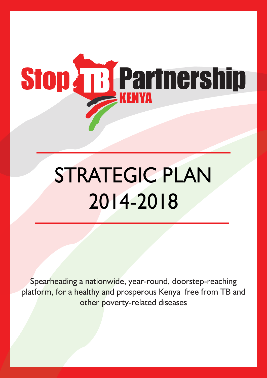

# STRATEGIC PLAN 2014-2018

Spearheading a nationwide, year-round, doorstep-reaching platform, for a healthy and prosperous Kenya free from TB and other poverty-related diseases

i<br>in 1950<br>in 1950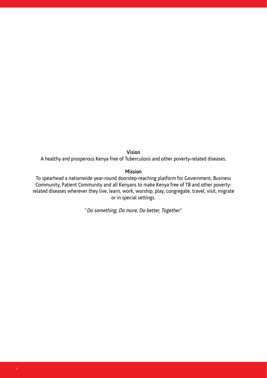**Vision**

A healthy and prosperous Kenya free of Tuberculosis and other poverty-related diseases.

## **Mission**

To spearhead a nationwide year-round doorstep-reaching platform for Government, Business Community, Patient Community and all Kenyans to make Kenya free of TB and other povertyrelated diseases wherever they live, learn, work, worship, play, congregate, travel, visit, migrate or in special settings.

"Do something, Do more, Do better, Together"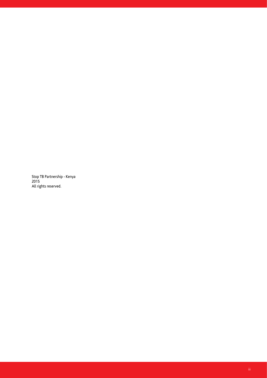Stop TB Partnership - Kenya 2015 All rights reserved.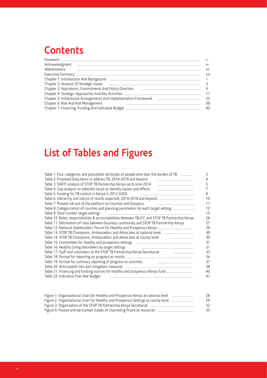## **Contents**

| Acknowledgment<br>$\label{eq:1} \begin{minipage}{0.9\textwidth} \begin{minipage}{0.9\textwidth} \centering \begin{tabular}{ c c c c c } \hline & \multicolumn{1}{ c }{0.9\textwidth} \centering \begin{tabular}{ c c c c c } \hline & \multicolumn{1}{ c }{0.9\textwidth} \centering \centering \end{tabular} & \multicolumn{1}{ c }{0.9\textwidth} \centering \begin{tabular}{ c c c c c } \hline & \multicolumn{1}{ c }{0.9\textwidth} \centering \centering \end{tabular} & \multicolumn{1}{ c }{0$ | vi   |
|--------------------------------------------------------------------------------------------------------------------------------------------------------------------------------------------------------------------------------------------------------------------------------------------------------------------------------------------------------------------------------------------------------------------------------------------------------------------------------------------------------|------|
| Abbreviations                                                                                                                                                                                                                                                                                                                                                                                                                                                                                          | vii  |
|                                                                                                                                                                                                                                                                                                                                                                                                                                                                                                        | viii |
|                                                                                                                                                                                                                                                                                                                                                                                                                                                                                                        |      |
|                                                                                                                                                                                                                                                                                                                                                                                                                                                                                                        |      |
| Chapter 3: Aspirations, Commitments And Policy Direction [11] [12] [12] [13] Chapter 3: Aspirations, Commitments And Policy Direction                                                                                                                                                                                                                                                                                                                                                                  |      |
|                                                                                                                                                                                                                                                                                                                                                                                                                                                                                                        | -11  |
|                                                                                                                                                                                                                                                                                                                                                                                                                                                                                                        | -25  |
| Chapter 6: Risk And Risk Management                                                                                                                                                                                                                                                                                                                                                                                                                                                                    | 38   |
|                                                                                                                                                                                                                                                                                                                                                                                                                                                                                                        | -40  |

## **List of Tables and Figures**

| Table 1: Four categories and postulated attributes of people who bear the burden of TB            | 3  |
|---------------------------------------------------------------------------------------------------|----|
| Table 2: Proposed duty-bears to address TB, 2014-2018 and beyond                                  | 4  |
| Table 3: SWOT analysis of STOP TB Partnership Kenya up to June 2014                               | 5  |
| Table 4: Gap analysis on selected issues to identify causes and effects                           |    |
| Table 5: Funding for TB control in Kenya in 2012 (USD)                                            | 8  |
|                                                                                                   | 10 |
| Table 7: Phased roll-out of the platform to Counties and Diaspora                                 | 11 |
| Table 8: Categorization of counties and planning parameters for each target setting               | 12 |
| Table 9: Total number target settings                                                             | 13 |
| Table 10: Roles, responsibilities & accountabilities between TB-ICC and STOP TB Partnership Kenya | 26 |
| Table 11: Delineation of roles between business community and STOP TB Partnership Kenya           | 27 |
|                                                                                                   | 29 |
|                                                                                                   | 30 |
| Table 14: STOP TB Champions, Ambassadors and Advocates at county level                            | 30 |
|                                                                                                   | 31 |
| Table 16: Healthy Living Volunteers by target settings                                            | 31 |
| Table 17: Staff and volunteers at the STOP TB Partnership Kenya Secretariat                       | 33 |
|                                                                                                   | 36 |
| Table 19: Format for summary reporting of progress on activities                                  | 37 |
|                                                                                                   | 38 |
| Table 21: Financing and funding sources for healthy and prosperous Kenya fund                     | 40 |
| Table 22: Indicative Five-Year Budget                                                             | 41 |

| Figure 1: Organizational chart for Healthy and Prosperous Kenya at national level  | 28 |
|------------------------------------------------------------------------------------|----|
| Figure 2: Organizational chart for Healthy and Prosperous Settings at county level | 29 |
|                                                                                    | 32 |
|                                                                                    | 35 |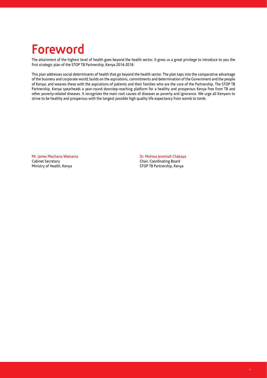## **Foreword**

The attainment of the highest level of health goes beyond the health sector. It gives us a great privilege to introduce to you the first strategic plan of the STOP TB Partnership, Kenya 2014-2018.

This plan addresses social determinants of health that go beyond the health sector. The plan taps into the comparative advantage of the business and corporate world; builds on the aspirations, commitments and determination of the Government and the people of Kenya; and weaves these with the aspirations of patients and their families who are the core of the Partnership. The STOP TB Partnership, Kenya spearheads a year-round doorstep-reaching platform for a healthy and prosperous Kenya free from TB and other poverty-related diseases. It recognizes the main root causes of diseases as poverty and ignorance. We urge all Kenyans to strive to be healthy and prosperous with the longest possible high quality life expectancy from womb to tomb.

Mr. James Macharia Wainaina Cabinet Secretary Ministry of Health, Kenya

Dr. Muhwa Jeremiah Chakaya Chair, Coordinating Board STOP TB Partnership, Kenya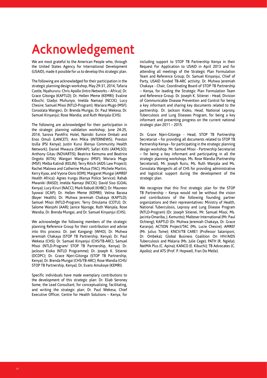## **Acknowledgement**

We are most grateful to the American People who, through the United States Agency for International Development (USAID), made it possible for us to develop this strategic plan.

The following are acknowledged for their participation in the strategic planning design workshop, May 29-31, 2014, Tafaria Castle, Nyahururu: Chris Apollo (Intro Networks – Africa); Dr. Grace Gitonga (KAPTLD); Dr. Hellen Meme (KEMRI); Evaline Kibuchi; Gladys Muhunyo; Imelda Namayi (NCCK); Lucy Chesire; Samuel Misoi (NTLD-Program); Wariara Mugo (MSF); Consolata Wangeci, Dr. Brenda Mungai, Dr. Paul Wekesa; Dr. Samuel Kinyanjui; Rose Wandia; and Ruth Wanjala (CHS).

The following are acknowledged for their participation in the strategic planning validation workshop, June 24-25, 2014, Sarova PanAfric Hotel, Nairobi: Eunice Ombati and Enos Omuli (LANCET); Ann Mikia (INTERNEWS); Preston Izulla (PSI Kenya); Justin Kurui (Kenya Community Health Network); Daniel Mwaura (SWHAP); Safari Kithi (AKMLSO); Anthony Gitau (NOVARTIS); Beatrice Kemuma and Beatrice Ongoto (KITA); Wangari Wanguru (MSF); Wariara Mugo (MSF); Melba Katindi (KELIN); Terry Ritich (AIDS Law Project); Rachel Malowa and Catherine Mutua (TAC); Michele Martini, Kerry Kyaa, and Vyona Ooro (IOM); Margaret Mungai (AMREF Health Africa); Agnes Irungu (Kenya Police Service); Rahab Mwaniki (RASD); Imelda Namayi (NCCK); David Siso (GOAL Kenya); Lucy Kiruri (NACC); Mark Rabudi (KHBC); Dr. Maureen Syowai (ICAP); Dr. Hellen Meme (KEMRI); Velma Barasa (Bayer Health); Dr. Muhwa Jeremiah Chakaya (KAPTLD); Samuel Misoi (NTLD-Program; Terry Omulama (COTU); Dr. Salome Wanjohi (AAR); Janice Njoroge, Ruth Wanjala, Rose Wandia, Dr. Brenda Mungai, and Dr. Samuel Kinyanjui (CHS).

We acknowledge the following members of the strategic planning Reference Group for their contribution and advise into this process: Dr. Joel Kangangi (WHO), Dr. Muhwa Jeremiah Chakaya (STOP TB Partnership, Kenya); Dr. Paul Wekesa (CHS); Dr. Samuel Kinyanjui (CHS/TB-ARC); Samuel Misoi (NTLD-Program/ STOP TB Partnership, Kenya); Dr. Jackson Kioko (NTLD Programme); Dr. Joseph K. Sitienei (DCDPC); Dr. Grace Njeri-Gitonga (STOP TB Partnership, Kenya); Dr. Brenda Mungai (CHS/TB-ARC); Rose Wandia (CHS/ STOP TB Partnership, Kenya); Dr. Evans Amukoye (KEMRI).

Specific individuals have made exemplary contributions to the development of this strategic plan: Dr. Eliab Seroney Some, the Lead Consultant, for conceptualizing, facilitating, and writing the strategic plan; Dr. Paul Wekesa, Chief Executive Officer, Centre for Health Solutions – Kenya, for including support to STOP TB Partnership Kenya in their Request For Application to USAID in April 2013 and for attending all meetings of the Strategic Plan Formulation Team and Reference Group; Dr. Samuel Kinyanjui, Chief of Party, USAID funded TB-ARC activity; Dr. Muhwa Jeremiah Chakaya - Chair, Coordinating Board of STOP TB Partnership – Kenya, for leading the Strategic Plan Formulation Team and Reference Group. Dr. Joseph K. Sitienei - Head, Division of Communicable Disease Prevention and Control for being a key informant and sharing key documents related to the partnership. Dr. Jackson Kioko, Head, National Leprosy, Tuberculosis and Lung Diseases Program, for being a key informant and presenting progress on the current national strategic plan 2011 – 2015.

Dr. Grace Njeri-Gitonga - Head, STOP TB Partnership Secretariat – for providing all documents related to STOP TB Partnership Kenya - for participating in the strategic planning design workshop. Mr. Samuel Misoi - Partnership Secretariat – for being a key informant and participating in all the strategic planning workshops. Ms. Rose Wandia (Partnership Secretariat), Mr. Joseph Ruiru, Ms. Ruth Wanjala and Ms. Consolata Wangechi all of CHS for providing administrative and logistical support during the development of the strategic plan.

We recognize that this first strategic plan for the STOP TB Partnership – Kenya would not be without the vision and contributions of the following founding partner organizations and their representatives: Ministry of Health, National Tuberculosis, Leprosy and Lung Disease Program (NTLD-Program) (Dr. Joseph Sitienei, Mr. Samuel Misoi, Ms. Jacinta Omariba, J. Kemunto); Malteser International (Mr. Paul Ochieng); KAPTLD (Dr. Muhwa Jeremiah Chakaya, Dr. Grace Karanja); ACTION Project/TAC (Ms. Lucie Chesire); AMREF (Mr. Julius Tome); KNCV/TB CARE1 (Professor Salaniponi, Dr. Ombeka); Global Business Coalition On HIV/AIDS Tuberculosis and Malaria (Ms. Julie Cege); PATH (R. Ngiela); NetMA Plus (C. Apina); KANCO (E. Kibuchi); TB Advocates (C. Apollo); and ATS (Prof. P. Hopwell, Fran Do Melle).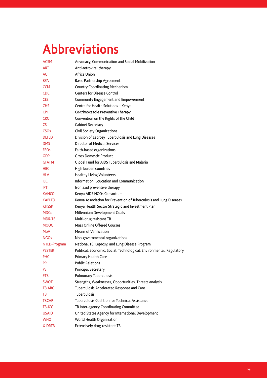## **Abbreviations**

| <b>ACSM</b>            | Advocacy, Communication and Social Mobilization                       |
|------------------------|-----------------------------------------------------------------------|
| <b>ART</b>             | Anti-retroviral therapy                                               |
| AU                     | Africa Union                                                          |
| <b>BPA</b>             | <b>Basic Partnership Agreement</b>                                    |
| <b>CCM</b>             | Country Coordinating Mechanism                                        |
| <b>CDC</b>             | <b>Centers for Disease Control</b>                                    |
| <b>CEE</b>             | Community Engagement and Empowerment                                  |
| <b>CHS</b>             | Centre for Health Solutions - Kenya                                   |
| <b>CPT</b>             | Co-trimoxazole Preventive Therapy                                     |
| <b>CRC</b>             | Convention on the Rights of the Child                                 |
| CS.                    | Cabinet Secretary                                                     |
| <b>CSO<sub>S</sub></b> | Civil Society Organizations                                           |
| <b>DLTLD</b>           | Division of Leprosy Tuberculosis and Lung Diseases                    |
| <b>DMS</b>             | Director of Medical Services                                          |
| <b>FBOs</b>            | Faith-based organizations                                             |
| <b>GDP</b>             | <b>Gross Domestic Product</b>                                         |
| <b>GFATM</b>           | Global Fund for AIDS Tuberculosis and Malaria                         |
| <b>HBC</b>             | High burden countries                                                 |
| <b>HLV</b>             | <b>Healthy Living Volunteers</b>                                      |
| IEC                    | Information, Education and Communication                              |
| <b>IPT</b>             | Isoniazid preventive therapy                                          |
| <b>KANCO</b>           | Kenya AIDS NGOs Consortium                                            |
| <b>KAPLTD</b>          | Kenya Association for Prevention of Tuberculosis and Lung Diseases    |
| <b>KHSSP</b>           | Kenya Health Sector Strategic and Investment Plan                     |
| <b>MDGs</b>            | Millennium Development Goals                                          |
| MDR-TB                 | Multi-drug resistant TB                                               |
| <b>MOOC</b>            | Mass Online Offered Courses                                           |
| MoV                    | Means of Verification                                                 |
| <b>NGOs</b>            | Non-governmental organizations                                        |
| NTLD-Program           | National TB, Leprosy, and Lung Disease Program                        |
| <b>PESTER</b>          | Political, Economic, Social, Technological, Environmental, Regulatory |
| <b>PHC</b>             | Primary Health Care                                                   |
| <b>PR</b>              | <b>Public Relations</b>                                               |
| PS.                    | Principal Secretary                                                   |
| <b>PTB</b>             | <b>Pulmonary Tuberculosis</b>                                         |
| <b>SWOT</b>            | Strengths, Weaknesses, Opportunities, Threats analysis                |
| <b>TB ARC</b>          | Tuberculosis Accelerated Response and Care                            |
| TВ                     | Tuberculosis                                                          |
| <b>TBCAP</b>           | Tuberculosis Coalition for Technical Assistance                       |
| <b>TB-ICC</b>          | TB Inter-agency Coordinating Committee                                |
| <b>USAID</b>           | United States Agency for International Development                    |
| <b>WHO</b>             | World Health Organization                                             |
| <b>X-DRTB</b>          | Extensively drug-resistant TB                                         |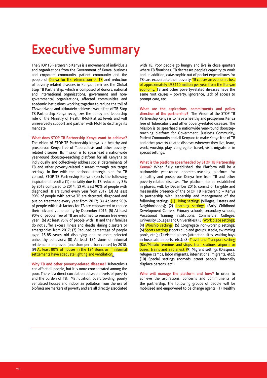## **Executive Summary**

The STOP TB Partnership Kenya is a movement of individuals and organizations from the Government of Kenya, business and corporate community, patient community and the people of Kenya for the elimination of TB and reduction of poverty-related diseases in Kenya. It mirrors the Global Stop TB Partnership, which is composed of donors, national and international organizations, government and nongovernmental organizations, affected communities and academic institutions working together to reduce the toll of TB worldwide and ultimately achieve a world free of TB. Stop TB Partnership Kenya recognizes the policy and leadership role of the Ministry of Health (MoH) at all levels and will unreservedly support and partner with MoH to discharge its mandate.

**What does STOP TB Partnership Kenya want to achieve?**  The vision of STOP TB Partnership Kenya is a healthy and prosperous Kenya free of Tuberculosis and other povertyrelated diseases. Its mission is to spearhead a nationwide year-round doorstep-reaching platform for all Kenyans to individually and collectively address social determinants of TB and other poverty-related diseases through ten target settings. In line with the national strategic plan for TB control, STOP TB Partnership Kenya expects the following inspirational results: (1) mortality due to TB reduced by 3% by 2018 compared to 2014; (2) At least 90% of people with diagnosed TB are cured every year from 2017; (3) At least 90% of people with active TB are detected, diagnosed and put on treatment every year from 2017; (4) At least 90% of people with risk factors for TB are empowered to reduce their risk and vulnerability by December 2016; (5) At least 90% of people free of TB are informed to remain free every year; (6) At least 95% of people with TB and their families do not suffer excess illness and deaths during disasters or emergencies from 2017; (7) Reduced percentage of people aged 15-85 years old displaying one or more selected unhealthy behaviors; (8) At least 124 slums or informal settlements improved (one slum per urban center) by 2018. (9) At least 80% of houses in the 124 slums or in informal settlements have adequate lighting and ventilation.

**Why TB and other poverty-related diseases?** Tuberculosis can affect all people, but it is more concentrated among the poor. There is a direct correlation between levels of poverty and the burden of TB. Malnutrition, overcrowding, poorly ventilated houses and indoor air pollution from the use of biofuels are markers of poverty and are all directly associated with TB. Poor people go hungry and live in close quarters where TB flourishes. TB decreases people's capacity to work and, in addition, catastrophic out of pocket expenditures for TB care exacerbate their poverty. TB causes an economic loss of approximately US\$110 million per year from the Kenyan economy. TB and other poverty-related diseases have the same root causes – poverty, ignorance, lack of access to prompt care, etc.

**What are the aspirations, commitments and policy direction of the partnership?** The Vision of the STOP TB Partnership Kenya is to have a healthy and prosperous Kenya free of Tuberculosis and other poverty-related diseases. The Mission is to spearhead a nationwide year-round doorstepreaching platform for Government, Business Community, Patient Community and all Kenyans to make Kenya free of TB and other poverty-related diseases wherever they live, learn, work, worship, play, congregate, travel, visit, migrate or in special settings.

**What is the platform spearheaded by STOP TB Partnership Kenya?** When fully established, the Platform will be a nationwide year-round doorstep-reaching platform for a healthy and prosperous Kenya free from TB and other poverty-related diseases. The platform, to be established in phases, will, by December 2016, consist of tangible and measurable presence of the STOP TB Partnership – Kenya in partnership with leadership and management of the following settings: (1) Living settings (Villages, Estates and Neighborhoods); (2) Learning settings (Early Childhood Development Centers, Primary schools, secondary schools, Vocational Training Institutions, Commercial Colleges, University Colleges and Universities); (3) Work place settings; (4) Worship settings; (5) Congregate non-worship settings; (6) Sports settings (sports club and groups, stadia, swimming pools, etc.); (7) Visited places (attraction sites, waiting bays in hospitals, airports, etc.); (8) Travel and Transport setting (Bus/Matatu terminus and stops, train stations, airports or buses, trains and airplanes); (9) Migrant settings (Diaspora, refugee camps, labor migrants, international migrants, etc.); (10) Special settings (nomads, street people, internally displace persons, etc.)

**Who will manage the platform and how?** In order to achieve the aspirations, concerns and commitments of the partnership, the following groups of people will be mobilized and empowered to be change agents: (1) Healthy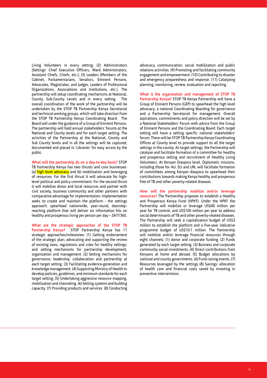Living Volunteers in every setting; (2) Administrators (Settings' Chief Executive Officers, Ward Administrators, Assistant Chiefs, Chiefs, etc.); (3) Leaders (Members of the Cabinet, Parliamentarians, Senators, Eminent Persons, Advocates, Magistrates, and Judges, Leaders of Professional Organizations, Associations and Institutions, etc.). The partnership will setup coordinating mechanisms at National, County, Sub-County Levels and in every setting. The overall coordination of the work of the partnership will be undertaken by the STOP TB Partnership Kenya Secretariat and technical working groups, which will take direction from the STOP TB Partnership Kenya Coordinating Board. The Board will under the guidance of a Group of Eminent Persons. The partnership will hold annual stakeholders' forums at the National and County levels and for each target setting. The activities of the Partnership at the National, County and Sub County levels and in all the settings will be captured, documented and placed in 'Libraries' for easy access by the public.

**What will the partnership do on a day-to-day basis?** STOP TB Partnership Kenya has two thrusts and core businesses: (a) high level advocacy and (b) mobilization and leveraging of resources. For the first thrust it will advocate for highlevel political and policy commitment. For the second thrust it will mobilize donor and local resources and partner with civil society, business community and other partners with comparative advantage for implementation. Implementation seeks to create and maintain the platform - the settings approach; spearhead nationwide, year-round, doorstepreaching platform that will deliver six information hits on healthy and prosperous living per person per day – 24/7/365.

**What are the strategic approaches of the STOP TB Partnership Kenya?** STOP Partnership Kenya has 11 strategic approaches/milestones: (1) Getting endorsement of the strategic plan; advocating and supporting the review of existing laws, regulations and rules for healthy settings; and setting mechanisms for partnership development, organization and management. (2) Setting mechanisms for governance, leadership, collaboration and partnership at each target setting. (3) Facilitating evidence-generation and knowledge management. (4) Supporting Ministry of Health to develop policies, guidelines, and minimum standards for each target setting. (5) Undertaking aggressive resource mapping, mobilization and channeling. (6) Setting systems and building capacity. (7) Providing products and services. (8) Conducting advocacy, communication, social mobilization and public relations activities. (9) Promoting and facilitating community engagement and empowerment. (10) Contributing to disaster and emergency preparedness and response. (11) Catalyzing planning, monitoring, review, evaluation and reporting.

**What is the organization and management of STOP TB Partnership Kenya?** STOP TB Kenya Partnership will have a Group of Eminent Persons (GEP) to spearhead the high level advocacy, a national Coordinating Boarding for governance and a Partnership Secretariat for management. Overall aspirations, commitments and policy direction will be set by a National Stakeholders' Forum with advice from the Group of Eminent Persons and the Coordinating Board. Each target setting will have a setting specific national stakeholders' forum. There will be STOP TB Partnership Kenya Coordinating Offices at County level to provide support to all the target settings in the county. At target settings, the Partnership will catalyze and facilitate formation of a committee for healthy and prosperous setting and recruitment of Healthy Living Volunteers. At Kenyan Diaspora level, Diplomatic missions, including those for AU, EU and UN, will facilitate formation of committees among Kenyan diaspora to spearhead their contributions towards making Kenya healthy and prosperous free of TB and other poverty-related diseases.

**How will the partnership mobilize and/or leverage resources?** The Partnership proposes to establish a Healthy and Prosperous Kenya Fund (HPKF). Under the HPKF the Partnership will mobilize or leverage US\$40 million per year for TB control, and US\$100 million per year to address social determinants of TB and other poverty-related diseases. The Partnership will seek a capitalization budget of US\$3 million to establish the platform and a five-year indicative programme budget of US\$10.1 million. The Partnership will mobilize and/or leverage financial resources through eight channels: (1) donor and corporate funding. (2) Funds generated by each target setting. (3) Business and corporate community social investments. (4) Direct contributions from Kenyans at home and abroad. (5) Budget allocations by national and county governments. (6) Fund-raising events. (7) Resources leveraged by the settings (8) Savings: allocation of health care and financial costs saved by investing in preventive interventions.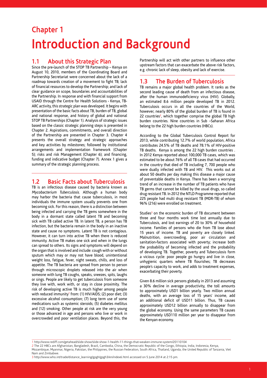## **Chapter 1 Introduction and Background**

## **1.1 About this Strategic Plan**

Since the pre-launch of the STOP TB Partnership – Kenya on August 10, 2010, members of the Coordinating Board and Partnership Secretariat were concerned about the lack of a roadmap towards creation of a movement to fight TB; lack of financial resources to develop the Partnership; and lack of clear guidance on scope, boundaries and accountabilities of the Partnership. In response and with financial support from USAID through the Centre for Health Solutions - Kenya, TB-ARC activity, this strategic plan was developed. It begins with presentation of the basic facts about TB, burden of TB, global and national response, and history of global and national STOP TB Partnerships (Chapter 1). Analysis of strategic issues based on the classic strategic planning steps is presented in Chapter 2. Aspirations, commitments, and overall direction of the Partnership are presented in Chapter 3. Chapter 4 presents the overall strategy and strategic approaches and key activities by milestones; followed by institutional arrangements and implementation framework (Chapter 5); risks and risk Management (Chapter 6); and financing, funding and indicative budget (Chapter 7). Annex 1 gives a summary of the strategic planning process.

## **1.2 Basic Facts about Tuberculosis**

TB is an infectious disease caused by bacteria known as Mycobacterium Tuberculosis. Although a human body may harbor the bacteria that cause tuberculosis, in most individuals the immune system usually prevents one from becoming sick. For this reason, there is a distinction between being infected and carrying the TB gems somewhere in the body in a dormant state called latent TB and becoming sick with TB called active TB. In latent TB, a person has TB infection, but the bacteria remain in the body in an inactive state and cause no symptoms. Latent TB is not contagious. However, it can turn into active TB when there is reduced immunity. Active TB makes one sick and when in the lungs can spread to others. Its signs and symptoms will depend on the organ that is involved and include: cough with or without sputum which may or may not have blood, unintentional weight loss, fatigue, fever, night sweats, chills, and loss of appetite. The TB bacteria are spread from person to person through microscopic droplets released into the air when someone with lung TB coughs, speaks, sneezes, spits, laughs or sings. People are likely to get tuberculosis from someone they live with, work with, or stay in close proximity. The risk of developing active TB is much higher among people with reduced immunity1 from: (1) HIV/AIDS; (2) poor diet; (3) excessive alcohol consumption; (7) long term use of some medications such as systemic steroids; (5) diabetes mellitus and (12) smoking. Other people at risk are the very young or those advanced in age and persons who live or work in overcrowded and poor ventilation places. Beyond this, the Partnership will act with other partners to influence other upstream factors that can exacerbate the above risk factors, e.g. chronic lack of sleep, obesity and lack of exercise.

## **1.3 The Burden of Tuberculosis**

TB remains a major global health problem. It ranks as the second leading cause of death from an infectious disease, after the human immunodeficiency virus (HIV). Globally, an estimated 8.6 million people developed TB in 2012. Tuberculosis occurs in all the countries of the World, however, nearly 80% of the global burden of TB is found in 22 countries<sup>2</sup>, which together comprise the global TB high burden countries. Nine countries in Sub –Saharan Africa belong to the 22 high burden countries (HBCs).

According to the Global Tuberculosis Control Report for 2013, while contributing 12.7% of world population, Africa contributes 24.5% of TB deaths and 78.1% of HIV-positive TB deaths. Kenya is among the 22 high burden countries . In 2012 Kenya reported about 100,000 TB cases, which was estimated to be about 76% of all TB cases that had occurred in the country that died of TB including 7, 700 people who were dually infected with TB and HIV. This works out at about 50 deaths per day making this disease a major cause of preventable deaths in Kenya. There has been a worrying trend of an increase in the number of TB patients who have TB germs that cannot be killed by the usual drugs, so called drug resistant TB. In 2012 the NTLD Programme reported that 225 people had multi drug resistant TB (MDR-TB) of whom 96% (216) were enrolled on treatment.

Studies<sup>3</sup> on the economic burden of TB document between three and four months work time lost annually due to Tuberculosis, and lost earnings of 20 to 30% of household income. Families of persons who die from TB lose about 15 years of income. TB and poverty are closely linked. Malnutrition, overcrowding, poor air circulation and sanitation-factors associated with poverty; increase both the probability of becoming infected and the probability of developing TB. Together, poverty and Tuberculosis form a vicious cycle: poor people go hungry and live in close, unhygienic quarters where TB flourishes; TB decreases people's capacity to work, and adds to treatment expenses, exacerbating their poverty.

Given 8.6 million sick persons globally in 2013 and assuming a 30% decline in average productivity, the toll amounts to approximately USD1 billion yearly. Two million annual deaths, with an average loss of 15 years' income, add an additional deficit of USD11 billion. Thus, TB causes approximately USD12 billion annually to disappear from the global economy. Using the same parameters TB causes approximately USD110 million per year to disappear from the Kenyan economy.

 $\_$  , and the set of the set of the set of the set of the set of the set of the set of the set of the set of the set of the set of the set of the set of the set of the set of the set of the set of the set of the set of th

<sup>1</sup> http://www.rediff.com/getahead/slide-show/slide-show-1-health-11-things-that-weaken-immune-system/20110104

<sup>2</sup> The 22 HBCs are Afghanistan, Bangladesh, Brazil, Cambodia, China, the Democratic Republic of the Congo, Ethiopia, India, Indonesia, Kenya, Mozambique, Myanmar, Nigeria, Pakistan, the Philippines, the Russian Federation, South Africa, Thailand, Uganda, the United Republic of Tanzania, Viet Nam and Zimbabwe.

<sup>3</sup> http://www.who.int/trade/distance\_learning/gpgh/gpgh3/en/index6.html accessed on 5 June 2014 at 2:15 pm.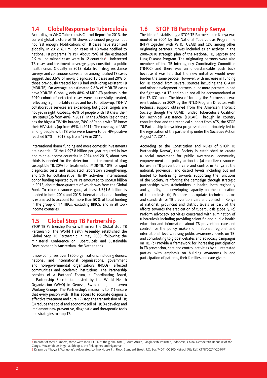## **1.4 Global Response to Tuberculosis**

According to WHO Tuberculosis Control Report for 2013, the current global picture of TB shows continued progress, but not fast enough. Notifications of TB cases have stabilized globally. In 2012, 6.1 million cases of TB were notified to national TB programs (NTPs). About 75% of the estimated 2.9 million missed cases were in 12 countries<sup>4</sup>. Undetected TB cases and treatment coverage gaps constitute a public health crisis. Globally in 2012, data from drug resistance surveys and continuous surveillance among notified TB cases suggest that 3.6% of newly diagnosed TB cases and 20% of those previously treated for TB had multi-drug resistant TB (MDR-TB). On average, an estimated 9.6% of MDR-TB cases have XDR-TB. Globally, only 48% of MDR-TB patients in the 2010 cohort of detected cases were successfully treated, reflecting high mortality rates and loss to follow-up. TB-HIV collaborative services are expanding, but global targets are not yet in sight. Globally, 46% of people with TB knew their HIV status (up from 40% in 2011). In the African Region that has the highest TB/HIV burden, 74% of People with TB knew their HIV status (up from 69% in 2011). The coverage of ART among people with TB who were known to be HIV-positive reached 57% in 2012, up from 49% in 2011.

International donor funding and more domestic investments are essential. Of the US\$7.8 billion per year required in low and middle-income countries in 2014 and 2015, about two thirds is needed for the detection and treatment of drug susceptible TB, 20% for treatment of MDR-TB, 10% for rapid diagnostic tests and associated laboratory strengthening, and 5% for collaborative TB/HIV activities. International donor funding reported by NTPs amounted to US\$0.8 billion in 2013, about three-quarters of which was from the Global Fund. To close resource gaps, at least US\$1.6 billion is needed in both 2014 and 2015. International donor funding is estimated to account for more than 50% of total funding in the group of 17 HBCs, excluding BRICS, and in all lowincome countries.

## **1.5 Global Stop TB Partnership**

STOP TB Partnership Kenya will mirror the Global stop TB Partnership. The World Health Assembly established the Global Stop TB Partnership in May 2000, following the Ministerial Conference on Tuberculosis and Sustainable Development in Amsterdam, the Netherlands.

It now comprises over 1200 organizations, including donors, national and international organizations, government and non-governmental organizations (NGOs), affected communities and academic institutions. The Partnership consists of a Partners' Forum, a Coordinating Board, a Partnership Secretariat hosted by the World Health Organization (WHO) in Geneva, Switzerland, and seven Working Groups. The Partnership's mission is to: (1) ensure that every person with TB has access to accurate diagnosis, effective treatment and cure; (2) stop the transmission of TB; (3) reduce the social and economic toll of TB; (4) develop and implement new preventive, diagnostic and therapeutic tools and strategies to stop TB.

## **1.6 STOP TB Partnership Kenya**

The idea of establishing a STOP TB Partnership in Kenya was mooted in 2004 by the National Tuberculosis Programme (NTP) together with WHO, USAID and CDC among other originating partners. It was included as an activity in the 2006-2010 strategic plan of the National TB, Leprosy and Lung Disease Program. The originating partners were also members of the TB Inter-agency Coordinating Committee (TB-ICC) and there was an understandable push back because it was felt that the new initiative would overburden the same people. However, with increase in funding for TB control from several sources including the GFATM and other development partners, a lot more partners joined the fight against TB and could not all be accommodated at the TB-ICC table. The idea of forming the Partnership was re-introduced in 2009 by the NTLD-Program Director, with technical support obtained from the American Thoracic Society though the USAID funded Tuberculosis Coalition for Technical Assistance (TBCAP). Through in country consultations and the technical support from ATS, the STOP TB Partnership Kenya idea progressed and ultimately led to the registration of the partnership under the Societies Act on August 17, 2011.

According to the Constitution and Rules of STOP TB Partnership Kenya<sup>5</sup>, the Society is established to create a social movement for public awareness, community empowerment and policy action to: (a) mobilize resources for use in TB prevention, care and control in Kenya at the national, provincial, and district levels including but not limited to fundraising towards supporting the functions of the Society, reinforcing the campaign through strategic partnerships with stakeholders in health, both regionally and globally, and developing capacity on the eradication of tuberculosis. (b) Promote appropriate technical norms and standards for TB prevention, care and control in Kenya at national, provincial and district levels as part of the efforts towards the eradication of tuberculosis globally. (c) Perform advocacy activities concerned with elimination of tuberculosis including providing scientific and public health education and information about TB prevention, care and control for the policy makers on national, regional and international levels, raising public awareness levels on TB, and contributing to global debates and advocacy campaigns on TB. (d) Provide a framework for increasing participation in TB prevention, care and control activities by all interested parties, with emphasis on building awareness in and participation of patients, their families and care givers.

 $\_$  , and the set of the set of the set of the set of the set of the set of the set of the set of the set of the set of the set of the set of the set of the set of the set of the set of the set of the set of the set of th 4 In order of total numbers, these were India (31% of the global total), South Africa, Bangladesh, Pakistan, Indonesia, China, Democratic Republic of the Congo, Mozambique, Nigeria, Ethiopia, the Philippines and Myanmar.

<sup>5</sup> Drawn by Mboya & Wangong'u Advocates, Lonhro House 7th Floor, Standard Street, P.O. Box 74041-00200 Nairobi (File Ref: K178/002/M/2010/P)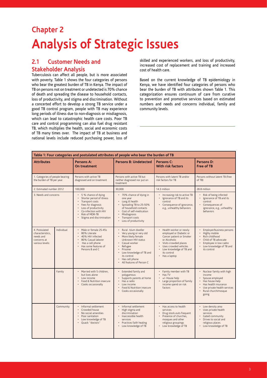## **Chapter 2 Analysis of Strategic Issues**

## **2.1 Customer Needs and Stakeholder Analysis**

Tuberculosis can affect all people, but is more associated with poverty. Table 1 shows the four categories of persons who bear the greatest burden of TB in Kenya. The impact of TB on persons not on treatment or undetected is 70% chance of death and spreading the disease to household contacts, loss of productivity, and stigma and discrimination. Without a concerted effort to develop a strong TB service under a good TB control program, people with TB may experience long periods of illness due to non-diagnosis or misdiagnosis, which can lead to catastrophic health care costs. Poor TB care and control programming can also fuel drug resistant TB, which multiplies the health, social and economic costs of TB many times over. The impact of TB at business and national levels include reduced purchasing power, loss of skilled and experienced workers, and loss of productivity, increased cost of replacement and training and increased cost of health care.

Based on the current knowledge of TB epidemiology in Kenya, we have identified four categories of persons who bear the burden of TB with attributes shown Table 1. This categorization ensures continuum of care from curative to prevention and promotive services based on estimated numbers and needs and concerns individual, family and community levels.

| Table 1: Four categories and postulated attributes of people who bear the burden of TB |                                                                                                                                                                                                                                                                                                   |                                                                                                                                                                                                                       |                                                                                                                                                                                                               |                                                                                                                                                                                                                              |                                                                                                                                                                                   |
|----------------------------------------------------------------------------------------|---------------------------------------------------------------------------------------------------------------------------------------------------------------------------------------------------------------------------------------------------------------------------------------------------|-----------------------------------------------------------------------------------------------------------------------------------------------------------------------------------------------------------------------|---------------------------------------------------------------------------------------------------------------------------------------------------------------------------------------------------------------|------------------------------------------------------------------------------------------------------------------------------------------------------------------------------------------------------------------------------|-----------------------------------------------------------------------------------------------------------------------------------------------------------------------------------|
| <b>Attributes</b>                                                                      |                                                                                                                                                                                                                                                                                                   | Persons A:<br>On treatment                                                                                                                                                                                            | <b>Persons B: Undetected</b>                                                                                                                                                                                  | Persons C:<br><b>With risk factors</b>                                                                                                                                                                                       | Persons D:<br><b>Free of TB</b>                                                                                                                                                   |
| 1. Categories of people bearing<br>the burden of TB per year.                          |                                                                                                                                                                                                                                                                                                   | Persons with active TB<br>diagnosed and on treatment                                                                                                                                                                  | Persons with latent TB and/or<br>Persons with active TB but<br>risk factors for TB<br>neither diagnosed nor put on<br>treatment                                                                               |                                                                                                                                                                                                                              | Persons without latent TB (free<br>of TB)                                                                                                                                         |
| 2. Estimated number 2012                                                               |                                                                                                                                                                                                                                                                                                   | 100,000                                                                                                                                                                                                               | 30,000                                                                                                                                                                                                        | 14.3 million                                                                                                                                                                                                                 | 28.8 million                                                                                                                                                                      |
| 3. Needs and concerns                                                                  |                                                                                                                                                                                                                                                                                                   | • 5 % chance of dying<br>Shorter period of illness<br>Transport costs<br>Fees for diagnosis<br>$\bullet$<br>Loss of productivity<br>Co-infection with HIV<br>Risk of MDR-TB<br>$\bullet$<br>Stigma and discrimination | • 70% chance of dying in<br>one year<br>Long ill health<br>$\bullet$<br>Spreading TB to 25-50%<br>of household contacts<br>Cost of self-medication<br>Misdiagnosis<br>Transport costs<br>Loss of productivity | • Increasing risk to active TB<br>Ignorance of TB and its<br>control<br>• Consequence of ignorance,<br>e.g., unhealthy behaviors                                                                                             | Risk of being infected<br>Ignorance of TB and its<br>control<br>Consequences of<br>$\bullet$<br>ignorance, e.g., unhealthy<br>behaviors                                           |
| 4. Postulated<br>characteristics.<br>needs and<br>concerns at<br>various levels:       | Individual<br>• Male or female 25-45s<br>Rural /slum dweller<br>80% Literate<br>40% HIV infected<br>More likely female<br>80% Casual laborer<br>Has a cell phone<br>Casual worker<br>Has some features of<br>Refugee<br>Persons B and C<br>Prisoner<br>its control<br>Has cell phone<br>$\bullet$ |                                                                                                                                                                                                                       | Very young or very old<br>Unknown HIV status<br>Low knowledge of TB and<br>All features of Person C                                                                                                           | • Health worker or newly<br>employed or Diabetic or<br>Cancer patient or Smoker<br>or Alcoholic<br>Visits crowded places<br>$\bullet$<br>Uses crowded vehicles<br>• Low knowledge of TB and<br>its control<br>• Has a laptop | Employer/business persons<br>Highly mobile<br>Rich childhood<br>$\bullet$<br>Child of TB advocate<br>Employee in low cadre<br>$\bullet$<br>Low knowledge of TB and<br>its control |
|                                                                                        | Family                                                                                                                                                                                                                                                                                            | • Married with 5 children,<br>but lives alone<br>Low income<br>Food & Nutrition insecure<br>Cooks occasionally                                                                                                        | Extended family and<br>polygamous<br>Supports parents at home<br>Has a radio<br>Low income<br>Food & Nutrition insecure<br>Cooks occasionally                                                                 | • Family member with TB<br>• Has TV<br>+/- House help<br>• Large proportion of family<br>income spend on risk<br>factors                                                                                                     | Nuclear family with high<br>income<br>Spouse employed<br>Has house-help<br>Has health insurance<br>Use private health services<br>Rural church/mosque<br>going                    |
|                                                                                        | Community                                                                                                                                                                                                                                                                                         | · Informal settlement<br>Crowded house<br>$\bullet$<br>No social amenities<br>Poor sanitation<br>Low knowledge of TB<br>Ouack "doctors"                                                                               | · Informal settlement<br>High stigma and<br>discrimination<br>· Inaccessible health<br>services<br>Practices faith healing<br>Low knowledge of TB                                                             | • Has access to health<br>services<br>Drug stock-outs frequent<br>• Presence of churches,<br>mosques and other<br>religious groupings<br>• Low knowledge of TB                                                               | Low density area<br>Uses private health<br>services<br>$\bullet$<br>Gated community<br>$\cdot$<br>Drives to social and<br>religious places<br>Low knowledge of TB                 |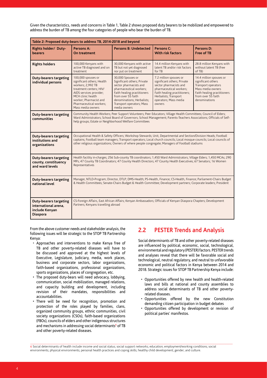Given the characteristics, needs and concerns in Table 1, Table 2 shows proposed duty bearers to be mobilized and empowered to address the burden of TB among the four categories of people who bear the burden of TB.

| Table 2: Proposed duty-bears to address TB, 2014-2018 and beyond                           |                                                                                                                                                                                                                                                             |                                                                                                                                                                                                                                                                                                                                                |                                                                                                                                                                                                        |                                                                                                                                                                 |  |  |  |
|--------------------------------------------------------------------------------------------|-------------------------------------------------------------------------------------------------------------------------------------------------------------------------------------------------------------------------------------------------------------|------------------------------------------------------------------------------------------------------------------------------------------------------------------------------------------------------------------------------------------------------------------------------------------------------------------------------------------------|--------------------------------------------------------------------------------------------------------------------------------------------------------------------------------------------------------|-----------------------------------------------------------------------------------------------------------------------------------------------------------------|--|--|--|
| Rights holder/ Duty-<br>bearers                                                            | Persons A:<br>On treatment                                                                                                                                                                                                                                  | Persons B: Undetected                                                                                                                                                                                                                                                                                                                          | Persons C:<br><b>With risk factors</b>                                                                                                                                                                 | Persons D:<br>Free of TB                                                                                                                                        |  |  |  |
| <b>Rights holders</b>                                                                      | 100,000 Kenyans with<br>active TB diagnosed and on<br>treatment                                                                                                                                                                                             | 30,000 Kenyans with active<br>TB but not yet diagnosed<br>nor put on treatment                                                                                                                                                                                                                                                                 | 14.4 million Kenyans with<br>latent TB and/or risk factors<br>for TB                                                                                                                                   | 28.8 million Kenyans with<br>without latent TB (free<br>of TB)                                                                                                  |  |  |  |
| <b>Duty-bearers targeting</b><br>individual persons                                        | 100,000 spouses or<br>significant others; Health<br>workers; 2,992 TB<br>treatment centers; HIV/<br>AIDS services provider;<br>MCH clinic health<br>worker; Pharmacist and<br>Pharmaceutical workers;<br>Mass media owners                                  | 30,000 Spouses or<br>Significant others; Private<br>sector pharmacists and<br>pharmaceutical workers;<br>Faith healing practitioners<br>from over 55 faith<br>denominations; Herbalists;<br>Transport operators; Mass<br>media owners                                                                                                          | 7.2 million spouses or<br>significant others; Private<br>sector pharmacists and<br>pharmaceutical workers;<br>Faith healing practitioners;<br>Herbalists; Transport<br>operators; Mass media<br>owners | 14.4 million spouses or<br>significant others<br>Transport operators<br>Mass media owners<br>Faith healing practitioners<br>from over 55 faith<br>denominations |  |  |  |
| <b>Duty-bearers targeting</b><br>communities                                               |                                                                                                                                                                                                                                                             | Community Health Workers; Peer Support Volunteers; Peer Educators; Village Health Committees; Council of Elders;<br>Ward Administrators; School Board of Governors; School Management; Parents-Teachers Associations; Officials of Self-<br>help groups; Estate or Neighborhood Welfare Committees                                             |                                                                                                                                                                                                        |                                                                                                                                                                 |  |  |  |
| <b>Duty-bearers targeting</b><br>institutions and<br>organizations                         |                                                                                                                                                                                                                                                             | Occupational Health & Safety Officers; Workshop Stewards; Unit, Departmental and Section/Division Heads; Football<br>captains; Football team managers; Transport operators; Local church councils; Local mosque councils; Local councils of<br>other religious organizations; Owners of where people congregate; Managers of Football stadiums |                                                                                                                                                                                                        |                                                                                                                                                                 |  |  |  |
| <b>Duty-bearers targeting</b><br>county, constituency<br>and ward levels                   | Health facility in-charges; 256 Sub-county TB coordinators; 1,450 Ward Administrators; Village Elders; 1,450 MCAs; 290<br>MPs; 47 County TB Coordinators; 47 County Health Directors; 47 County Health Executives; 67 Senators; 16 Women<br>Representatives |                                                                                                                                                                                                                                                                                                                                                |                                                                                                                                                                                                        |                                                                                                                                                                 |  |  |  |
| <b>Duty-bearers targeting</b><br>national level                                            | Manager, NTLD-Program; Director, DTLP; DMS-Health; PS-Health, Finance; CS-Health, Finance; Parliament-Chairs Budget<br>& Health Committees; Senate-Chairs Budget & Health Committee; Development partners; Corporate leaders; President                     |                                                                                                                                                                                                                                                                                                                                                |                                                                                                                                                                                                        |                                                                                                                                                                 |  |  |  |
| <b>Duty-bearers targeting</b><br>international arena.<br>include Kenyan<br><b>Diaspora</b> | CS-Foreign Affairs, East African Affairs; Kenyan Ambassadors; Officials of Kenyan Diaspora Chapters; Development<br>Partners; Kenyans travelling abroad                                                                                                     |                                                                                                                                                                                                                                                                                                                                                |                                                                                                                                                                                                        |                                                                                                                                                                 |  |  |  |

From the above customer needs and stakeholder analysis, the following issues will be strategic to the STOP TB Partnership Kenya:

- Approaches and interventions to make Kenya free of TB and other poverty-related diseases will have to be discussed and approved at the highest levels of Executive, Legislature, Judiciary, media, work places, business and corporate sectors, labor organizations, faith-based organizations, professional organizations, sports organizations, places of congregation, etc.
- The proposed duty-bears will need advocacy, lobbying, communication, social mobilization, managed relations, and capacity building and development, including revision of their mandates, responsibilities and accountabilities.
- There will be need for recognition, promotion and protection of the roles played by families, clans, organized community groups, ethnic communities, civil society organizations (CSOs), faith-based organizations (FBOs), councils of elders and other indigenous structures and mechanisms in addressing social determinants<sup>6</sup> of TB and other poverty-related diseases.

## **2.2 PESTER Trends and Analysis**

Social determinants of TB and other poverty-related diseases are influenced by political, economic, social, technological, environmental and regulatory (PESTER) factors. PESTER trends and analyses reveal that there will be favorable social and technological, neutral regulatory, and neutral to unfavorable economic and political factors in Kenya between 2014 and 2018. Strategic issues for STOP TB Partnership Kenya include:

- Opportunities offered by new health and health-related laws and bills at national and county assemblies to address social determinants of TB and other povertyrelated diseases.
- Opportunities offered by the new Constitution demanding citizen participation in budget debates
- Opportunities offered by development or revision of political parties' manifestos.

 $\_$  , and the set of the set of the set of the set of the set of the set of the set of the set of the set of the set of the set of the set of the set of the set of the set of the set of the set of the set of the set of th 6 Social determinants of health include income and social status; social support networks; education; employment/working conditions; social environments; physical environments; personal health practices and coping skills; healthy child development; gender; and culture.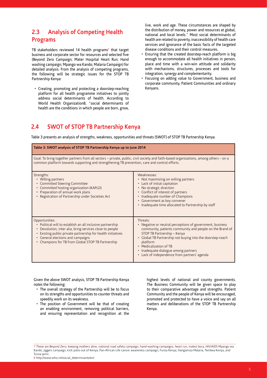## **2.3 Analysis of Competing Health Programs**

TB stakeholders reviewed 14 health programs<sup>7</sup> that target business and corporate sector for resources and selected five (Beyond Zero Campaign; Mater Hospital Heart Run; Hand washing campaign; Mpango wa Kando; Malaria Campaign) for detailed analysis. From the analysis of competing programs, the following will be strategic issues for the STOP TB Partnership Kenya:

• Creating, promoting and protecting a doorstep-reaching platform for all health programme initiatives to jointly address social determinants of health. According to World Health Organization8, "social determinants of health are the conditions in which people are born, grow, live, work and age. These circumstances are shaped by the distribution of money, power and resources at global, national and local levels." Most social determinants of health are related to poverty, inaccessibility of health care services and ignorance of the basic facts of the targeted disease conditions and their control measures.

- Ensuring that the created doorstep-reach platform is big enough to accommodate all health initiatives in person, place and time with a win-win attitude and solidarity with mechanisms, structures, processes and tools for integration, synergy and complementarity.
- Focusing on adding value to Government, business and corporate community, Patient Communities and ordinary Kenyans.

## **2.4 SWOT of STOP TB Partnership Kenya**

Table 3 presents an analysis of strengths, weakness, opportunities and threats (SWOT) of STOP TB Partnership Kenya.

| Table 3: SWOT analysis of STOP TB Partnership Kenya up to June 2014                                                                                                                                                                                                                             |                                                                                                                                                                                                                                                                                                                                                              |
|-------------------------------------------------------------------------------------------------------------------------------------------------------------------------------------------------------------------------------------------------------------------------------------------------|--------------------------------------------------------------------------------------------------------------------------------------------------------------------------------------------------------------------------------------------------------------------------------------------------------------------------------------------------------------|
| Goal: To bring together partners from all sectors – private, public, civil society and faith-based organizations, among others – on a<br>common platform towards supporting and strengthening TB prevention, care and control efforts.                                                          |                                                                                                                                                                                                                                                                                                                                                              |
| Strengths:<br>• Willing partners<br>• Committed Steering Committee<br>• Committed hosting organization (KAPLD)<br>• Preparation of annual work plans<br>• Registration of Partnership under Societies Act                                                                                       | Weaknesses:<br>• Not maximizing on willing partners<br>• Lack of initial capitation<br>• No strategic direction<br>• Conflict of interest of partners<br>• Inadequate number of Champions<br>• Government as key convener<br>• Inadequate time allocated to Partnership by staff                                                                             |
| Opportunities:<br>• Political will to establish an all inclusive partnership<br>Devolution, inter alia, bring services close to people<br>Existing public-private partnership for health initiatives<br>• General elections and campaigns<br>• Champions for TB from Global STOP TB Partnership | Threats:<br>• Negative or neutral perceptions of government, business<br>community, patients community and people on the Brand of<br>STOP TB Partnership - Kenya<br>• Global TB Partnership not buying into the doorstep-reach<br>platform<br>• Medicalization of TB<br>· Inadequate dialogue among partners<br>• Lack of independence from partners' agenda |

Given the above SWOT analysis, STOP TB Partnership Kenya notes the following:

- The overall strategy of the Partnership will be to focus on its strengths and opportunities to counter threats and speedily work on its weakness.
- The position of Government will be that of creating an enabling environment, removing political barriers, and ensuring representation and recognition at the

highest levels of national and county governments. The Business Community will be given space to play to their comparative advantage and strengths. Patient Community and the people of Kenya will be encouraged, promoted and protected to have a voice and say on all matters and deliberations of the STOP TB Partnership Kenya.

8 http://www.who.int/social\_determinants/en/

 $\_$  , and the set of the set of the set of the set of the set of the set of the set of the set of the set of the set of the set of the set of the set of the set of the set of the set of the set of the set of the set of th 7 These are Beyond Zero, keeping mothers alive, national road safety campaign, hand-washing campaigns, heart run, malezi bora, HIV/AIDS Mpango wa Kando, Jiggers campaign, kick polio out of Kenya, Pan-African Life cancer awareness campaign, Funza Kenya, Hangamiza Malaria, Tembea Kenya, and Tunza Jamii.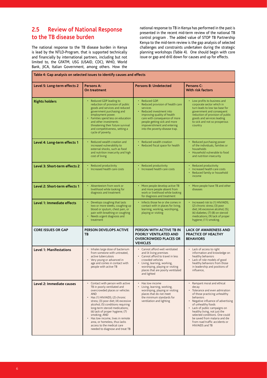## **2.5 Review of National Response to the TB disease burden**

The national response to the TB disease burden in Kenya is lead by the NTLD-Program, that is supported technically and financially by international partners, including but not limited to, the GFATM, USG (USAID, CDC), WHO, World Bank, JICA, Italian Government, among others. How the national response to TB in Kenya has performed in the past is presented in the recent mid-term review of the national TB control program . The added value of STOP TB Partnership Kenya to the mid-term review is the gap analysis of selected challenges and constraints undertaken during the strategic planning workshops (Table 4). One should begin with core issue or gap and drill down for causes and up for effects.

| Table 4: Gap analysis on selected issues to identify causes and effects |                                                                                                                                                                                                                                                                                                                                                                                                                                                               |                                                                                                                                                                                                                                                            |                                                                                                                                                                                                                                                                                                                                                                       |  |  |
|-------------------------------------------------------------------------|---------------------------------------------------------------------------------------------------------------------------------------------------------------------------------------------------------------------------------------------------------------------------------------------------------------------------------------------------------------------------------------------------------------------------------------------------------------|------------------------------------------------------------------------------------------------------------------------------------------------------------------------------------------------------------------------------------------------------------|-----------------------------------------------------------------------------------------------------------------------------------------------------------------------------------------------------------------------------------------------------------------------------------------------------------------------------------------------------------------------|--|--|
| Level 5: Long-term effects 2                                            | Persons A:<br>On treatment                                                                                                                                                                                                                                                                                                                                                                                                                                    | <b>Persons B: Undetected</b>                                                                                                                                                                                                                               | Persons C:<br><b>With risk factors</b>                                                                                                                                                                                                                                                                                                                                |  |  |
| <b>Rights holders</b>                                                   | Reduced GDP leading to<br>reduction of provision of public<br>goods and services and reduced<br>government purchasing and<br>employment power.<br>Families spend less on education<br>and other investments<br>threatening their future survival<br>and competitiveness, setting a<br>cycle of poverty.                                                                                                                                                       | • Reduced GDP.<br>Reduced provision of health care<br>services<br>Reduced investment into<br>improving quality of health<br>care with consequence of more<br>people getting sick and more<br>impoverishment and entering<br>into the poverty-disease trap. | • Low profits to business and<br>corporate sector which in<br>turn leads to low tax base for<br>government and consequent<br>reduction of provision of public<br>goods and services leading<br>to sick and not so prosperous<br>country                                                                                                                               |  |  |
| Level 4: Long-term effects 1                                            | Reduced wealth creation and<br>increased vulnerability to<br>external shocks, such as food<br>and nutrition insecurity and high<br>cost of living                                                                                                                                                                                                                                                                                                             | Reduced wealth creation<br>Reduced fiscal space for health                                                                                                                                                                                                 | Reduced purchasing power<br>of the individuals, families or<br>households<br>Household vulnerable to food<br>and nutrition insecurity                                                                                                                                                                                                                                 |  |  |
| Level 3: Short-term effects 2                                           | Reduced productivity<br>Increased health care costs                                                                                                                                                                                                                                                                                                                                                                                                           | • Reduced productivity<br>• Increased health care costs                                                                                                                                                                                                    | Reduced productivity<br>Increased health care costs<br>Reduced family or household<br>income                                                                                                                                                                                                                                                                          |  |  |
| Level 2: Short-term effects 1                                           | Absenteeism from work or<br>livelihood while looking for<br>diagnosis and treatment                                                                                                                                                                                                                                                                                                                                                                           | • More people develop active TB<br>and more people absent from<br>work or livelihood while looking<br>for diagnosis and treatment                                                                                                                          | • More people have TB and other<br>diseases                                                                                                                                                                                                                                                                                                                           |  |  |
| Level 1: Immediate effects                                              | Develops coughing that lasts<br>two or more weeks, coughing up<br>blood or sputum, chest pain, or<br>pain with breathing or coughing<br>Needs urgent diagnosis and<br>treatment                                                                                                                                                                                                                                                                               | Infects those he or she comes in<br>contact with in places for living,<br>learning, working, worshiping,<br>playing or visiting                                                                                                                            | • Increased risk to (1) HIV/AIDS;<br>(2) chronic stress; (3) poor<br>diet; (4) excessive alcohol; (5);<br>(6) diabetes; (7) (8) on steroid<br>medications; (9) lack of proper<br>hygiene; (11) smoking.                                                                                                                                                               |  |  |
| <b>CORE ISSUES OR GAP</b>                                               | <b>PERSON DEVELOPS ACTIVE</b><br><b>TB</b>                                                                                                                                                                                                                                                                                                                                                                                                                    | PERSON WITH ACTIVE TB IN<br>POORLY VENTILATED AND<br><b>OVERCROWDED PLACES OR</b><br><b>VEHICLES</b>                                                                                                                                                       | <b>LACK OF AWARENESS AND</b><br><b>PRACTICE OF HEALTHY</b><br><b>BEHAVIORS</b>                                                                                                                                                                                                                                                                                        |  |  |
| <b>Level 1: Manifestations</b>                                          | Inhales large dose of bacterium<br>from someone with untreated,<br>active tuberculosis<br>Very young or advanced in<br>age and comes in contact with<br>people with active TB                                                                                                                                                                                                                                                                                 | • Cannot afford well ventilated<br>and lit living premises<br>• Cannot afford to travel in less<br>crowded vehicles<br>• Living, learning, working,<br>worshiping, playing or visiting<br>places that are poorly ventilated<br>and lighted                 | • Lack of access to right<br>information and knowledge on<br>healthy behaviors<br>Lack of role models of good<br>healthy behaviors from those<br>in leadership and positions of<br>influence,                                                                                                                                                                         |  |  |
| Level 2: Immediate causes                                               | • Contact with person with active<br>TB in poorly ventilated and<br>overcrowded places or vehicles<br><b>AND</b><br>Has (1) HIV/AIDS; (2) chronic<br>٠<br>stress; (3) poor diet; (4) excessive<br>alcohol; (5) conditions requiring<br>long-term steroid medications;<br>(6) lack of proper hygiene; (7)<br>smoking; AND<br>Has low income, lives in remote<br>area, or homeless, thus lacks<br>access to the medical care<br>needed to diagnose and treat TB | • Has low income<br>Living, learning, working,<br>worshiping, playing or visiting<br>places that do not meet<br>the minimum standards for<br>ventilation and lighting                                                                                      | • Rampant moral and ethical<br>decay<br>Tolerance and even admiration<br>of those practicing unhealthy<br>behaviors<br>Negative influence of advertising<br>of unhealthy foods<br>Lack of public campaigns on<br>healthy living, not just the<br>selected conditions. One could<br>be saved from malaria and die<br>from road traffic accidents or<br>HIV/AIDS and TB |  |  |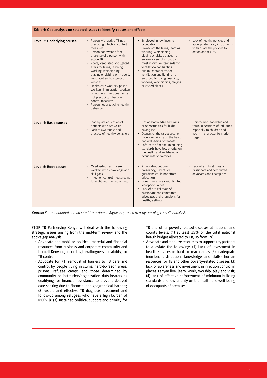| Table 4: Gap analysis on selected issues to identify causes and effects |                                                                                                                                                                                                                                                                                                                                                                                                                                                                                                                        |                                                                                                                                                                                                                                                                                                                                                                                |                                                                                                                                      |  |  |
|-------------------------------------------------------------------------|------------------------------------------------------------------------------------------------------------------------------------------------------------------------------------------------------------------------------------------------------------------------------------------------------------------------------------------------------------------------------------------------------------------------------------------------------------------------------------------------------------------------|--------------------------------------------------------------------------------------------------------------------------------------------------------------------------------------------------------------------------------------------------------------------------------------------------------------------------------------------------------------------------------|--------------------------------------------------------------------------------------------------------------------------------------|--|--|
| Level 3: Underlying causes                                              | • Person with active TB not<br>practicing infection control<br>measures<br>• Person not aware of the<br>presence of a person with<br>active TB<br>• Poorly ventilated and lighted<br>areas for living, learning,<br>working, worshipping,<br>playing or visiting or in poorly<br>ventilated and congested<br>vehicles<br>• Health care workers, prison<br>workers, immigration workers,<br>or workers in refugee camps<br>not practicing infection<br>control measures<br>• Person not practicing healthy<br>behaviors | Employed in low income<br>occupation<br>• Owners of the living, learning,<br>working, worshipping,<br>playing or visited places not<br>aware or cannot afford to<br>meet minimum standards for<br>ventilation and lighting<br>• Minimum standards for<br>ventilation and lighting not<br>enforced for living, learning,<br>working, worshipping, playing<br>or visited places. | • Lack of healthy policies and<br>appropriate policy instruments<br>to translate the policies to<br>action and results.              |  |  |
| Level 4: Basic causes                                                   | Inadequate education of<br>patients with active TB<br>• Lack of awareness and<br>practice of healthy behaviors                                                                                                                                                                                                                                                                                                                                                                                                         | • Has no knowledge and skills<br>or opportunities for higher<br>paying job<br>• Owners of the target setting<br>have low priority on the health<br>and well-being of tenants<br>• Enforcers of minimum building<br>standards have low priority on<br>the health and well-being of<br>occupants of premises                                                                     | Uninformed leadership and<br>those in positions of influence<br>especially to children and<br>youth in character formation<br>stages |  |  |
| Level 5: Root causes                                                    | • Overloaded health care<br>workers with knowledge and<br>skill gaps<br>Infection control measures not<br>$\ddot{\phantom{0}}$<br>fully utilized in most settings                                                                                                                                                                                                                                                                                                                                                      | · School dropout due<br>pregnancy, Parents or<br>guardians could not afford<br>education<br>• Lives in rural area with limited<br>job opportunities<br>• Lack of critical mass of<br>passionate and committed<br>advocates and champions for<br>healthy settings                                                                                                               | • Lack of a critical mass of<br>passionate and committed<br>advocates and champions                                                  |  |  |

**Source:** Format adopted and adapted from Human Rights Approach to programming causality analysis

STOP TB Partnership Kenya will deal with the following strategic issues arising from the mid-term review and the above gap analysis:

- Advocate and mobilize political, material and financial resources from business and corporate community and from all Kenyans, according to willingness and ability, for TB control.
- Advocate for: (1) removal of barriers to TB care and control by people living in slums, hard-to-reach areas, prisons, refugee camps and those determined by community or institution/organization duty-bearers as qualifying for financial assistance to prevent delayed care seeking due to financial and geographical barriers; (2) visible and effective TB diagnosis, treatment and follow-up among refugees who have a high burden of MDR-TB; (3) sustained political support and priority for

TB and other poverty-related diseases at national and county levels; (4) at least 25% of the total national health budget allocated to TB, up from 1%.

• Advocate and mobilize resources to support Key partners to alleviate the following: (1) Lack of investment in health services in hard to reach areas (2) Inadequate (number, distribution, knowledge and skills) human resources for TB and other poverty-related diseases (3) lack of awareness and investment in infection control in places Kenyan live, learn, work, worship, play and visit; (4) lack of effective enforcement of minimum building standards and low priority on the health and well-being of occupants of premises.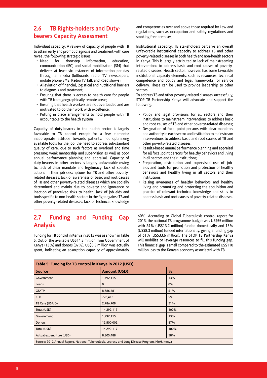## **2.6 TB Rights-holders and Dutybearers Capacity Assessment**

**Individual capacity:** A review of capacity of people with TB to attain early and prompt diagnosis and treatment with cure reveal the following strategic issues:

- Need for doorstep information, education, communication (IEC) and social mobilization (SM) that delivers at least six instances of information per day through all media (billboards, radio, TV, newspapers, mobile phone SMS, Radio/TV Talk and Road shows);
- Alleviation of financial, logistical and nutritional barriers to diagnosis and treatment;
- Ensuring that there is access to health care for people with TB from geographically remote areas;
- Ensuring that health workers are not overloaded and are motivated to do their work with excellence;
- Putting in place arrangements to hold people with TB accountable to the health system

Capacity of duty-bearers in the health sector is largely favorable to TB control except for a few elements: inappropriate attitude towards patients; not optimizing available tools for the job; the need to address sub-standard quality of care, due to such factors as overload and time pressure; weak mentorship and supervision as well as poor annual performance planning and appraisal. Capacity of duty-bearers in other sectors is largely unfavorable owing to: lack of clear mandate and legitimacy; lack of specific actions in their job descriptions for TB and other povertyrelated diseases; lack of awareness of basic and root causes of TB and other poverty-related diseases which are socially determined and mainly due to poverty and ignorance or inaction of perceived risks to health; lack of job aids and tools specific to non-health sectors in the fight against TB and other poverty-related diseases; lack of technical knowledge

## **2.7 Funding and Funding Gap Analysis**

Funding for TB control in Kenya in 2012 was as shown in Table 5. Out of the available US\$14.3 million from Government of Kenya (13%) and donors (87%), US\$8.3 million was actually spent, indicating an absorption capacity of approximately and competencies over and above those required by Law and regulations, such as occupation and safety regulations and smoking free premises;

**Institutional capacity:** TB stakeholders perceive an overall unfavorable institutional capacity to address TB and other poverty-related diseases in both health and non-health sectors in Kenya. This is largely attributed to lack of mainstreaming interventions to address basic and root causes of povertyrelated diseases. Health sector, however, has some favorable institutional capacity elements, such as resources, technical competence and policy and legal frameworks for service delivery. These can be used to provide leadership to other sectors.

To address TB and other poverty-related diseases successfully, STOP TB Partnership Kenya will advocate and support the following:

- Policy and legal provisions for all sectors and their institutions to mainstream interventions to address basic and root causes of TB and other poverty-related diseases;
- Designation of focal point persons with clear mandates and authority in each sector and institution to mainstream interventions to address basic and root causes of TB and other poverty-related diseases.
- Results-based annual performance planning and appraisal for all focal point persons for healthy behaviors and living in all sectors and their institutions;
- Preparation, distribution and supervised use of jobaids and tools for promotion and protection of healthy behaviors and healthy living in all sectors and their institutions;
- Raising awareness of healthy behaviors and healthy living and promoting and protecting the acquisition and practice of relevant technical knowledge and skills to address basic and root causes of poverty-related diseases.

60%. According to Global Tuberculosis control report for 2013, the national TB programme budget was US\$55 million with 24% (US\$13.2 million) funded domestically and 15% (US\$8.3 million) funded internationally, giving a funding gap of 61% (US\$33.6 million). The STOP TB Partnership Kenya will mobilize or leverage resources to fill this funding gap. This financial gap is small compared to the estimated US\$110 million loss to the Kenyan economy associated with TB.

| Table 5: Funding for TB control in Kenya in 2012 (USD)                                          |              |      |  |  |  |
|-------------------------------------------------------------------------------------------------|--------------|------|--|--|--|
| <b>Source</b>                                                                                   | Amount (USD) | $\%$ |  |  |  |
| Government                                                                                      | 1,792,115    | 13%  |  |  |  |
| Loans                                                                                           | $\mathbf{0}$ | 0%   |  |  |  |
| <b>GFATM</b>                                                                                    | 8,786,681    | 61%  |  |  |  |
| <b>CDC</b>                                                                                      | 726,412      | 5%   |  |  |  |
| TB Care (USAID)                                                                                 | 2,986,909    | 21%  |  |  |  |
| Total (USD)                                                                                     | 14,292,117   | 100% |  |  |  |
| Government                                                                                      | 1,792,115    | 13%  |  |  |  |
| <b>Donors</b>                                                                                   | 12,500,002   | 87%  |  |  |  |
| Total (USD)                                                                                     | 14,292,117   | 100% |  |  |  |
| Actual expenditure (USD)                                                                        | 8,305,488    | 58%  |  |  |  |
| Source: 2012 Annual Report, National Tuberculosis, Leprosy and Lung Disease Program, MoH, Kenya |              |      |  |  |  |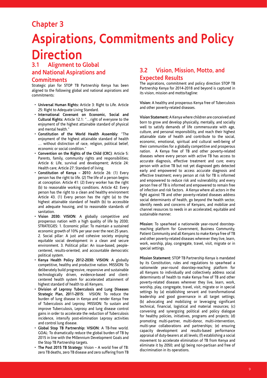## **Chapter 3**

## **Aspirations, Commitments and Policy Direction**

## **3.1 Alignment to Global and National Aspirations and**

## **Commitments**

Strategic plan for STOP TB Partnership Kenya has been aligned to the following global and national aspirations and commitments:

- **Universal Human Rights:** Article 3: Right to Life. Article 25: Right to Adequate Living Standard.
- **International Covenant on Economic, Social and Cultural Rights:** Article 12.1: "…right of everyone to the enjoyment of the highest attainable standard of physical and mental health."
- **Constitution of the World Health Assembly**: "The enjoyment of the highest attainable standard of health … without distinction of race, religion, political belief, economic or social condition."
- **Convention on the Rights of the Child (CRC)**: Article 5: Parents, family, community rights and responsibilities; Article 6: Life, survival and development; Article 24: Health care; Article 27: Standard of living.
- **Constitution of Kenya 201**0: Article 26: (1) Every person has the right to life. (2) The life of a person begins at conception. Article 41: (2) Every worker has the right (b) to reasonable working conditions. Article 42: Every person has the right to a clean and healthy environment Article 43. (1) Every person has the right (a) to the highest attainable standard of health (b) to accessible and adequate housing, and to reasonable standards of sanitation.
- **Vision 2030: VISION**: A globally competitive and prosperous nation with a high quality of life by 2030; STRATEGIES: 1. Economic pillar: To maintain a sustained economic growth of 10% per year over the next 25 years. 2. Social pillar: A just and cohesive society enjoying equitable social development in a clean and secure environment. 3. Political pillar: An issue-based, peoplecentered, results-oriented, and accountable democratic political system.
- **Kenya Health Policy 2012-2030: VISION**: A globally competitive, healthy and productive nation. MISSION: To deliberately build progressive, responsive and sustainable technologically driven, evidence-based and clientcentered health system for accelerated attainment of highest standard of health to all Kenyans.
- **Division of Leprosy Tuberculosis and Lung Diseases Strategic Plan, 2011-2015**: VISION: To reduce the burden of lung disease in Kenya and render Kenya free of Tuberculosis and Leprosy. MISSION: To sustain and improve Tuberculosis, Leprosy and lung disease control gains in order to accelerate the reduction of Tuberculosis incidence, intensify post-elimination Leprosy activities and control lung disease.
- **Global Stop TB Partnership: VISION**: A TB-free world. GOAL: To dramatically reduce the global burden of TB by 2015 in line with the Millennium Development Goals and the Stop TB Partnership targets.
- **The Post 2015 TB Strategy**: Vision A world free of TB: zero TB deaths, zero TB disease and zero suffering from TB

## **3.2 Vision, Mission, Motto, and Expected Results**

The aspirations, commitment and policy direction STOP TB Partnership Kenya for 2014-2018 and beyond is captured in its vision, mission and motto/tagline:

**Vision:** A healthy and prosperous Kenya free of Tuberculosis and other poverty-related diseases.

**Vision Statement:** A Kenya where children are conceived and born to grow and develop physically, mentally, and socially well to satisfy demands of life commensurate with age, culture, and personal responsibility, and reach their highest attainable state of health and contribute to the social, economic, emotional, spiritual and cultural well-being of their communities for a globally competitive and prosperous nation. A Kenya free of TB and other poverty-related diseases where every person with active TB has access to accurate diagnosis, effective treatment and cure; every person with active TB but not yet diagnosed gets detected early and empowered to access accurate diagnosis and effective treatment; every person at risk for TB is informed and empowered to reduce risk and vulnerability; and every person free of TB is informed and empowered to remain free of infection and risk factors. A Kenya where all actors in the fight against TB and other poverty-related diseases address social determinants of health, go beyond the health sector, identify needs and concerns of Kenyans, and mobilize and channel resources to needs in an accelerated, equitable and sustainable manner.

**Mission:** To spearhead a nationwide year-round doorstepreaching platform for Government, Business Community, Patient Community and all Kenyans to make Kenya free of TB and other poverty-related diseases wherever they live, learn, work, worship, play, congregate, travel, visit, migrate or in special settings.

**Mission Statement:** STOP TB Partnership Kenya is mandated by its Constitution, rules and regulations to spearhead a nationwide year-round doorstep-reaching platform for all Kenyans to individually and collectively address social determinants of health to make Kenya free of TB and other poverty-related diseases wherever they live, learn, work, worship, play, congregate, travel, visit, migrate or in special settings by (a) establishing servant and transformational leadership and good governance in all target settings; (b) advocating and mobilizing or leveraging significant technical, financial, logistical and material resources; (c) convening and synergizing political and policy dialogue for healthy policies, initiatives, programs and projects; (d) promoting multi-partner, multi-donor, multi-intervention, multi-year collaborations and partnerships; (e) ensuring capacity development and results-based performance appraisal of duty-bearers at all levels; (f) establishing a social movement to accelerate elimination of TB from Kenya and eliminate it by 2050; and (g) being non-partisan and free of discrimination in its operations.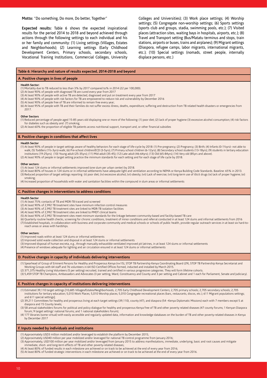**Motto:** "Do something, Do more, Do better, Together"

**Expected results:** Table 6 shows the expected inspirational results for the period 2014 to 2018 and beyond achieved through actions through the following settings to each individual and his or her family and community: (1) Living settings (Villages, Estates and Neighborhoods); (2) Learning settings (Early Childhood Development Centers, Primary schools, secondary schools, Vocational Training Institutions, Commercial Colleges, University Colleges and Universities); (3) Work place settings; (4) Worship settings; (5) Congregate non-worship settings; (6) Sports settings (sports club and groups, stadia, swimming pools, etc.); (7) Visited places (attraction sites, waiting bays in hospitals, airports, etc.); (8) Travel and Transport setting (Bus/Matatu terminus and stops, train stations, airports or buses, trains and airplanes); (9) Migrant settings (Diaspora, refugee camps, labor migrants, international migrants, etc.); (10) Special settings (nomads, street people, internally displace persons, etc.)

#### **Table 6: Hierarchy and nature of results expected, 2014-2018 and beyond**

#### **A. Positive changes in lives of people**

#### **Health Sector:**

(1) Mortality due to TB reduced to less than 3% by 2017 compared to% in 2014 (22 per 100,000).

(2) At least 90% of people with diagnosed TB are cured every year from 2017

(3) At least 90% of people with active TB are detected, diagnosed and put on treatment every year from 2017

(4) At least 90% of people with risk factors for TB are empowered to reduce risk and vulnerability by December 2016 (5) At least 90% of people free of TB are informed to remain free every year;

(6) At least 95% of people with TB and their families do not suffer excess illness, deaths, expenditure; suffering and destruction from TB related health disasters or emergencies from 2017.

#### **Other Sectors**

(1) Reduced percentage of people aged 15-85 years old displaying one or more of the following: (1) poor diet; (2) lack of proper hygiene (3) excessive alcohol consumption; (4) risk factors for diabetes such as obesity and (7) smoking;

(2) At least 60% the proportion of eligible TB patients access nutritional support, transport and, or other financial subsidies

#### **B. Positive changes in conditions that affect lives**

#### **Health Sector**

(1) At least 90% of people in target settings aware of healthy behaviors for each stage of life-cycle by 2018: (1) Pre-pregnancy; (2) Pregnancy; (3) Birth; (4) Infants (0-1½yrs)- not able to walk; (5) Toddlers (1½-3yrs)-walk; (6) Pre-school children/ECD (3-5yrs); (7) Primary school children (6-12yrs); (8) Secondary school students (13-18yrs); (9) students in tertiary education<br>institutions (19-25yrs); (10) Yo (2) At least 90% of people in target setting practice the minimum standards for each setting and for each stage of life cycle by 2018.

#### **Other sectors:**

(1) At least 124 slums or informal settlements improved (one slum per urban center) by 2018.

(2) At least 80% of houses in 124 slums or in informal settlements have adequate light and ventilation according to NEMA or Kenya Building Code Standards. Baseline: 65% in 2013. (3) Reduced proportion of target settings reporting (ii) poor diet; (iv) excessive alcohol; (vi) obesity; (vii) Lack of exercise; (vii) long-term use of illicit drugs (ix) lack of proper hygiene; (xi) smoking;

(4) Increased proportion of households with water and sanitation facilities within the compound in slum areas or informal settlements

#### **C. Positive changes in interventions to address conditions**

#### **Health Sector**

(1) At least 75% contacts of TB and MDR-TB traced and screened

(2) At least 90% of 2,992 TB treatment sites have minimum infection control measures

(3) At least 90% of 2,992 TB treatment sites are linked to MDR-TB isolation facilities

- (4) At least 90% of 2,992 TB treatment sites are linked to PMDT clinical teams (5) At least 90% of 2,992 TB treatment sites meet minimum standards for the linkage between community-based and facility-based TB care
- (6) Quarterly routine health checks, screening for chronic conditions, treatment of minor conditions and referral conducted in at least 124 slums and informal settlements from 2016 (7) Established hospitals, in collaboration with business and corporate community and medical schools or schools of public health, provide regular outreach services in at least six hard-toreach areas or areas with hardships.

#### **Other sectors:**

(1) Improved roads within at least 124 slums or informal settlements

(2) Improved solid waste collection and disposal in at least 124 slums or informal settlements

(3) Improved disposal of human excreta, e.g., through manually exhaustible ventilated improved pit latrines, in at least 124 slums or informal settlements

(4) Presence of windows adequate for lighting and air circulation ensured in at least 124 slums or informal settlements

#### **D. Positive changes in capacity of individuals delivering interventions**

(1) Spearhead of Group of Eminent Persons for Healthy and Prosperous Kenya (n=15), STOP TB Partnership Kenya Coordinating Board (29), STOP TB Partnership Kenya Secretariat and Working Groups with 64 staff and 76 volunteers in 64 ISO Certified Offices formed, inducted and installed by March 2015.

(2) 371,375 Healthy Living Volunteers (5 per setting) recruited, trained and certified in various progressive categories. They will form lifetime cohorts. (3) 5,459 STOP TB Champions, Ambassadors and Advocates (3 per setting, Ward, Constituency and County and 3 per setting and Cabinet and 1 each for Parliament, Senate and Judiciary).

### **E. Positive changes in capacity of institutions delivering interventions**

- (1) Estimated 39,110 target settings [10,685 Villages/Estates/Neighborhoods; 2,705 Early Childhood Development Centers; 2,705 primary schools; 2,705 secondary schools; 2,705 institutions for tertiary education; 5,010 Work Places; 5,010 Worship places; 5,010 Congregate recreational places (bars, restaurants, discos, etc.); 611 Migrant populations settings; and 611 special settings];
- (2) 39,211 Committees for healthy and prosperous living at each target settings (39,110), county (47), and diaspora (54 –Kenya Diplomatic Missions) each with 7 members except 5 at diaspora and 15 County levels;
- (3) 58 annual stakeholders forums for political and policy dialogue for healthy and prosperous Kenya free of TB and other poverty related diseases (47 county forums; 1 Kenyan Diaspora forum; 9 target settings' national forums; and 1 national stakeholders forum);
- (4) 177 libraries (some virtual) with easily accessible and regularly updated data, information and knowledge databases on the burden of TB and other poverty-related diseases in Kenya by December 2017

### **F. Inputs needed by individuals and institutions**

- (1) Approximately USD3 million mobilized and/or leveraged to establish the platform by December 2015; (2) Approximately USD40 million per year mobilized and/or leveraged for national TB control programme from January 2016;
- (3) Approximately, USD100 million per year mobilized and/or leveraged from January 2015 to address manifestations, immediate, underlying, basic and root causes and mitigate immediate, short- and long-term effects of TB and other poverty-related diseases;

(4) At least 80% of funded results in each milestone are achieved or on track to be achieved at the end of every year from 2016;

(5) At least 80% of funded strategic interventions in each milestone are achieved or on track to be achieved at the end of every year from 2016.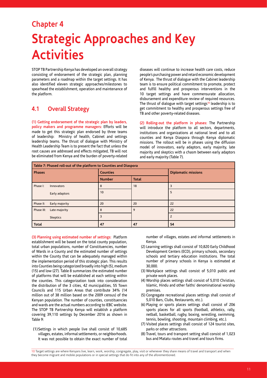## **Chapter 4 Strategic Approaches and Key Activities**

STOP TB Partnership Kenya has developed an overall strategy consisting of endorsement of the strategic plan, planning parameters and a roadmap within the target settings. It has also identified eleven strategic approaches/milestones to spearhead the establishment, operation and maintenance of the platform.

## **4.1 Overall Strategy**

**(1) Getting endorsement of the strategic plan by leaders, policy makers and programme managers:** Efforts will be made to get this strategic plan endorsed by three teams of leadership: Ministry of health, Cabinet and settings leadership teams. The thrust of dialogue with Ministry of Health Leadership Team is to present the fact that unless the root causes are addressed and effects mitigated, TB will not be eliminated from Kenya and the burden of poverty-related diseases will continue to increase health care costs, reduce people's purchasing power and retard economic development of Kenya. The thrust of dialogue with the Cabinet leadership team is to ensure political commitment to promote, protect and fulfill healthy and prosperous interventions in the 10 target settings and have commensurate allocation, disbursement and expenditure review of required resources. The thrust of dialogue with target settings<sup>10</sup> leadership is to get commitment to healthy and prosperous settings free of TB and other poverty-related diseases.

**(2) Rolling-out the platform in phases:** The Partnership will introduce the platform to all sectors, departments, institutions and organizations at national level and to all counties and Kenya Diaspora through Kenya diplomatic missions. The rollout will be in phases using the diffusion model of innovators, early adaptors, early majority, late majority and skeptics with a chasm between early adaptors and early majority (Table 7).

| Table 7: Phased roll-out of the platform to Counties and Diaspora |                 |                 |              |                            |  |  |
|-------------------------------------------------------------------|-----------------|-----------------|--------------|----------------------------|--|--|
| <b>Phases</b>                                                     |                 | <b>Counties</b> |              | <b>Diplomatic missions</b> |  |  |
|                                                                   |                 | <b>Number</b>   | <b>Total</b> |                            |  |  |
| Phase I:                                                          | Innovators      | 8               | 18           | ς                          |  |  |
|                                                                   | Early adaptors  | 10              |              | 5                          |  |  |
| Phase II:                                                         | Early majority  | 20              | 20           | 22                         |  |  |
| Phase III:                                                        | Late majority   | 8               | q            | 22                         |  |  |
|                                                                   | <b>Skeptics</b> | 3               |              | $\overline{2}$             |  |  |
| <b>Total</b>                                                      |                 | 47              | 47           | 54                         |  |  |

**(3) Planning using estimated number of settings:** Platform establishment will be based on the total county population, total urban populations, number of Constituencies, number of Wards in a County and the estimated number of settings within the County that can be adequately managed within the implementation period of this strategic plan. This results into Counties being categorized broadly into high (5), medium (15) and low (27). Table 8 summarizes the estimated number of platforms that will be established at each setting within the counties. This categorization took into consideration the distribution of the 3 cities, 42 municipalities, 55 Town Councils and 115 Urban Areas that contribute 34% (14 million out of 38 million based on the 2009 census) of the Kenyan population. The number of counties, constituencies and wards are the actual numbers according to IEBC website. The STOP TB Partnership Kenya will establish a platform covering 39,110 settings by December 2016 as shown in Table 9:

(1)Settings in which people live shall consist of 10,685 villages, estates, informal settlements, or neighborhoods. It was not possible to obtain the exact number of total number of villages, estates and informal settlements in Kenya.

- (2) Learning settings shall consist of 10,820 Early Childhood Development Centers (ECD), primary schools, secondary schools and tertiary education institutions. The total number of primary schools in Kenya is estimated at 30,000.
- (3) Workplace settings shall consist of 5,010 public and private work places.
- (4) Worship places settings shall consist of 5,010 Christian, Islamic, Hindu and other faiths' denominational worship premises.
- (5) Congregate recreational places settings shall consist of 5,010 Bars, Clubs, Restaurants, etc.).
- (6) Playing or sports places settings shall consist of 206 sports places for all sports (football, athletics, rally, netball, basketball, rugby, boxing, wrestling, swimming, tennis, bowling, shooting, mountain climbing, etc.).
- (7) Visited places settings shall consist of 124 tourist sites, parks or other attractions.
- (8) Travel, tours and transport setting shall consist of 1,023 bus and Matatu routes and travel and tours firms.

 $\_$  , and the set of the set of the set of the set of the set of the set of the set of the set of the set of the set of the set of the set of the set of the set of the set of the set of the set of the set of the set of th 10 Target settings are where Kenyans live, learn, work, worship, congregate, play, visit or whenever they share means of travel and transport and when they become migrant and mobile populations or in special settings that do fit into any of the aforementioned.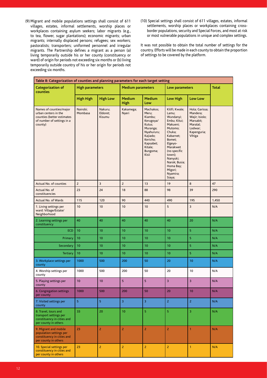- (9) Migrant and mobile populations settings shall consist of 611 villages, estates, informal settlements, worship places or workplaces containing asylum seekers; labor migrants (e.g., to tea, flower, sugar plantations); economic migrants; urban migrants; internally displaced persons; refugees; sex workers; pastoralists; transporters; uniformed personnel and irregular migrants. The Partnership defines a migrant as a person (a) living temporarily outside his or her county (constituency or ward) of origin for periods not exceeding six months or (b) living temporarily outside country of his or her origin for periods not exceeding six months.
- (10) Special settings shall consist of 611 villages, estates, informal settlements, worship places or workplaces containing crossborder populations, security and Special Forces, and most at risk or most vulnerable populations in unique and complex settings.

It was not possible to obtain the total number of settings for the country. Efforts will be made in each county to obtain the proportion of settings to be covered by the platform.

| Table 8: Categorization of counties and planning parameters for each target setting                                    |                        |                               |                              |                                                                                                                                                     |                                                                                                                                                                                                                                          |                                                                                                           |              |
|------------------------------------------------------------------------------------------------------------------------|------------------------|-------------------------------|------------------------------|-----------------------------------------------------------------------------------------------------------------------------------------------------|------------------------------------------------------------------------------------------------------------------------------------------------------------------------------------------------------------------------------------------|-----------------------------------------------------------------------------------------------------------|--------------|
| <b>Categorization of</b><br>counties                                                                                   | <b>High parameters</b> |                               | <b>Medium parameters</b>     |                                                                                                                                                     | Low parameters                                                                                                                                                                                                                           |                                                                                                           | <b>Total</b> |
|                                                                                                                        | <b>High High</b>       | <b>High Low</b>               | <b>Medium</b><br><b>High</b> | <b>Medium</b><br>Low                                                                                                                                | <b>Low High</b>                                                                                                                                                                                                                          | <b>Low Low</b>                                                                                            |              |
| Names of counties/major<br>urban centers in the<br>counties (better estimates<br>of number of settings in a<br>county) | Nairobi;<br>Mombasa    | Nakuru;<br>Eldoret;<br>Kisumu | Kakamega;<br>Nyeri           | Machakos;<br>Meru;<br>Kiambu;<br>Kerugoya/<br>Kutus;<br>Muranga;<br>Nyahururu;<br>Kajiado;<br>Kericho;<br>Kapsabet;<br>Kitale;<br>Bungoma;<br>Kisii | Kilifi; Kwale;<br>Lamu;<br>Wundanyi;<br>Embu; Kitui;<br>Makueni;<br>Mutomo:<br>Chuka;<br>Kabarnet;<br>Bomet;<br>Elgeyo-<br>Marakwet<br>(no specific<br>town);<br>Nanyuki;<br>Narok; Busia;<br>Homa Bay;<br>Migori;<br>Nyamira;<br>Siaya; | Hola; Garissa;<br>Mandera;<br>Wajir; Isiolo;<br>Marsabit;<br>Maralal;<br>Lodwar;<br>Kapenguria;<br>Vihiga |              |
| Actual No. of counties                                                                                                 | $\overline{c}$         | 3                             | $\overline{c}$               | 13                                                                                                                                                  | 19                                                                                                                                                                                                                                       | 8                                                                                                         | 47           |
| Actual No. of<br>constituencies                                                                                        | 23                     | 24                            | 18                           | 88                                                                                                                                                  | 98                                                                                                                                                                                                                                       | 39                                                                                                        | 290          |
| Actual No. of Wards                                                                                                    | 115                    | 120                           | 90                           | 440                                                                                                                                                 | 490                                                                                                                                                                                                                                      | 195                                                                                                       | 1,450        |
| 1. Living settings per<br>ward: Village/Estate/<br>Neighborhood                                                        | 10                     | 10                            | 10                           | 10                                                                                                                                                  | 5                                                                                                                                                                                                                                        | 3                                                                                                         | N/A          |
| 2. Learning settings per<br>constituency                                                                               | 40                     | 40                            | 40                           | 40                                                                                                                                                  | 40                                                                                                                                                                                                                                       | 20                                                                                                        | N/A          |
| <b>ECD</b>                                                                                                             | 10                     | 10                            | 10                           | 10                                                                                                                                                  | 10                                                                                                                                                                                                                                       | 5                                                                                                         | N/A          |
| Primary                                                                                                                | 10                     | 10                            | 10                           | 10                                                                                                                                                  | 10                                                                                                                                                                                                                                       | 5                                                                                                         | N/A          |
| Secondary                                                                                                              | 10                     | 10                            | 10                           | 10                                                                                                                                                  | 10                                                                                                                                                                                                                                       | 5                                                                                                         | N/A          |
| <b>Tertiary</b>                                                                                                        | 10                     | 10                            | 10                           | 10                                                                                                                                                  | 10                                                                                                                                                                                                                                       | 5                                                                                                         | N/A          |
| 3. Workplace settings per<br>county                                                                                    | 1000                   | 500                           | 200                          | 50                                                                                                                                                  | 20                                                                                                                                                                                                                                       | 10                                                                                                        | N/A          |
| 4. Worship settings per<br>county                                                                                      | 1000                   | 500                           | 200                          | 50                                                                                                                                                  | 20                                                                                                                                                                                                                                       | 10                                                                                                        | N/A          |
| 5. Playing settings per<br>county                                                                                      | 10                     | 10                            | 5                            | 5                                                                                                                                                   | 3                                                                                                                                                                                                                                        | 3                                                                                                         | N/A          |
| 6. Congregation settings<br>per county                                                                                 | 1000                   | 500                           | 200                          | 50                                                                                                                                                  | 20                                                                                                                                                                                                                                       | 10                                                                                                        | N/A          |
| 7. Visited settings per<br>county                                                                                      | 5                      | 5                             | 3                            | $\overline{3}$                                                                                                                                      | $\mathsf{2}$                                                                                                                                                                                                                             | $\overline{\mathbf{2}}$                                                                                   | N/A          |
| 8. Travel, tours and<br>transport settings per<br>constituency in cities and<br>per county in others                   | 33                     | 20                            | 10                           | $\overline{5}$                                                                                                                                      | $\sqrt{5}$                                                                                                                                                                                                                               | 3                                                                                                         | N/A          |
| 9. Migrant and mobile<br>population settings per<br>constituency in cities and<br>per county in others                 | 23                     | $\overline{2}$                | $\overline{c}$               | $\overline{2}$                                                                                                                                      | $\overline{c}$                                                                                                                                                                                                                           | $\mathbf{1}$                                                                                              | N/A          |
| 10. Special settings per<br>constituency in cities and<br>per county in others                                         | 23                     | $\overline{2}$                | $\overline{2}$               | $\overline{2}$                                                                                                                                      | $\overline{2}$                                                                                                                                                                                                                           | $\mathbf{1}$                                                                                              | N/A          |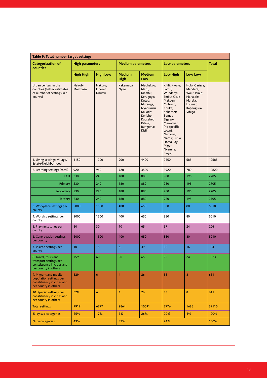| Table 9: Total number target settings                                                                  |                        |                               |                          |                                                                                                                                                     |                                                                                                                                                                                                                                          |                                                                                                           |              |  |  |
|--------------------------------------------------------------------------------------------------------|------------------------|-------------------------------|--------------------------|-----------------------------------------------------------------------------------------------------------------------------------------------------|------------------------------------------------------------------------------------------------------------------------------------------------------------------------------------------------------------------------------------------|-----------------------------------------------------------------------------------------------------------|--------------|--|--|
| <b>Categorization of</b><br>counties                                                                   | <b>High parameters</b> |                               | <b>Medium parameters</b> |                                                                                                                                                     | Low parameters                                                                                                                                                                                                                           |                                                                                                           | <b>Total</b> |  |  |
|                                                                                                        | <b>High High</b>       | <b>High Low</b>               | <b>Medium</b><br>High    | <b>Medium</b><br>Low                                                                                                                                | <b>Low High</b>                                                                                                                                                                                                                          | Low Low                                                                                                   |              |  |  |
| Urban centers in the<br>counties (better estimates<br>of number of settings in a<br>county)            | Nairobi;<br>Mombasa    | Nakuru;<br>Eldoret;<br>Kisumu | Kakamega;<br>Nyeri       | Machakos;<br>Meru;<br>Kiambu;<br>Kerugoya/<br>Kutus;<br>Muranga;<br>Nyahururu;<br>Kajiado;<br>Kericho;<br>Kapsabet;<br>Kitale;<br>Bungoma;<br>Kisii | Kilifi; Kwale;<br>Lamu;<br>Wundanyi;<br>Embu; Kitui;<br>Makueni;<br>Mutomo;<br>Chuka;<br>Kabarnet;<br>Bomet;<br>Elgeyo-<br>Marakwet<br>(no specific<br>town);<br>Nanyuki;<br>Narok; Busia;<br>Homa Bay;<br>Migori;<br>Nyamira;<br>Siaya; | Hola; Garissa;<br>Mandera;<br>Wajir; Isiolo;<br>Marsabit;<br>Maralal;<br>Lodwar;<br>Kapenguria;<br>Vihiga |              |  |  |
| 1. Living settings: Village/<br>Estate/Neighborhood                                                    | 1150                   | 1200                          | 900                      | 4400                                                                                                                                                | 2450                                                                                                                                                                                                                                     | 585                                                                                                       | 10685        |  |  |
| 2. Learning settings (total)                                                                           | 920                    | 960                           | 720                      | 3520                                                                                                                                                | 3920                                                                                                                                                                                                                                     | 780                                                                                                       | 10820        |  |  |
| <b>ECD</b>                                                                                             | 230                    | 240                           | 180                      | 880                                                                                                                                                 | 980                                                                                                                                                                                                                                      | 195                                                                                                       | 2705         |  |  |
| Primary                                                                                                | 230                    | 240                           | 180                      | 880                                                                                                                                                 | 980                                                                                                                                                                                                                                      | 195                                                                                                       | 2705         |  |  |
| Secondary                                                                                              | 230                    | 240                           | 180                      | 880                                                                                                                                                 | 980                                                                                                                                                                                                                                      | 195                                                                                                       | 2705         |  |  |
| <b>Tertiary</b>                                                                                        | 230                    | 240                           | 180                      | 880                                                                                                                                                 | 980                                                                                                                                                                                                                                      | 195                                                                                                       | 2705         |  |  |
| 3. Workplace settings per<br>county                                                                    | 2000                   | 1500                          | 400                      | 650                                                                                                                                                 | 380                                                                                                                                                                                                                                      | 80                                                                                                        | 5010         |  |  |
| 4. Worship settings per<br>county                                                                      | 2000                   | 1500                          | 400                      | 650                                                                                                                                                 | 380                                                                                                                                                                                                                                      | 80                                                                                                        | 5010         |  |  |
| 5. Playing settings per<br>county                                                                      | 20                     | 30                            | 10                       | 65                                                                                                                                                  | 57                                                                                                                                                                                                                                       | 24                                                                                                        | 206          |  |  |
| 6. Congregation settings<br>per county                                                                 | 2000                   | 1500                          | 400                      | 650                                                                                                                                                 | 380                                                                                                                                                                                                                                      | 80                                                                                                        | 5010         |  |  |
| 7. Visited settings per<br>county                                                                      | 10                     | 15                            | $6\phantom{a}$           | 39                                                                                                                                                  | 38                                                                                                                                                                                                                                       | 16                                                                                                        | 124          |  |  |
| 8. Travel, tours and<br>transport settings per<br>constituency in cities and<br>per county in others   | 759                    | 60                            | 20                       | 65                                                                                                                                                  | 95                                                                                                                                                                                                                                       | 24                                                                                                        | 1023         |  |  |
| 9. Migrant and mobile<br>population settings per<br>constituency in cities and<br>per county in others | 529                    | 6                             | $\overline{4}$           | 26                                                                                                                                                  | 38                                                                                                                                                                                                                                       | 8                                                                                                         | 611          |  |  |
| 10. Special settings per<br>constituency in cities and<br>per county in others                         | 529                    | 6                             | 4                        | 26                                                                                                                                                  | 38                                                                                                                                                                                                                                       | 8                                                                                                         | 611          |  |  |
| <b>Total settings</b>                                                                                  | 9917                   | 6777                          | 2864                     | 10091                                                                                                                                               | 7776                                                                                                                                                                                                                                     | 1685                                                                                                      | 39110        |  |  |
| % by sub-categories                                                                                    | 25%                    | 17%                           | 7%                       | 26%                                                                                                                                                 | 20%                                                                                                                                                                                                                                      | 4%                                                                                                        | 100%         |  |  |
| % by categories                                                                                        | 43%                    |                               | 33%                      |                                                                                                                                                     |                                                                                                                                                                                                                                          |                                                                                                           | 100%         |  |  |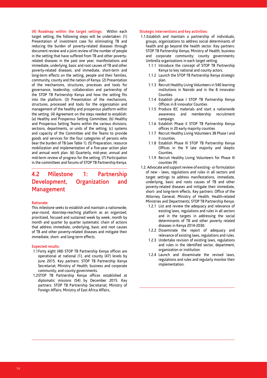**(4) Roadmap within the target settings:** Within each target setting, the following steps will be undertaken: (1) Presentation of investment case for eliminating TB and reducing the burden of poverty-related diseases through document review and a joint review of the number of people in the setting that have suffered from TB and other povertyrelated diseases in the past one year; manifestations and immediate, underlying, basic and root causes of TB and other poverty-related diseases; and immediate, short-term and long-term effects on the setting, people and their families, community, county and the nation of Kenya. (2) Presentation of the mechanisms, structures, processes and tools for governance, leadership, collaboration and partnership of the STOP TB Partnership Kenya and how the setting fits into the platform. (3) Presentation of the mechanisms, structures, processed and tools for the organization and management of the healthy and prosperous platform within the setting. (4) Agreement on the steps needed to establish: (a) Healthy and Prosperous Setting Committee; (b) Healthy and Prosperous Setting Teams within the various divisions, sections, departments, or units of the setting; (c) systems and capacity of the Committee and the Teams to provide goods and services for the four categories of persons who bear the burden of TB (see Table 1). (5) Preparation, resource mobilization and implementation of a five-year action plan and annual work plan. (6) Quarterly, mid-year, annual and mid-term review of progress for the setting. (7) Participation in the committees and forums of STOP TB Partnership Kenya.

## **4.2 Milestone 1: Partnership Development, Organization and Management**

#### **Rationale:**

This milestone seeks to establish and maintain a nationwide, year-round, doorstep-reaching platform as an organized, prioritized, focused and sustained week by week, month by month and quarter by quarter systematic chain of actions that address immediate, underlying, basic and root causes of TB and other poverty-related diseases and mitigate their immediate, short- and long-term effects.

#### **Expected results:**

- 1.1Forty eight (48) STOP TB Partnership Kenya offices are operational at national (1), and county (47) levels by June 2015. Key partners: STOP TB Partnership Kenya Secretariat; Ministry of Health; business and corporate community; and county governments.
- 1.2STOP TB Partnership Kenya offices established at diplomatic missions (54) by December 2015. Key partners: STOP TB Partnership Secretariat; Ministry of Foreign Affairs; Ministry of East Africa Affairs,

- 1.1.Establish and maintain a partnership of individuals, groups, organizations to address social determinants of health and go beyond the health sector. Key partners: STOP TB Partnership Kenya; Ministry of Health; business and corporate community; county governments; Umbrella organizations in each target setting.
	- 1.1.1 Introduce the concept of STOP TB Partnership Kenya to key national and county actors.
	- 1.1.2 Launch the STOP TB Partnership Kenya strategic plan.
	- 1.1.3 Recruit Healthy Living Volunteers in 540 learning institutions in Nairobi and in the 8 innovator Counties.
	- 1.1.4 Establish phase I STOP TB Partnership Kenya Offices in 8 innovator Counties
	- 1.1.5 Produce IEC materials and start a nationwide awareness and membership recruitment campaign.
	- 1.1.6 Establish Phase II STOP TB Partnership Kenya offices in 20 early majority counties
	- 1.1.7 Recruit Healthy Living Volunteers 38 Phase I and II counties.
	- 1.1.8 Establish Phase III STOP TB Partnership Kenya Offices in the 9 late majority and skeptic Counties.
	- 1.1.9 Recruit Healthy Living Volunteers for Phase III counties (9)
- 1.2. Advocate and support review of existing or formulation of new - laws, regulations and rules in all sectors and target settings to address manifestations, immediate, underlying, basic and roots causes of TB and other poverty-related diseases and mitigate their immediate, short- and long-term effects. Key partners: Office of the Attorney General; Ministry of Health; Health-related Ministries and Departments; STOP TB Partnership Kenya.
	- 1.2.1 List and review the adequacy and relevance of existing laws, regulations and rules in all sectors and in the targets in addressing the social determinants of TB and other poverty related diseases in Kenya 2014-2030.
	- 1.2.2 Disseminate the report of adequacy and relevance of existing laws, regulations and rules.
	- 1.2.3 Undertake revision of existing laws, regulations and rules in the identified sector, department, organization or institution.
	- 1.2.4 Launch and disseminate the revised laws, regulations and rules and regularly monitor their implementation.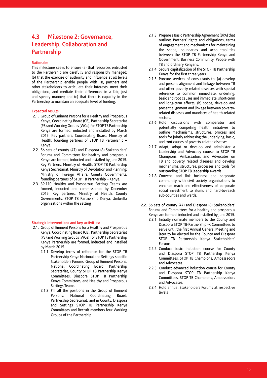## **4.3 Milestone 2: Governance, Leadership, Collaboration and Partnership**

### **Rationale:**

This milestone seeks to ensure (a) that resources entrusted to the Partnership are carefully and responsibly managed; (b) that the exercise of authority and influence at all levels of the Partnership enable people with TB, partners and other stakeholders to articulate their interests, meet their obligations, and mediate their differences in a fair, just and speedy manner; and (c) that there is capacity in the Partnership to maintain an adequate level of funding.

#### **Expected results:**

- 2.1. Group of Eminent Persons for a Healthy and Prosperous Kenya, Coordinating Board (CB), Partnership Secretariat (PS) and Working Groups (WGs) for STOP TB Partnership Kenya are formed, inducted and installed by March 2015. Key partners: Coordinating Board; Ministry of Health; founding partners of STOP TB Partnership – Kenya.
- 2.2. 56 sets of county (47) and Diaspora (8) Stakeholders' Forums and Committees for healthy and prosperous Kenya are formed, inducted and installed by June 2015. Key Partners: Ministry of Health; STOP TB Partnership Kenya Secretariat; Ministry of Devolution and Planning; Ministry of Foreign Affairs; County Governments; founding partners of STOP TB Partnership – Kenya.
- 2.3. 39,110 Healthy and Prosperous Settings Teams are formed, inducted and commissioned by December 2015. Key partners: Ministry of Health; County Governments; STOP TB Partnership Kenya; Umbrella organizations within the setting

- 2.1. Group of Eminent Persons for a Healthy and Prosperous Kenya, Coordinating Board (CB), Partnership Secretariat (PS) and Working Groups (WGs) for STOP TB Partnership Kenya Partnership are formed, inducted and installed by March 2015.
	- 2.1.1 Develop terms of reference for the STOP TB Partnership Kenya National and Settings-specific Stakeholders Forums, Group of Eminent Persons, National Coordinating Board, Partnership Secretariat, County STOP TB Partnership Kenya Committees, Diaspora STOP TB Partnership Kenya Committees, and Healthy and Prosperous Settings Teams.
	- 2.1.2 Fill all the positions in the Group of Eminent Persons; National Coordinating Board; Partnership Secretariat; and in County, Diaspora and Settings STOP TB Partnership Kenya Committees and Recruit members four Working Groups of the Partnership
- 2.1.3 Prepare a Basic Partnership Agreement (BPA) that outlines Partners' rights and obligations, terms of engagement and mechanisms for maintaining the scope, boundaries and accountabilities between the STOP TB Partnership Kenya and Government, Business Community, People with TB and ordinary Kenyans.
- 2.1.4 Secure capitalization of the STOP TB Partnership Kenya for the first three years.
- 2.1.5 Procure services of consultants to: (a) develop and present alignment and linkage between TB and other poverty-related diseases with special reference to common immediate, underling, basic and root causes and immediate, short-term and long-term effects; (b) scope, develop and present alignment and linkage between povertyrelated diseases and mandates of health-related sectors.
- 2.1.6 Hold discussions with comparator and potentially competing health initiatives to outline mechanisms, structures, process and tools for jointly addressing the underlying, basic, and root causes of poverty-related diseases.
- 2.1.7 Adapt, adopt or develop and administer a Leadership and Advocacy course to STOP TB Champions, Ambassadors and Advocates on TB and poverty related diseases and develop mechanisms, structures, processes and tools for outstanding STOP TB leadership awards.
- 2.1.8 Convene and link business and corporate community with civil society organizations to enhance reach and effectiveness of corporate social investment to slums and hard-to-reach sub-counties and wards.
- 2.2. 56 sets of county (47) and Diaspora (8) Stakeholders' Forums and Committees for a healthy and prosperous Kenya are formed, inducted and installed by June 2015.
	- 2.2.1 Initially nominate members to the County and Diaspora STOP TB-Partnership -K Committees to serve until the first Annual General Meeting and later to be elected by the County and Diaspora STOP TB Partnership Kenya Stakeholders' Forums.
	- 2.2.2 Conduct basic induction course for County and Diaspora STOP TB Partnership Kenya Committees, STOP TB Champions, Ambassadors and Advocates.
	- 2.2.3 Conduct advanced induction course for County and Diaspora STOP TB Partnership Kenya Committees, STOP TB Champions, Ambassadors and Advocates.
	- 2.2.4 Hold annual Stakeholders Forums at respective levels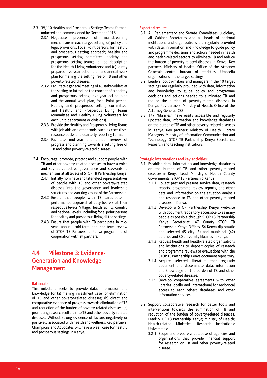- 2.3. 39,110 Healthy and Prosperous Settings Teams formed, inducted and commissioned by December 2015.
	- 2.3.1 Negotiate presence of mainstreaming mechanisms in each target setting: (a) policy and legal provisions; Focal Point persons for healthy and prosperous setting approach; healthy and prosperous setting committee; healthy and prosperous setting teams; (b) job description for the Health Living Volunteers; and (c) jointly prepared five-year action plan and annual work plan for making the setting free of TB and other poverty-related diseases
	- 2.3.2 Facilitate a general meeting of all stakeholders at the setting to introduce the concept of a healthy and prosperous setting, five-year action plan and the annual work plan, focal Point person, Healthy and prosperous setting committee; and Healthy and Prosperous Living Teams (committee and Healthy Living Volunteers for each unit, department or divisions).
	- 2.3.3 Provide the Healthy and Prosperous Living Teams with job aids and other tools, such as checklists, resource packs and quarterly reporting forms.
	- 2.3.4 Facilitate mid-year and annual review of progress and planning towards a setting free of TB and other poverty-related diseases.
- 2.4 Encourage, promote, protect and support people with TB and other poverty-related diseases to have a voice and say at collective governance and stewardship mechanisms at all levels of STOP TB Partnership Kenya.
	- 2.4.1 Initially nominate and later elect representatives of people with TB and other poverty-related diseases into the governance and leadership structures and working groups of the Partnership.
	- 2.4.2 Ensure that people with TB participate in performance appraisal of duty-bearers at their respective levels: Village, Health facility, country and national levels, including focal point persons for healthy and prosperous living all the settings.
	- 2.4.3 Ensure that people with TB participate in midyear, annual, mid-term and end-term review of STOP TB Partnership Kenya programme of cooperation with all partners.

## **4.4 Milestone 3: Evidence-Generation and Knowledge Management**

### **Rationale:**

This milestone seeks to provide data, information and knowledge for (a) making investment case for elimination of TB and other poverty-related diseases; (b) direct and comparative evidence of progress towards elimination of TB and reduction of the burden of poverty-related diseases; (c) promoting research culture into TB and other poverty-related diseases. Without strong evidence of factors negatively or positively associated with health and wellness, Key partners, Champions and Advocates will have a weak case for healthy and prosperous settings in Kenya.

### **Expected results:**

- 3.1. All Parliamentary and Senate Committees, Judiciary, all Cabinet Secretaries and all heads of national institutions and organizations are regularly provided with data, information and knowledge to guide policy and programme decisions and actions needed in health and health-related sectors to eliminate TB and reduce the burden of poverty-related diseases in Kenya. Key partners: Ministry of Health; Office of the Attorney General; central bureau of statistics, Umbrella organizations in the target settings.
- 3.2. Leaders, policy-makers and managers in the 10 target settings are regularly provided with data, information and knowledge to guide policy and programme decisions and actions needed to eliminated TB and reduce the burden of poverty-related diseases in Kenya. Key partners: Ministry of Health; Office of the Attorney General, CBS.
- 3.3. 177 "libraries" have easily accessible and regularly updated data, information and knowledge databases on the burden of TB and other poverty-related diseases in Kenya. Key partners: Ministry of Health; Library Managers; Ministry of Information Communication and Technology; STOP TB Partnership Kenya Secretariat, Research and teaching institutions.

- 3.1 Establish data, information and knowledge databases on the burden of TB and other poverty-related diseases in Kenya. Lead: Ministry of Health; County Governments; STOP TB Partnership Kenya
	- 3.1.1 Collect past and present service data, research reports, programme review reports, and other data and information on the situation analysis and response to TB and other poverty-related diseases in Kenya.
	- 3.1.2 Develop a STOP Partnership Kenya web-site with document repository accessible to as many people as possible through STOP TB Partnership Kenya Secretariat, 47 County STOP TB Partnership Kenya Offices, 54 Kenya diplomatic and selected 45 city (3) and municipal (42) libraries and 30 university libraries in Kenya.
	- 3.1.3 Request health and health-related organizations and institutions to deposit copies of research and programme reviews or evaluations with the STOP TB Partnership Kenya document repository.
	- 3.1.4 Acquire selected literature that regularly document and disseminate data, information and knowledge on the burden of TB and other poverty-related diseases.
	- 3.1.5 Develop cooperative agreements with other libraries locally and international for reciprocal access to each other's databases and other information services
- 3.2 Support collaborative research for better tools and interventions towards the elimination of TB and reduction of the burden of poverty-related diseases. Lead: STOP TB Partnership Kenya; Ministry of Health; Health-related Ministries; Research Institutions; Universities;
	- 3.2.1 Scope and prepare a database of agencies and organizations that provide financial support for research on TB and other poverty-related disease.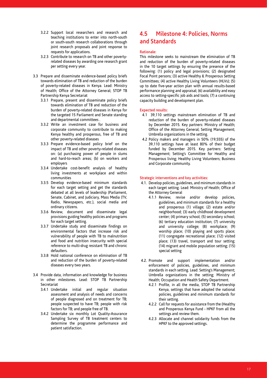- 3.2.2 Support local researchers and research and teaching institutions to enter into north-south or south-south research collaborations through joint research proposals and joint response to requests for applications.
- 3.2.3 Contribute to research on TB and other povertyrelated diseases by awarding one research grant per setting every year.
- 3.3 Prepare and disseminate evidence-based policy briefs towards elimination of TB and reduction of the burden of poverty-related diseases in Kenya. Lead: Ministry of Health; Office of the Attorney General; STOP TB Partnership Kenya Secretariat
	- 3.3.1 Prepare, present and disseminate policy briefs towards elimination of TB and reduction of the burden of poverty-related diseases in Kenya for the targeted 15 Parliament and Senate standing and departmental committees .
	- 3.3.2 Write an investment case for business and corporate community to contribute to making Kenya healthy and prosperous, free of TB and other poverty-related diseases
	- 3.3.3 Prepare evidence-based policy brief on the impact of TB and other poverty-related diseases on: (a) purchasing power of people in slums and hard-to-reach areas; (b) on workers and employers
	- 3.3.4 Undertake cost-benefit analysis of healthy living investments at workplace and within communities
	- 3.3.5 Develop evidence-based minimum standards for each target setting and get the standards debated at all levels of leadership (Parliament, Senate, Cabinet, and Judiciary, Mass Media (TV, Radio, Newspapers, etc.), social media and ordinary citizens.
	- 3.3.6 Review, document and disseminate legal provisions guiding healthy policies and programs for each target setting.
	- 3.3.7 Undertake study and disseminate findings on environmental factors that increase risk and vulnerability of people with TB to malnutrition and food and nutrition insecurity with special reference to multi-drug resistant TB and chronic defaulters.
	- 3.3.8 Hold national conference on elimination of TB and reduction of the burden of poverty-related diseases every two years.
- 3.4 Provide data, information and knowledge for business in other milestones. Lead: STOP TB Partnership Secretariat
	- 3.4.1 Undertake initial and regular situation assessment and analysis of needs and concerns of people diagnosed and on treatment for TB; people suspected to have TB; people with risk factors for TB; and people free of TB.
	- 3.4.2 Undertake six monthly Lot Quality-Assurance Sampling Survey of TB treatment centers to determine the programme performance and patient satisfaction.

## **4.5 Milestone 4: Policies, Norms and Standards**

### **Rationale:**

This milestone seeks to mainstream the elimination of TB and reduction of the burden of poverty-related diseases in the 10 target settings by ensuring the presence of the following: (1) policy and legal provisions; (2) designated Focal Point persons; (3) active Healthy & Prosperous Setting Committees; (4) active Healthy Living Volunteers (HLVs); (5) up to date five-year action plan with annual results-based performance planning and appraisal; (6) availability and easy access to setting-specific job aids and tools; (7) a continuing capacity building and development plan.

## **Expected results:**

- 4.1 39,110 settings mainstream elimination of TB and reduction of the burden of poverty-related diseases by December 2015. Key partners: Ministry of Health; Office of the Attorney General; Setting Management; Umbrella organizations in the setting.
- 4.2 Policy makers and managers in 50% (19,555) of the 39,110 settings have at least 80% of their budget funded by December 2015. Key partners: Setting Management; Setting's Committee for Healthy and Prosperous living; Healthy Living Volunteers; Business and Corporate community.

- 4.1. Develop policies, guidelines, and minimum standards in each target setting. Lead: Ministry of Health; Office of the Attorney General
	- 4.1.1 Review, revise and/or develop policies, guidelines, and minimum standards for a healthy and prosperous (1) village; (2) estate and/or neighborhood; (3) early childhood development center; (4) primary school; (5) secondary school; (6) tertiary education institution; (7) university and university college; (8) workplace; (9) worship place; (10) playing and sports place; (11) congregate recreational place; (12) visited place; (13) travel, transport and tour setting; (14) migrant and mobile population setting; (15) special setting
- 4.2. Promote and support implementation and/or enforcement of policies, guidelines, and minimum standards in each setting. Lead: Setting's Management; Umbrella organizations in the setting; Ministry of Health; Occupation and Health Safety Department.
	- 4.2.1 Profile, in all the media, STOP TB Partnership Kenya, settings that have adopted the national policies, guidelines and minimum standards for their setting.
	- 4.2.2 Call for requests for assistance from the (Healthy and Prosperous Kenya Fund - HPKF from all the settings and review them.
	- 4.2.3 Allocate and channel solidarity funds from the HPKF to the approved settings.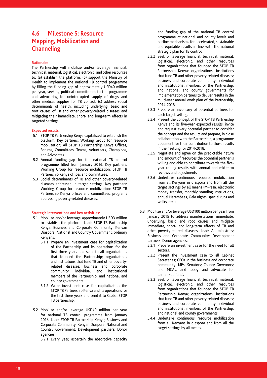## **4.6 Milestone 5: Resource Mapping, Mobilization and Channeling**

### **Rationale:**

The Partnership will mobilize and/or leverage financial, technical, material, logistical, electronic, and other resources to: (a) establish the platform; (b) support the Ministry of Health to implement the national TB control programme by filling the funding gap of approximately USD40 million per year, seeking political commitment to the programme and advocating for uninterrupted supply of drugs and other medical supplies for TB control; (c) address social determinants of health, including underlying, basic and root causes of TB and other poverty-related diseases and mitigating their immediate, short- and long-term effects in targeted settings.

### **Expected results:**

- 5.1 STOP TB Partnership Kenya capitalized to establish the platform. Key partners: Working Group for resource mobilization; All STOP TB Partnership Kenya Offices, Forums, Committees, Teams, Volunteers, Champions, and Advocates
- 5.2 Annual funding gap for the national TB control programme filled from January 2016. Key partners: Working Group for resource mobilization; STOP TB Partnership Kenya offices and committees.
- 5.3 Social determinants of TB and other poverty-related diseases addressed in target settings. Key partners: Working Group for resource mobilization; STOP TB Partnership Kenya offices and committees; programs addressing poverty-related diseases.

### **Strategic interventions and key activities:**

- 5.1 Mobilize and/or leverage approximately USD3 million to establish the platform. Lead: STOP TB Partnership Kenya; Business and Corporate Community; Kenyan Diaspora; National and Country Government; ordinary Kenyans;
	- 5.1.1 Prepare an investment case for capitalization of the Partnership and its operations for the first three years and send to all organizations that founded the Partnership; organizations and institutions that fund TB and other povertyrelated diseases; business and corporate community; individual and institutional members of the Partnership; and national and county governments.
	- 5.1.2 Write investment case for capitalization the STOP TB Partnership Kenya and its operations for the first three years and send it to Global STOP TB partnership.
- 5.2 Mobilize and/or leverage USD40 million per year for national TB control programme from January 2016. Lead: STOP TB Partnership Kenya; Business and Corporate Community; Kenyan Diaspora; National and Country Government; Development partners; Donor agencies

5.2.1 Every year, ascertain the absorptive capacity

and funding gap of the national TB control programme at national and county levels and outline mechanisms for accelerated, sustainable and equitable results in line with the national strategic plan for TB control.

- 5.2.2 Seek or leverage financial, technical, material, logistical, electronic, and other resources from organizations that founded the STOP TB Partnership Kenya; organizations, institutions that fund TB and other poverty-related diseases; business and corporate community; individual and institutional members of the Partnership; and national and county governments for implementation partners to deliver results in the multi-year annual work plan of the Partnership, 2014-2018
- 5.2.3 Prepare an inventory of potential partners for each target setting.
- 5.2.4 Present the concept of the STOP TB Partnership Kenya and its five-year expected results, invite and request every potential partner to consider the concept and the results and prepare, in close collaboration with the Partnership, a programme document for their contribution to those results in their setting for 2014-2018.
- 5.2.5 Negotiate and agree on the predictable nature and amount of resources the potential partner is willing and able to contribute towards the fiveyear rolling results with annual and mid-term reviews and adjustments
- 5.2.6 Undertake continuous resource mobilization from all Kenyans in diaspora and from all the target settings by all means (M-Pesa, electronic money transfer, monthly standing instructions, annual Harambees, Gala nights, special runs and walks, etc.)
- 5.3 Mobilize and/or leverage USD100 million per year from January 2015 to address manifestations, immediate, underlying, basic and root causes and mitigate immediate, short- and long-term effects of TB and other poverty-related diseases. Lead: All ministries; Business and Corporate Community; Development partners; Donor agencies;
	- 5.3.1 Prepare an investment case for the need for all sectors.
	- 5.3.2 Present the investment case to all Cabinet Secretaries; CEOs in the business and corporate community; MPs; Senators; County Governors; and MCAs, and lobby and advocate for earmarked funds
	- 5.3.3 Seek or leverage financial, technical, material, logistical, electronic, and other resources from organizations that founded the STOP TB Partnership Kenya; organizations, institutions that fund TB and other poverty-related diseases; business and corporate community; individual and institutional members of the Partnership; and national and county governments.
	- 5.4.4 Undertake continuous resource mobilization from all Kenyans in diaspora and from all the target settings by all means.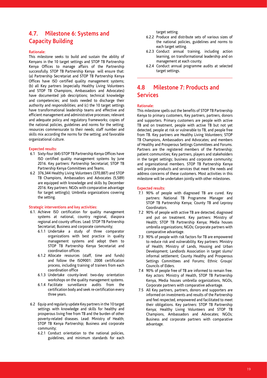## **4.7. Milestone 6: Systems and Capacity Building**

#### **Rationale:**

This milestone seeks to build and sustain the ability of Kenyans in the 10 target settings and STOP TB Partnership Kenya Offices to manage affairs of the Partnership successfully. STOP TB Partnership Kenya will ensure that: (a) Partnership Secretariat and STOP TB Partnership Kenya Offices have ISO certified quality management systems; (b) all Key partners (especially Healthy Living Volunteers and STOP TB Champions, Ambassadors and Advocates) have documented job descriptions; technical knowledge and competencies; and tools needed to discharge their authority and responsibilities; and (c) the 10 target settings have transformational leadership teams and effective and efficient management and administrative processes; relevant and adequate policy and regulatory frameworks; copies of the national policies, guidelines and norms for the setting; resources commensurate to their needs; staff number and skills mix according the norms for the setting; and favorable organizational culture.

#### **Expected results:**

- 6.1 Sixty-four (64)-STOP TB Partnership Kenya Offices have ISO certified quality management systems by June 2016. Key partners: Partnership Secretariat; STOP TB Partnership Kenya Committees and Teams.
- 6.2 376,344 Healthy Living Volunteers (370,887) and STOP TB Champions, Ambassadors and Advocates (5,589) are equipped with knowledge and skills by December 2016. Key partners: NGOs with comparative advantage for target setting(s); Umbrella organizations covering the setting.

#### **Strategic interventions and key activities:**

- 6.1. Achieve ISO certification for quality management systems at national, country regional, diaspora regional and county offices. Lead: STOP TB Partnership Secretariat; Business and corporate community;
	- 6.1.1 Undertake a study of three comparator organizations with best practice in quality management systems and adopt them to STOP TB Partnership Kenya Secretariat and coordination offices
	- 6.1.2 Allocate resources (staff, time and funds) and follow the ISO9001: 2008 certification process, including training of trainers from each coordination office
	- 6.1.3 Undertake county-level two-day orientation workshops on the quality management systems.
	- 6.1.4 Facilitate surveillance audits from the certification body and seek re-certification every three years.
- 6.2 Equip and regularly update Key partners in the 10 target settings with knowledge and skills for healthy and prosperous living free from TB and the burden of other poverty-related diseases. Lead: Ministry of Health; STOP TB Kenya Partnership; Business and corporate community;
	- 6.2.1 Conduct orientation to the national policies, guidelines, and minimum standards for each

target setting.

- 6.2.2 Produce and distribute sets of various sizes of the national policies, guidelines and norms to each target setting.
- 6.2.3 Conduct annual training, including action learning, on transformational leadership and on management at each county.
- 6.2.4 Conduct annual programme audits at selected target settings.

## **4.8 Milestone 7: Products and Services**

### **Rationale:**

This milestone spells out the benefits of STOP TB Partnership Kenya to primary customers, Key partners, partners, donors and supporters. Primary customers are people with active TB and on treatment, people with active TB but not yet detected, people at risk or vulnerable to TB, and people free from TB. Key partners are Healthy Living Volunteers; STOP TB Champions, Ambassadors and Advocates; and members of Healthy and Prosperous Settings Committees and Forums. Partners are the registered members of the Partnership; patient communities; Key partners, players and stakeholders in the target settings; business and corporate community; and organizational members. STOP TB Partnership Kenya will provide products and services that meet the needs and address concerns of these customers. Most activities in this milestone will be undertaken jointly with other milestones.

#### **Expected results:**

- 7.1 90% of people with diagnosed TB are cured. Key partners: National TB Programme Manager and STOP TB Partnership Kenya; County TB and Leprosy Coordinators.
- 7.2 90% of people with active TB are detected, diagnosed and put on treatment. Key partners: Ministry of Health; STOP TB Partnership Kenya; Media houses umbrella organizations; NGOs; Corporate partners with comparative advantage.
- 7.3 90% of people with risk factors for TB are empowered to reduce risk and vulnerability. Key partners: Ministry of Health; Ministry of Lands, Housing and Urban Development; Landlords Association in target slums/ informal settlement; County Healthy and Prosperous Settings Committees and Forums; Ethnic Groups' Councils of Elders.
- 7.4 90% of people free of TB are informed to remain free. Key actors: Ministry of Health, STOP TB Partnership Kenya, Media houses umbrella organizations, NGOs, Corporate partners with comparative advantage.
- 7.5 All Key partners, partners, donors and supporters are informed on investments and results of the Partnership and feel respected, empowered and facilitated to meet their obligations. Key partners: STOP TB Partnership Kenya; Healthy Living Volunteers and STOP TB Champions, Ambassadors and Advocates; NGOs; Business and corporate partners with comparative advantage.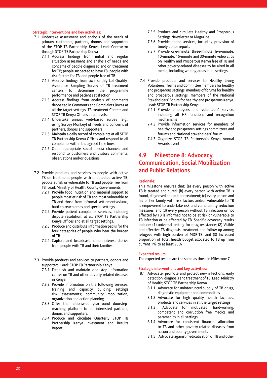#### **Strategic interventions and key activities:**

- 7.1 Undertake assessment and analysis of the needs of primary customers, partners, donors and supporters of the STOP TB Partnership Kenya. Lead: Contractor through STOP TB Partnership Kenya
	- 7.1.1 Address findings from initial and regular situation assessment and analysis of needs and concerns of people diagnosed and on treatment for TB; people suspected to have TB; people with risk factors for TB; and people free of TB
	- 7.1.2 Address findings from six monthly Lot Quality-Assurance Sampling Survey of TB treatment centers to determine the programme performance and patient satisfaction
	- 7.1.3 Address findings from analysis of comments deposited in Comments and Complaints Boxes at all the target settings, TB treatment Centers and STOP TB Kenya Offices at all levels.
	- 7.1.4 Undertake annual web-based survey (e.g., using Survey Monkey) of needs and concerns of partners, donors and supporters
	- 7.1.5 Maintain a daily record of complaints at all STOP TB Partnership Kenya Offices and respond to all complaints within the agreed time lines.
	- 7.1.6 Open appropriate social media channels and respond to customers and visitors comments, observations and/or questions
- 7.2 Provide products and services to people with active TB on treatment, people with undetected active TB, people at risk or vulnerable to TB and people free from TB. Lead: Ministry of Health; County Governments;
	- 7.2.1 Provide food, nutrition and material support to people most at risk of TB and most vulnerable to TB and those from informal settlements/slums, hard-to-reach areas and special settings.
	- 7.2.2 Provide patient complaints services, including dispute resolution, at all STOP TB Partnership Kenya Offices and at all target settings.
	- 7.2.3 Produce and distribute information packs for the four categories of people who bear the burden of TB.
	- 7.2.4 Capture and broadcast human-interest stories from people with TB and their families.
- 7.3 Provide products and services to partners, donors and supporters. Lead: STOP TB Partnership Kenya
	- 7.3.1 Establish and maintain one stop information center on TB and other poverty-related diseases in Kenya.
	- 7.3.2 Provide information on the following services: training and capacity building; settings risk assessments; community mobilization, organization and action planning.
	- 7.3.3 Offer the nationwide year-round doorstepreaching platform to all interested partners, donors and supporters.
	- 7.3.4 Produce and circulate Quarterly STOP TB Partnership Kenya Investment and Results Report.
- 7.3.5 Produce and circulate Healthy and Prosperous Settings Newsletter or Magazine.
- 7.3.6 Provide donor services, including provision of timely donor reports
- 7.3.7 Provide one-minute, three-minute, five-minute, 10-minute, 15-minute and 30-minute video clips on Healthy and Prosperous Kenya free of TB and other poverty-related diseases to be aired in all media, including waiting areas in all settings.
- 7.4 Provide products and services to Healthy Living Volunteers; Teams and Committee members for healthy and prosperous settings; members of forums for healthy and prosperous settings; members of the National Stakeholders' Forum for healthy and prosperous Kenya. Lead: STOP TB Partnership Kenya
	- 7.4.1 Provide employees and volunteers' service, including all HR functions and recognition mechanisms
	- 7.4.2 Provide information services for members of healthy and prosperous settings committees and forums and National stakeholders' forum
	- 7.4.3 Organize STOP TB Partnership Kenya Annual Awards event.

## **4.9 Milestone 8: Advocacy, Communication, Social Mobilization and Public Relations**

#### **Rationale:**

This milestone ensures that: (a) every person with active TB is treated and cured; (b) every person with active TB is found, diagnosed and put on treatment; (c) every person and his or her family with risk factors and/or vulnerable to TB is empowered to undertake risk and vulnerability reduction measures; and (d) every person without TB infection or not affected by TB is informed not to be at risk or vulnerable to TB infection or be affected by TB. Specific advocacy results include: (1) universal testing for drug resistance; (2) Visible and effective TB diagnosis, treatment and follow-up among refugees with high burden of MDR-TB; and (3) Increased proportion of Total health budget allocated to TB up from current 1% to at least 25%

#### **Expected results:**

The expected results are the same as those in Milestone 7.

- 8.1 Advocate, promote and protect new infections, early detection, diagnosis and treatment of TB. Lead: Ministry of Health; STOP TB Partnership Kenya
	- 8.1.1 Advocate for uninterrupted supply of TB drugs, diagnostic equipment and commodities.
	- 8.1.2 Advocate for high quality health facilities, products and services in all the target settings
	- 8.1.3 Advocate for motivated, hardworking, competent and corruption free medics and paramedics in all settings
	- 8.1.4 Advocate for consistent financial allocation to TB and other poverty-related diseases from nation and county governments
	- 8.1.5 Advocate against medicalization of TB and other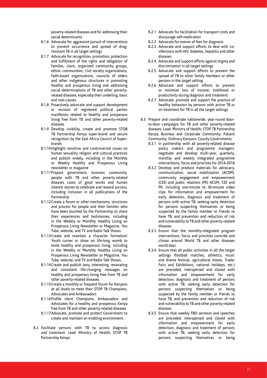poverty-related diseases and for addressing their social determinants.

- 8.1.6 Advocate for aggressive pursuit of interventions to prevent occurrence and spread of drugresistant TB in all target settings
- 8.1.7 Advocate for recognition, promotion, protection and fulfillment of the rights and obligation of families, clans, organized community groups, ethnic communities, civil society organizations, faith-based organizations, councils of elders and other indigenous structures in promoting healthy and prosperous living and addressing social determinations of TB and other povertyrelated diseases, especially their underling, basic and root causes.
- 8.1.8 Proactively advocate and support development or revision of registered political parties manifestos related to healthy and prosperous living free from TB and other poverty-related diseases
- 8.1.9 Develop visibility, create and promote STOB TB Partnership Kenya super-brand and secure recognition by the East Africa Council of Superbrands
- 8.1.10Highlight sensitive and controversial issues on human sexuality, religion and cultural practices and publish widely, including in the Monthly or Weekly Healthy and Prosperous Living newsletter or magazine
- 8.1.11Prepare government, business community, people with TB and other poverty-related diseases cases of good works and human interest stories to celebrate and reward success, including inclusion in all publications of the Partnership
- 8.1.12Create a forum or other mechanisms, structures and process for people and their families who have been touched by the Partnership to share their experiences and testimonies, including in the Weekly or Monthly Healthy Living an Prosperous Living Newsletter or Magazine, You Tube, website, and TV and Radio Talk Shows
- 8.1.13Create and maintain a character formation/ Youth corner or show on life-long womb to tomb healthy and prosperous living, including in the Weekly or Monthly Healthy Living an Prosperous Living Newsletter or Magazine, You Tube, website, and TV and Radio Talk Shows.
- 8.1.14Create and publish sexy, interesting, resonating and consistent life-changing messages on healthy and prosperous living free from TB and other poverty-related diseases
- 8.1.15Create a monthly or frequent forum for Kenyans at all levels to meet their STOP TB Champions, Advocates and Ambassadors
- 8.1.16Profile silent Champions, Ambassadors and Advocates for a healthy and prosperous Kenya free from TB and other poverty-related diseases
- 8.1.17Advocate, promote and protect Government to create and maintain an enabling environment.
- 8.2 Facilitate persons with TB to access diagnosis and treatment. Lead: Ministry of Health; STOP TB Partnership Kenya
- 8.2.1 Advocate for facilitation for transport costs and discourage self-medication
- 8.2.2 Advocate for waiver of fees for diagnosis
- 8.2.3 Advocate and support efforts to deal with coinfections with HIV, diabetes, hepatitis and other diseases
- 8.2.4 Advocate and support efforts against stigma and discrimination in all target settings
- 8.2.5 Advocate and support efforts to prevent the spread of TB to other family members or other persons in the target setting
- 8.2.6 Advocate and support efforts to prevent or minimize loss of income, livelihood or productivity during diagnosis and treatment
- 8.2.7 Advocate, promote and support the practice of healthy behaviors by persons with active TB or on treatment for TB in all the target settings
- 8.3 Prepare and coordinate nationwide, year-round doorto-door campaigns for TB and other poverty-related diseases. Lead: Ministry of Health; STOP TB Partnership Kenya; Business and Corporate Community; Patient Community; Ordinary Kenyans; County Governments;
	- 8.3.1 In partnership with all poverty-related disease policy makers and programme managers, negotiate and develop multi-year, quarterly, monthly and weekly integrated programme interventions, focus and priorities for 2014-2018
	- 8.3.2 Develop and produce materials for advocacy, communication, social mobilization (ACSM), community engagement and empowerment (CEE) and public relations (PR) ACSM, CEE and PR, including one-minute to 30-minute video clips for information and empowerment for early detection, diagnosis and treatment of persons with active TB; seeking early detection for persons suspecting themselves or being suspected by the family member or friends to have TB; and prevention and reduction of risk and vulnerability to TB and other poverty-related diseases
	- 8.3.3 Ensure that the monthly-integrated program interventions, focus and priorities coincide and climax around World TB and other diseases world days
	- 8.3.4 Ensure that all public activities in all the target settings (football matches, athletics, music and drama festival, agricultural shows, Trader Fairs and Exhibitions, national holidays, etc.) are preceded, interspersed and closed with information and empowerment for early detection, diagnosis and treatment of persons with active TB; seeking early detection for persons suspecting themselves or being suspected by the family member or friends to have TB; and prevention and reduction of risk and vulnerability to TB and other poverty-related diseases
	- 8.3.5 Ensure that weekly FBO sermons and speeches are preceded, interspersed and closed with information and empowerment for early detection, diagnosis and treatment of persons with active TB; seeking early detection for persons suspecting themselves or being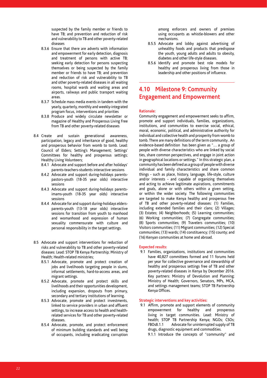suspected by the family member or friends to have TB; and prevention and reduction of risk and vulnerability to TB and other poverty-related diseases

- 8.3.6 Ensure that there are adverts with information and empowerment for early detection, diagnosis and treatment of persons with active TB; seeking early detection for persons suspecting themselves or being suspected by the family member or friends to have TB; and prevention and reduction of risk and vulnerability to TB and other poverty-related diseases in all waiting rooms, hospital wards and waiting areas and airports, railways and public transport waiting areas.
- 8.3.7 Schedule mass media events in tandem with the yearly, quarterly, monthly and weekly-integrated program focus, interventions and priorities
- 8.3.8 Produce and widely circulate newsletter or magazine of Healthy and Prosperous Living Free from TB and other poverty-related diseases
- 8.4 Create and sustain generational awareness, participation, legacy and inheritance of good, healthy and prosperous behavior from womb to tomb. Lead: Council of Elders; Setting's Management; Settings' Committees for healthy and prosperous settings; Healthy Living Volunteers;
	- 8.4.1 Advocate and support before and after holidays' parents-teachers-students interactive sessions
	- 8.4.2 Advocate and support during-holidays parentspastors-youth (18-35 year olds) interactive sessions
	- 8.4.3 Advocate and support during-holidays parentsimams-youth (18-35 year olds) interactive sessions
	- 8.4.4 Advocate for and support during-holidays eldersparents-youth (13-18 year olds) interactive sessions for transition from youth to manhood and womanhood and expression of human sexuality commensurate with culture and personal responsibility in the target settings.
- 8.5 Advocate and support interventions for reduction of risks and vulnerability to TB and other poverty-related diseases: Lead: STOP TB Kenya Partnership; Ministry of Health; Health-related ministries;
	- 8.5.1 Advocate, promote and protect creation of jobs and livelihoods targeting people in slums, informal settlements, hard-to-access areas, and migrant settings.
	- 8.5.2 Advocate, promote and protect skills and livelihoods and their opportunities development, including expansion, dropouts from primary, secondary and tertiary institutions of learning.
	- 8.5.3 Advocate, promote and protect investments, linked to service providers in urban and affluent settings, to increase access to health and healthrelated services for TB and other poverty-related diseases.
	- 8.5.4 Advocate, promote, and protect enforcement of minimum building standards and well being of occupants, including eradicating corruption

among enforcers and owners of premises using occupants as whistle-blowers and other mechanisms.

- 8.5.5 Advocate and lobby against advertising of unhealthy foods and products that predispose the youth, young adults and adults to obesity, diabetes and other life-style diseases.
- 8.5.6 Identify and promote best role models for healthy and prosperous living from those in leadership and other positions of influence.

## **4.10 Milestone 9: Community Engagement and Empowerment**

### **Rationale:**

Community engagement and empowerment seeks to affirm, promote and support individuals, families, organizations, institutions, and communities to exercise social, ethical, moral, economic, political, and administrative authority for individual and collective health and prosperity from womb to tomb. There are many definitions of the term community . An evidence-based definition has been given as "… a group of people with diverse characteristics who are linked by social ties, share common perspectives, and engage in joint action in geographical locations or settings." In this strategic plan, a community has been defined as a group of people with diverse individual and family characteristics and share common things - such as place, history, language, life-style, culture and/or interests - and capable of organizing themselves and acting to achieve legitimate aspirations, commitments and goals, alone or with others within a given setting, or within the wider society. The following communities are targeted to make Kenya healthy and prosperous free of TB and other poverty-related diseases: (1) Families, including extended families and their clans; (2) Villages; (3) Estates; (4) Neighborhoods; (5) Learning communities; (6) Working communities; (7) Congregate communities; (8) Sports communities; (9) Travelers communities; (10) Visitors communities; (11) Migrant communities; (12) Special communities; (13) wards; (14) constituency; (15) county; and (16) Kenyan communities at home and abroad.

### **Expected results:**

9.1 Families, organizations, institutions and communities have 40,827 committees formed and 11 forums held per year for collective governance and stewardship of healthy and prosperous settings free of TB and other poverty-related diseases in Kenya by December 2016. Key partners: Ministry of Devolution and Planning; Ministry of Health; Governors, Senators, MPs, MCA, and settings management teams; STOP TB Partnership Kenya Offices.

### **Strategic interventions and key activities:**

9.1 Affirm, promote and support elements of community<br>empowerment for healthy and prosperous empowerment for healthy and prosperous living in target communities. Lead: Ministry of health; STOP TB Partnership Kenya; NGOs; CSOs; FBOs8.1.1 Advocate for uninterrupted supply of TB drugs, diagnostic equipment and commodities.

9.1.1 Introduce the concepts of "community" and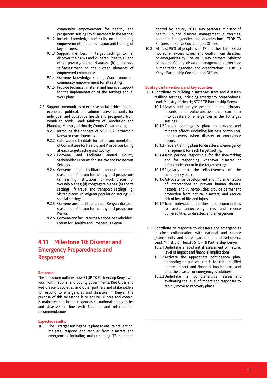community empowerment for healthy and prosperous settings to all members in the setting.

- 9.1.2 Include knowledge and skills on community empowerment in the orientation and training of key partners.
- 9.1.3 Support members in target settings to: (a) discover their risks and vulnerabilities to TB and other poverty-related diseases; (b) undertake self-assessment on the sixteen elements of empowered community;
- 9.1.4 Convene knowledge sharing Ward forum on community empowerment for all settings.
- 9.1.5 Provide technical, material and financial support for the implementation of the settings annual work plans
- 9.2 Support communities to exercise social, ethical, moral, economic, political, and administrative authority for individual and collective health and prosperity from womb to tomb. Lead: Ministry of Devolution and Planning; Ministry of Health; County Governments;
	- 9.2.1 Introduce the concept of STOP TB Partnership Kenya to constituencies.
	- 9.2.2 Catalyze and facilitate formation and orientation of Committees for Healthy and Prosperous Living at each target setting and County.
	- 9.2.3 Convene and facilitate annual County Stakeholders' Forums for Healthy and Prosperous Settings.
	- 9.2.4 Convene and facilitate annual national stakeholders' forum for healthy and prosperous (a) learning institutions; (b) work places; (c) worship places; (d) congregate places; (e) sports settings; (f) travel and transport settings; (g) visited places; (h) migrant population settings; (j) special settings.
	- 9.2.5 Convene and facilitate annual Kenyan diaspora stakeholders' forum for healthy and prosperous Kenya.
	- 9.2.6 Convene and facilitate the National Stakeholders' Forum for Healthy and Prosperous Kenya

## **4.11 Milestone 10: Disaster and Emergency Preparedness and Responses**

#### **Rationale:**

This milestone outlines how STOP TB Partnership Kenya will work with national and county governments, Red Cross and Red Crescent societies and other partners and stakeholders to respond to emergencies and disasters in Kenya. The purpose of this milestone is to ensure TB care and control is mainstreamed in the responses to national emergencies and disasters in line with National and international recommendations

### **Expected results:**

10.1 The 10 target settings have plans to ensure prevention, mitigate, respond and recover from disasters and emergencies including mainstreaming TB care and control by January 2017. Key partners: Ministry of health; County disaster management authorities; humanitarian agencies and organizations; STOP TB Partnership Kenya Coordination Offices.

10.2 At least 95% of people with TB and their families do not suffer excess illness and deaths from disasters or emergencies by June 2017. Key partners: Ministry of health; County disaster management authorities; humanitarian agencies and organizations; STOP TB Kenya Partnership Coordination Offices.

- 10.1 Contribute to building disaster-resistant and disasterresilient settings, including emergency preparedness. Lead: Ministry of Health; STOP TB Partnership Kenya
	- 10.1.1Assess and analyze potential human threats, hazards, and vulnerabilities that can turn into disasters or emergencies in the 10 target settings.
	- 10.1.2Prepare contingency plans to prevent and mitigate effects (including business continuity), and recovery when disaster or emergency occurs.
	- 10.1.3Prepare training plans for disaster and emergency management for each target setting.
	- 10.1.4Train persons responsible for decision-making and for responding whenever disaster or emergencies occur in the target setting.
	- 10.1.5Regularly test the effectiveness of the contingency plans.
	- 10.1.6Advocate for development and implementation of interventions to prevent human threats, hazards, and vulnerabilities; provide permanent protection from natural disasters; and reduce risk of loss of life and injury.
	- 10.1.7Train individuals, families and communities to avoid unnecessary risks and reduce vulnerabilities to disasters and emergencies.
- 10.2 Contribute to response to disasters and emergencies in close collaboration with national and county governments and other partners and stakeholders. Lead: Ministry of Health; STOP TB Partnership Kenya
	- 10.2.1Undertake a rapid initial assessment of nature, level of impact and financial implications.
	- 10.2.2Activate the appropriate contingency plan, depending on pre-set criteria for the identified nature, impact and financial implications, and until the disaster or emergency is subdued
	- 10.2.3Undertake a comprehensive assessment evaluating the level of impact and responses to rapidly move to recovery phase.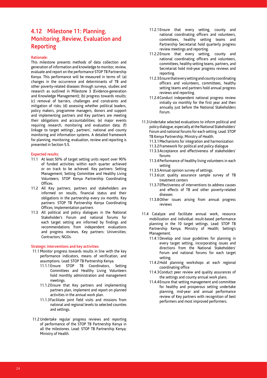## **4.12 Milestone 11: Planning, Monitoring, Review, Evaluation and Reporting**

### **Rationale:**

This milestone presents methods of data collection and generation of information and knowledge to monitor, review, evaluate and report on the performance STOP TB Partnership Kenya. This performance will be measured in terms of: (a) changes in the occurrence and determinants of TB and other poverty-related diseases through surveys, studies and research as outlined in Milestone 3 (Evidence-generation and Knowledge Management); (b) progress towards results; (c) removal of barriers, challenges and constraints and mitigation of risks; (d) assessing whether political leaders, policy makers, programme managers, donors and support and implementing partners and Key partners are meeting their obligations and accountabilities; (e) major events requiring research, monitoring and evaluation data; (f) linkage to target settings', partners', national and county monitoring and information systems. A detailed framework for planning, monitoring, evaluation, review and reporting is presented in Section 5.5.

#### **Expected results:**

- 11.1 At least 50% of target setting units report over 90% of funded activities within each quarter achieved or on track to be achieved. Key partners: Setting Management; Setting Committee and Healthy Living Volunteers; STOP Kenya Partnership Coordinating **Offices**
- 11.2 All Key partners, partners and stakeholders are informed on results, financial status and their obligations in the partnership every six months. Key partners: STOP TB Partnership Kenya Coordinating Offices; Implementation partners
- 11.3 All political and policy dialogues in the National Stakeholder's Forum and national forums for each target setting are informed by findings and recommendations from independent evaluations and progress reviews. Key partners: Universities; Contractors; NGOs.

- 11.1 Monitor progress towards results in line with the key performance indicators, means of verification, and assumptions. Lead: STOP TB Partnership Kenya.
	- 11.1.1Ensure STOP TB Coordinators, Setting Committees and Healthy Living Volunteers hold monthly administration and management meetings.
	- 11.1.2Ensure that Key partners and implementing partners plan, implement and report on planned activities in the annual work plan.
	- 11.1.3Facilitate joint field visits and missions from national and regional levels to selected counties and settings.
- 11.2 Undertake regular progress reviews and reporting of performance of the STOP TB Partnership Kenya in all the milestones. Lead: STOP TB Partnership Kenya; Ministry of Health.
- 11.2.1Ensure that every setting, county and national coordinating officers and volunteers, committees, healthy setting teams and Partnership Secretariat hold quarterly progress review meetings and reporting.
- 11.2.2Ensure that every setting, county and national coordinating officers and volunteers, committees, healthy setting teams, partners, and Secretariat hold mid-year progress reviews and reporting.
- 11.2.3Ensure that every setting and county coordinating officers and volunteers, committees, healthy setting teams and partners hold annual progress reviews and reporting.
- 11.2.4Conduct independent national progress review initially six monthly for the first year and then annually just before the National Stakeholders Forum.
- 11.3 Undertake selected evaluations to inform political and policy dialogue, especially at the National Stakeholders' Forum and national forums for each setting. Lead: STOP TB Kenya Partnership; Ministry of Health.
	- 11.3.1Mechanisms for integration and harmonization
	- 11.3.2Framework for political and policy dialogue
	- 11.3.3Acceptance and effectiveness of stakeholders' forums
	- 11.3.4Performance of healthy living volunteers in each setting
	- 11.3.5Annual opinion survey of settings.
	- 11.3.6Lot quality assurance sample survey of TB treatment centers
	- 11.3.7Effectiveness of interventions to address causes and effects of TB and other poverty-related diseases
	- 11.3.8Other issues arising from annual progress reviews
- 11.4 Catalyze and facilitate annual work, resource mobilization and individual result-based performance planning in the 10 target settings. Lead: STOP TB Partnership Kenya; Ministry of Health; Setting's Management.
	- 11.4.1Develop and issue guidelines for planning in every target setting, incorporating issues and directions from the National Stakeholders' Forum and national forums for each target setting.
	- 11.4.2Hold planning workshops at each regional coordinating office
	- 11.4.3Conduct peer review and quality assurances of the settings and county annual work plans.
	- 11.4.4Ensure that setting management and committee for healthy and prosperous setting undertake planning, mid-year and annual performance review of Key partners with recognition of best performers and most improved performers.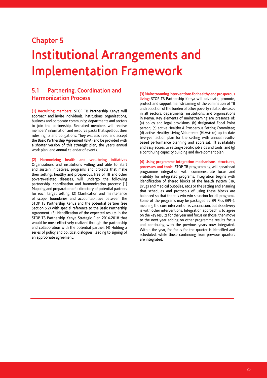## **Chapter 5 Institutional Arrangements and Implementation Framework**

## **5.1 Partnering, Coordination and Harmonization Process**

**(1) Recruiting members:** STOP TB Partnership Kenya will approach and invite individuals, institutions, organizations, business and corporate community, departments and sectors to join the partnership. Recruited members will receive members' information and resource packs that spell out their roles, rights and obligations. They will also read and accept the Basic Partnership Agreement (BPA) and be provided with a shorter version of this strategic plan, the year's annual work plan, and annual calendar of events.

**(2) Harmonizing health and well-being initiatives**  Organizations and institutions willing and able to start and sustain initiatives, programs and projects that make their settings healthy and prosperous, free of TB and other poverty-related diseases, will undergo the following partnership, coordination and harmonization process: (1) Mapping and preparation of a directory of potential partners for each target setting. (2) Clarification and maintenance of scope, boundaries and accountabilities between the STOP TB Partnership Kenya and the potential partner (see Section 5.2) with special reference to the Basic Partnership Agreement. (3) Identification of the expected results in the STOP TB Partnership Kenya Strategic Plan 2014-2018 that would be most effectively realized through the partnership and collaboration with the potential partner. (4) Holding a series of policy and political dialogues leading to signing of an appropriate agreement.

**(3) Mainstreaming interventions for healthy and prosperous living:** STOP TB Partnership Kenya will advocate, promote, protect and support mainstreaming of the elimination of TB and reduction of the burden of other poverty-related diseases in all sectors, departments, institutions, and organizations in Kenya. Key elements of mainstreaming are presence of: (a) policy and legal provisions; (b) designated Focal Point person; (c) active Healthy & Prosperous Setting Committee; (d) active Healthy Living Volunteers (HLVs); (e) up to date five-year action plan for the setting with annual resultsbased performance planning and appraisal; (f) availability and easy access to setting-specific job aids and tools; and (g) a continuing capacity building and development plan.

**(4) Using programme integration mechanisms, structures, processes and tools:** STOP TB programming will spearhead programme integration with commensurate focus and visibility for integrated programs. Integration begins with identification of shared blocks of the health system (HR, Drugs and Medical Supplies, etc.) or the setting and ensuring that schedules and protocols of using these blocks are balanced so that there is win-win situation for all programs. Some of the programs may be packaged as EPI Plus (EPI+), meaning the core intervention is vaccination, but its delivery is with other interventions. Integration approach is to agree on the key results for the year and focus on those, then move to the next year adding on other programme results focus and continuing with the previous years now integrated. Within the year, for focus for the quarter is identified and scheduled, while those continuing from previous quarters are integrated.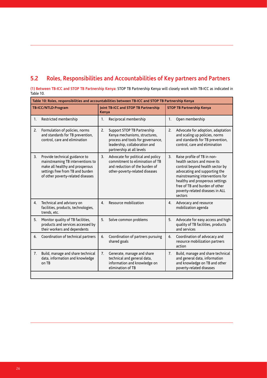## **5.2 Roles, Responsibilities and Accountabilities of Key partners and Partners**

**(1) Between TB-ICC and STOP TB Partnership Kenya**: STOP TB Partnership Kenya will closely work with TB-ICC as indicated in Table 10.

|    | Table 10: Roles, responsibilities and accountabilities between TB-ICC and STOP TB Partnership Kenya                                                                            |       |                                                                                                                                                                 |    |                                                                                                                                                                                                                                                                                      |  |  |  |
|----|--------------------------------------------------------------------------------------------------------------------------------------------------------------------------------|-------|-----------------------------------------------------------------------------------------------------------------------------------------------------------------|----|--------------------------------------------------------------------------------------------------------------------------------------------------------------------------------------------------------------------------------------------------------------------------------------|--|--|--|
|    | TB-ICC/NTLD-Program                                                                                                                                                            | Kenya | Joint TB-ICC and STOP TB Partnership                                                                                                                            |    | <b>STOP TB Partnership Kenya</b>                                                                                                                                                                                                                                                     |  |  |  |
| 1. | Restricted membership                                                                                                                                                          | 1.    | Reciprocal membership                                                                                                                                           | 1. | Open membership                                                                                                                                                                                                                                                                      |  |  |  |
| 2. | Formulation of policies, norms<br>and standards for TB prevention,<br>control, care and elimination                                                                            | 2.    | Support STOP TB Partnership<br>Kenya mechanisms, structures,<br>process and tools for governance,<br>leadership, collaboration and<br>partnership at all levels | 2. | Advocate for adoption, adaptation<br>and scaling up policies, norms<br>and standards for TB prevention,<br>control, care and elimination                                                                                                                                             |  |  |  |
| 3. | Provide technical guidance to<br>mainstreaming TB interventions to<br>make all healthy and prosperous<br>settings free from TB and burden<br>of other poverty-related diseases | 3.    | Advocate for political and policy<br>commitment to elimination of TB<br>and reduction of the burden of<br>other-poverty-related diseases                        | 3. | Raise profile of TB in non-<br>health sectors and move its<br>control beyond health sector by<br>advocating and supporting the<br>mainstreaming interventions for<br>healthy and prosperous settings<br>free of TB and burden of other<br>poverty-related diseases in ALL<br>sectors |  |  |  |
| 4. | Technical and advisory on<br>facilities, products, technologies,<br>trends, etc.                                                                                               | 4.    | Resource mobilization                                                                                                                                           | 4. | Advocacy and resource<br>mobilization agenda                                                                                                                                                                                                                                         |  |  |  |
| 5. | Monitor quality of TB facilities,<br>products and services accessed by<br>their workers and dependents                                                                         | 5.    | Solve common problems                                                                                                                                           | 5. | Advocate for easy access and high<br>quality of TB facilities, products<br>and services                                                                                                                                                                                              |  |  |  |
| 6. | Coordination of technical partners                                                                                                                                             | 6.    | Coordination of partners pursuing<br>shared goals                                                                                                               | 6. | Coordination of advocacy and<br>resource mobilization partners<br>action                                                                                                                                                                                                             |  |  |  |
| 7. | Build, manage and share technical<br>data, information and knowledge<br>on TB                                                                                                  | 7.    | Generate, manage and share<br>technical and general data,<br>information and knowledge on<br>elimination of TB                                                  | 7. | Build, manage and share technical<br>and general data, information<br>and knowledge on TB and other<br>poverty-related diseases                                                                                                                                                      |  |  |  |
|    |                                                                                                                                                                                |       |                                                                                                                                                                 |    |                                                                                                                                                                                                                                                                                      |  |  |  |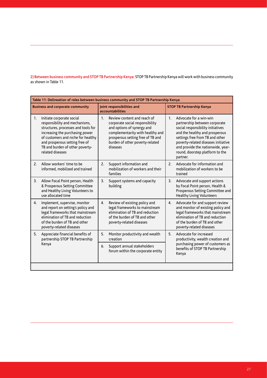**2) Between business community and STOP TB Partnership Kenya:** STOP TB Partnership Kenya will work with business community as shown in Table 11.

| Table 11: Delineation of roles between business community and STOP TB Partnership Kenya |                                                                                                                                                                                                                                                                      |         |                                                                                                                                                                                                                      |                |                                                                                                                                                                                                                                                                                              |  |  |
|-----------------------------------------------------------------------------------------|----------------------------------------------------------------------------------------------------------------------------------------------------------------------------------------------------------------------------------------------------------------------|---------|----------------------------------------------------------------------------------------------------------------------------------------------------------------------------------------------------------------------|----------------|----------------------------------------------------------------------------------------------------------------------------------------------------------------------------------------------------------------------------------------------------------------------------------------------|--|--|
|                                                                                         | <b>Business and corporate community</b>                                                                                                                                                                                                                              |         | Joint responsibilities and<br>accountabilities                                                                                                                                                                       |                | <b>STOP TB Partnership Kenya</b>                                                                                                                                                                                                                                                             |  |  |
| 1.                                                                                      | Initiate corporate social<br>responsibility and mechanisms,<br>structures, processes and tools for<br>increasing the purchasing power<br>of customers and niche for healthy<br>and prosperous setting free of<br>TB and burden of other poverty-<br>related diseases | $1_{-}$ | Review content and reach of<br>corporate social responsibility<br>and options of synergy and<br>complementarity with healthy and<br>prosperous setting free of TB and<br>burden of other poverty-related<br>diseases | 1 <sup>1</sup> | Advocate for a win-win<br>partnership between corporate<br>social responsibility initiatives<br>and the healthy and prosperous<br>settings free from TB and other<br>poverty-related diseases initiative<br>and provide the nationwide, year-<br>round, doorstep platform to the<br>partner. |  |  |
| 2.                                                                                      | Allow workers' time to be<br>informed, mobilized and trained                                                                                                                                                                                                         | 2.      | Support information and<br>mobilization of workers and their<br>families                                                                                                                                             | 2 <sub>1</sub> | Advocate for information and<br>mobilization of workers to be<br>trained                                                                                                                                                                                                                     |  |  |
| 3.                                                                                      | Allow Focal Point person, Health<br>& Prosperous Setting Committee<br>and Healthy Living Volunteers to<br>use allocated time                                                                                                                                         | 3.      | Support systems and capacity<br>building                                                                                                                                                                             | 3.             | Advocate and support actions<br>by Focal Point person, Health &<br>Prosperous Setting Committee and<br><b>Healthy Living Volunteers</b>                                                                                                                                                      |  |  |
| 4.                                                                                      | Implement, supervise, monitor<br>and report on setting's policy and<br>legal frameworks that mainstream<br>elimination of TB and reduction<br>of the burden of TB and other<br>poverty-related diseases                                                              | 4.      | Review of existing policy and<br>legal frameworks to mainstream<br>elimination of TB and reduction<br>of the burden of TB and other<br>poverty-related diseases                                                      | 4.             | Advocate for and support review<br>and monitor of existing policy and<br>legal frameworks that mainstream<br>elimination of TB and reduction<br>of the burden of TB and other<br>poverty-related diseases                                                                                    |  |  |
| 5.                                                                                      | Appreciate financial benefits of<br>partnership STOP TB Partnership                                                                                                                                                                                                  | 5.      | Monitor productivity and wealth<br>creation                                                                                                                                                                          | 5.             | Advocate for increased<br>productivity, wealth creation and                                                                                                                                                                                                                                  |  |  |
|                                                                                         | Kenya                                                                                                                                                                                                                                                                |         | Support annual stakeholders<br>forum within the corporate entity                                                                                                                                                     |                | purchasing power of customers as<br>benefits of STOP TB Partnership<br>Kenya                                                                                                                                                                                                                 |  |  |
|                                                                                         |                                                                                                                                                                                                                                                                      |         |                                                                                                                                                                                                                      |                |                                                                                                                                                                                                                                                                                              |  |  |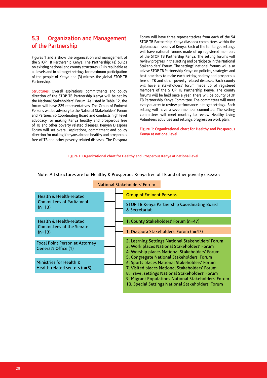## **5.3 Organization and Management of the Partnership**

Figures 1 and 2 show the organization and management of the STOP TB Partnership Kenya. The Partnership: (a) builds on existing national and county structures; (2) is replicable at all levels and in all target settings for maximum participation of the people of Kenya and (3) mirrors the global STOP TB Partnership.

**Structures:** Overall aspirations, commitments and policy direction of the STOP TB Partnership Kenya will be set by the National Stakeholders' Forum. As listed in Table 12, the forum will have 225 representatives. The Group of Eminent Persons will be advisory to the National Stakeholders' Forum and Partnership Coordinating Board and conducts high level advocacy for making Kenya healthy and prosperous free of TB and other poverty related diseases. Kenyan Diaspora Forum will set overall aspirations, commitment and policy direction for making Kenyans abroad healthy and prosperous free of TB and other poverty-related diseases. The Diaspora Forum will have three representatives from each of the 54 STOP TB Partnership Kenya diaspora committees within the diplomatic missions of Kenya. Each of the ten target settings will have national forums made of up registered members of the STOP TB Partnership Kenya. The setting forums will review progress in the setting and participate in the National Stakeholders' Forum. The settings' national forums will also advise STOP TB Partnership Kenya on policies, strategies and best practices to make each setting healthy and prosperous free of TB and other poverty-related diseases. Each county will have a stakeholders' forum made up of registered members of the STOP TB Partnership Kenya. The county forums will be held once a year. There will be county STOP TB Partnership Kenya Committee. The committees will meet every quarter to review performance in target settings. Each setting will have a seven-member committee. The setting committees will meet monthly to review Healthy Living Volunteers activities and setting's progress on work plan.

**Figure 1: Organizational chart for Healthy and Prosperous Kenya at national level**

#### **Figure 1: Organizational chart for Healthy and Prosperous Kenya at national level**

|                                                                 | National Stakeholders' Forum                                                                                                                       |
|-----------------------------------------------------------------|----------------------------------------------------------------------------------------------------------------------------------------------------|
| Health & Health-related                                         | <b>Group of Eminent Persons</b>                                                                                                                    |
| <b>Committees of Parliament</b><br>$(n=13)$                     | STOP TB Kenya Partnership Coordinating Board<br>& Secretariat                                                                                      |
| Health & Health-related<br>Committees of the Senate<br>$(n=13)$ | 1. County Stakeholders' Forum (n=47)                                                                                                               |
|                                                                 | 1. Diaspora Stakeholders' Forum (n=47)                                                                                                             |
| Focal Point Person at Attorney<br>General's Office (1)          | 2. Learning Settings National Stakeholders' Forum<br>3. Work places National Stakeholders' Forum<br>4. Worship places National Stakeholders' Forum |
|                                                                 | 5. Congregate National Stakeholders' Forum                                                                                                         |
| Ministries for Health &<br>Health-related sectors $(n=5)$       | 6. Sports places National Stakeholders' Forum<br>7. Visited places National Stakeholders' Forum<br>8. Travel settings National Stakeholders' Forum |
|                                                                 | 9. Migrant Populations National Stakeholders' Forum<br>10. Special Settings National Stakeholders' Forum                                           |

Note: All structures are for Healthy & Prosperous Kenya free of TB and other poverty diseases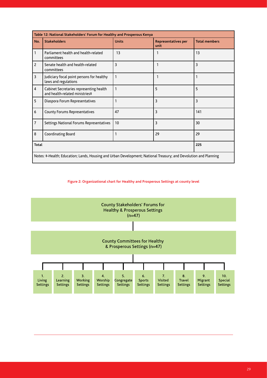| Table 12: National Stakeholders' Forum for Healthy and Prosperous Kenya |                                                                                                                  |              |                             |                      |  |  |  |  |
|-------------------------------------------------------------------------|------------------------------------------------------------------------------------------------------------------|--------------|-----------------------------|----------------------|--|--|--|--|
| No.                                                                     | <b>Stakeholders</b>                                                                                              | <b>Units</b> | Representatives per<br>unit | <b>Total members</b> |  |  |  |  |
| 1                                                                       | Parliament health and health-related<br>committees                                                               | 13           |                             | 13                   |  |  |  |  |
| $\overline{2}$                                                          | Senate health and health-related<br>committees                                                                   | 3            | 1                           | 3                    |  |  |  |  |
| 3                                                                       | Judiciary focal point persons for healthy<br>laws and regulations                                                | 1            | 1                           |                      |  |  |  |  |
| $\overline{4}$                                                          | Cabinet Secretaries representing health<br>and health-related ministries#                                        | 1            | 5                           | 5                    |  |  |  |  |
| 5                                                                       | Diaspora Forum Representatives                                                                                   |              | 3                           | 3                    |  |  |  |  |
| 6                                                                       | County Forums Representatives                                                                                    | 47           | 3                           | 141                  |  |  |  |  |
| 7                                                                       | Settings National Forums Representatives                                                                         | 10           | 3                           | 30                   |  |  |  |  |
| 8                                                                       | Coordinating Board                                                                                               | 1            | 29                          | 29                   |  |  |  |  |
| <b>Total</b>                                                            | 225                                                                                                              |              |                             |                      |  |  |  |  |
|                                                                         | Notes: #-Health; Education; Lands, Housing and Urban Development; National Treasury; and Devolution and Planning |              |                             |                      |  |  |  |  |

## **Figure 2: Organizational chart for Healthy and Prosperous Settings at county level**

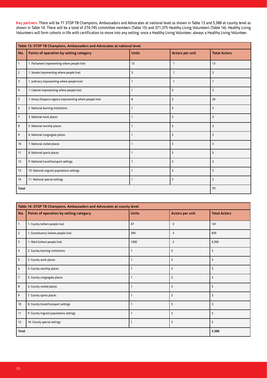**Key partners:** There will be 71 STOP TB Champions, Ambassadors and Advocates at national level as shown in Table 13 and 5,388 at county level as shown in Table 14. There will be a total of 274,745 committee members (Table 15) and 371,375 Healthy Living Volunteers (Table 16). Healthy Living Volunteers will form cohorts in life with certification to move into any setting: once a Healthy Living Volunteer, always a Healthy Living Volunteer.

|                | Table 13: STOP TB Champions, Ambassadors and Advocates at national level |              |                 |                     |  |  |  |  |
|----------------|--------------------------------------------------------------------------|--------------|-----------------|---------------------|--|--|--|--|
| No.            | Points of operation by setting category                                  | <b>Units</b> | Actors per unit | <b>Total Actors</b> |  |  |  |  |
| $\mathbf{1}$   | 1. Parliament (representing where people live)                           | 13           | $\mathbf{1}$    | 13                  |  |  |  |  |
| $\mathbf{2}$   | 1. Senate (representing where people live)                               | 3            | $\mathbf{1}$    | $\overline{3}$      |  |  |  |  |
| 3              | 1. Judiciary (representing where people live)                            |              | $\mathbf{1}$    | $\mathbf{1}$        |  |  |  |  |
| $\overline{4}$ | 1. Cabinet (representing where people live)                              | $\mathbf{1}$ | $\overline{3}$  | $\overline{3}$      |  |  |  |  |
| 5              | 1. Kenya Diaspora regions (representing where people live)               | 8            | $\overline{3}$  | 24                  |  |  |  |  |
| 6              | 2. National learning institutions                                        | $\mathbf{1}$ | $\overline{3}$  | 3                   |  |  |  |  |
| $\overline{7}$ | 3. National work places                                                  |              | $\overline{3}$  | $\overline{3}$      |  |  |  |  |
| 8              | 5. National worship places                                               |              | $\overline{3}$  | 3                   |  |  |  |  |
| 9              | 6. National congregate places                                            | $\mathbf{1}$ | $\overline{3}$  | $\overline{3}$      |  |  |  |  |
| 10             | 7. National visited places                                               | $\mathbf{1}$ | $\overline{3}$  | $\overline{3}$      |  |  |  |  |
| 11             | 8. National sports places                                                | $\mathbf{1}$ | $\overline{3}$  | $\overline{3}$      |  |  |  |  |
| 12             | 9. National travel/transport settings                                    |              | $\overline{3}$  | $\overline{3}$      |  |  |  |  |
| 13             | 10. National migrant populations settings                                |              | $\overline{3}$  | 3                   |  |  |  |  |
| 14             | 11. National special settings                                            | -1           | 3               | $\overline{3}$      |  |  |  |  |
| Total          | 71                                                                       |              |                 |                     |  |  |  |  |

|                | Table 14: STOP TB Champions, Ambassadors and Advocates at county level |              |                 |                     |  |  |  |  |
|----------------|------------------------------------------------------------------------|--------------|-----------------|---------------------|--|--|--|--|
| No.            | Points of operation by setting category                                | <b>Units</b> | Actors per unit | <b>Total Actors</b> |  |  |  |  |
| $\mathbf{1}$   | 1. County (where people live)                                          | 47           | 3               | 141                 |  |  |  |  |
| $\overline{2}$ | 1. Constituency (where people live)                                    | 290          | 3               | 870                 |  |  |  |  |
| $\overline{3}$ | 1. Ward (where people live)                                            | 1450         | 3               | 4,350               |  |  |  |  |
| $\overline{4}$ | 2. County learning institutions                                        | $\mathbf{1}$ | 3               | $\overline{3}$      |  |  |  |  |
| 5              | 3. County work places                                                  | $\mathbf{1}$ | $\overline{3}$  | $\overline{3}$      |  |  |  |  |
| 6              | 4. County worship places                                               | $\mathbf{1}$ | 3               | $\overline{3}$      |  |  |  |  |
| $\overline{7}$ | 5. County congregate places                                            | $\mathbf{1}$ | $\overline{3}$  | $\overline{3}$      |  |  |  |  |
| 8              | 6. County visited places                                               | 1            | 3               | $\overline{3}$      |  |  |  |  |
| 9              | 7. County sports places                                                | $\mathbf{1}$ | $\overline{3}$  | $\overline{3}$      |  |  |  |  |
| 10             | 8. County travel/transport settings                                    | $\mathbf{1}$ | 3               | $\overline{3}$      |  |  |  |  |
| 11             | 9. County migrant populations settings                                 | $\mathbf{1}$ | $\overline{3}$  | $\overline{3}$      |  |  |  |  |
| 12             | 10. County special settings                                            | $\mathbf{1}$ | $\overline{3}$  | $\overline{3}$      |  |  |  |  |
| <b>Total</b>   | 5,388                                                                  |              |                 |                     |  |  |  |  |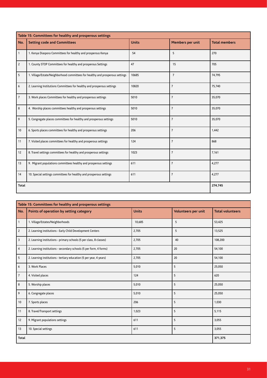|                | Table 15: Committees for healthy and prosperous settings                      |              |                  |                      |  |  |  |  |  |
|----------------|-------------------------------------------------------------------------------|--------------|------------------|----------------------|--|--|--|--|--|
| No.            | <b>Setting code and Committees</b>                                            | <b>Units</b> | Members per unit | <b>Total members</b> |  |  |  |  |  |
| $\mathbf{1}$   | 1. Kenya Diaspora Committees for healthy and prosperous Kenya                 | 54           | 5                | 270                  |  |  |  |  |  |
| $\overline{2}$ | 1. County STOP Committees for healthy and prosperous Settings                 | 47           | 15               | 705                  |  |  |  |  |  |
| 5              | 1. Village/Estate/Neighborhood committees for healthy and prosperous settings | 10685        | $\overline{7}$   | 74,795               |  |  |  |  |  |
| 6              | 2. Learning Institutions Committees for healthy and prosperous settings       | 10820        | $\overline{7}$   | 75,740               |  |  |  |  |  |
| $\overline{7}$ | 3. Work places Committees for healthy and prosperous settings                 | 5010         | $\overline{7}$   | 35,070               |  |  |  |  |  |
| 8              | 4. Worship places committees healthy and prosperous settings                  | 5010         | $\overline{7}$   | 35,070               |  |  |  |  |  |
| 9              | 5. Congregate places committees for healthy and prosperous settings           | 5010         | $\overline{7}$   | 35,070               |  |  |  |  |  |
| 10             | 6. Sports places committees for healthy and prosperous settings               | 206          | $\overline{7}$   | 1,442                |  |  |  |  |  |
| 11             | 7. Visited places committees for healthy and prosperous settings              | 124          | $\overline{7}$   | 868                  |  |  |  |  |  |
| 12             | 8. Travel settings committees for healthy and prosperous settings             | 1023         | $\overline{7}$   | 7,161                |  |  |  |  |  |
| 13             | 9. Migrant populations committees healthy and prosperous settings             | 611          | $\overline{7}$   | 4,277                |  |  |  |  |  |
| 14             | 10. Special settings committees for healthy and prosperous settings           | 611          | $\overline{7}$   | 4,277                |  |  |  |  |  |
| Total          | 274,745                                                                       |              |                  |                      |  |  |  |  |  |

|                | Table 15: Committees for healthy and prosperous settings            |              |                     |                         |  |  |  |  |
|----------------|---------------------------------------------------------------------|--------------|---------------------|-------------------------|--|--|--|--|
| No.            | Points of operation by setting category                             | <b>Units</b> | Volunteers per unit | <b>Total volunteers</b> |  |  |  |  |
| $\vert$ 1      | 1. Village/Estates/Neighborhoods                                    | 10,685       | 5                   | 53,425                  |  |  |  |  |
| $\overline{2}$ | 2. Learning institutions - Early Child Development Centers          | 2,705        | 5                   | 13,525                  |  |  |  |  |
| $\vert$ 3      | 2. Learning institutions - primary schools (5 per class, 8 classes) | 2,705        | 40                  | 108,200                 |  |  |  |  |
| $\vert$ 4      | 2. Learning institutions - secondary schools (5 per form, 4 forms)  | 2,705        | 20                  | 54,100                  |  |  |  |  |
| 5              | 2. Learning institutions - tertiary education (5 per year, 4 years) | 2,705        | 20                  | 54,100                  |  |  |  |  |
| 6              | 3. Work Places                                                      | 5,010        | 5                   | 25,050                  |  |  |  |  |
| 7              | 4. Visited places                                                   | 124          | 5                   | 620                     |  |  |  |  |
| 8              | 5. Worship places                                                   | 5,010        | 5                   | 25,050                  |  |  |  |  |
| $ 9\rangle$    | 6. Congregate places                                                | 5,010        | 5                   | 25,050                  |  |  |  |  |
| 10             | 7. Sports places                                                    | 206          | 5                   | 1,030                   |  |  |  |  |
| 11             | 8. Travel/Transport settings                                        | 1,023        | 5                   | 5,115                   |  |  |  |  |
| 12             | 9. Migrant populations settings                                     | 611          | 5                   | 3,055                   |  |  |  |  |
| 13             | 10. Special settings                                                | 611          | 5                   | 3,055                   |  |  |  |  |
| <b>Total</b>   | 371,375                                                             |              |                     |                         |  |  |  |  |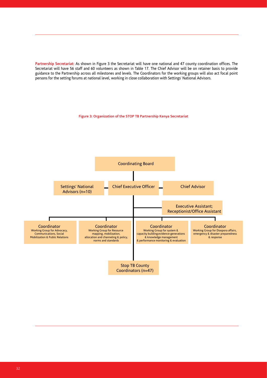**Partnership Secretariat:** As shown in Figure 3 the Secretariat will have one national and 47 county coordination offices. The Secretariat will have 56 staff and 60 volunteers as shown in Table 17. The Chief Advisor will be on retainer basis to provide guidance to the Partnership across all milestones and levels. The Coordinators for the working groups will also act focal point persons for the setting forums at national level, working in close collaboration with Settings' National Advisors.

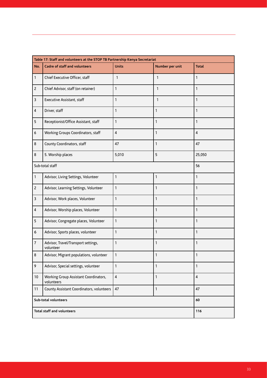|                | Table 17: Staff and volunteers at the STOP TB Partnership Kenya Secretariat |                |                 |                         |  |  |  |  |
|----------------|-----------------------------------------------------------------------------|----------------|-----------------|-------------------------|--|--|--|--|
| No.            | Cadre of staff and volunteers                                               | <b>Units</b>   | Number per unit | <b>Total</b>            |  |  |  |  |
| 1              | Chief Executive Officer, staff                                              | $\mathbf{1}$   | $\mathbf{1}$    | $\mathbf{1}$            |  |  |  |  |
| $\overline{c}$ | Chief Advisor, staff (on retainer)                                          | 1              | $\mathbf{1}$    | $\mathbf{1}$            |  |  |  |  |
| 3              | Executive Assistant, staff                                                  | 1              | $\mathbf{1}$    | $\mathbf{1}$            |  |  |  |  |
| 4              | Driver, staff                                                               | 1              | 1               | $\mathbf{1}$            |  |  |  |  |
| 5              | Receptionist/Office Assistant, staff                                        | 1              | 1               | 1                       |  |  |  |  |
| 6              | Working Groups Coordinators, staff                                          | $\pmb{4}$      | 1               | $\overline{\mathbf{4}}$ |  |  |  |  |
| 8              | County Coordinators, staff                                                  | 47             | 1               | 47                      |  |  |  |  |
| 8              | 5. Worship places                                                           | 5,010          | 5               | 25,050                  |  |  |  |  |
|                | Sub-total staff                                                             |                |                 | 56                      |  |  |  |  |
| 1              | Advisor, Living Settings, Volunteer                                         | 1              | 1               | $\mathbf{1}$            |  |  |  |  |
| $\overline{c}$ | Advisor, Learning Settings, Volunteer                                       | 1              | $\mathbf{1}$    | 1                       |  |  |  |  |
| 3              | Advisor, Work places, Volunteer                                             | 1              | $\mathbf{1}$    | 1                       |  |  |  |  |
| $\overline{4}$ | Advisor, Worship places, Volunteer                                          | 1              | $\mathbf{1}$    | $\mathbf{1}$            |  |  |  |  |
| 5              | Advisor, Congregate places, Volunteer                                       | 1              | $\mathbf{1}$    | 1                       |  |  |  |  |
| 6              | Advisor, Sports places, volunteer                                           | 1              | 1               | 1                       |  |  |  |  |
| $\overline{7}$ | Advisor, Travel/Transport settings,<br>volunteer                            | 1              | 1               | 1                       |  |  |  |  |
| 8              | Advisor, Migrant populations, volunteer                                     | 1              | 1               | 1                       |  |  |  |  |
| 9              | Advisor, Special settings, volunteer                                        | $\mathbf{1}$   | $\mathbf{1}$    | $\mathbf{1}$            |  |  |  |  |
| 10             | Working Group Assistant Coordinators,<br>volunteers                         | $\overline{4}$ | 1               | $\overline{4}$          |  |  |  |  |
| 11             | County Assistant Coordinators, volunteers                                   | 47             | $\mathbf{1}$    | 47                      |  |  |  |  |
|                | Sub-total volunteers                                                        | 60             |                 |                         |  |  |  |  |
|                | Total staff and volunteers                                                  | 116            |                 |                         |  |  |  |  |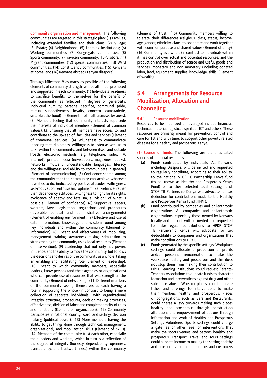**Community organization and management:** The following communities are targeted in this strategic plan: (1) Families, including extended families and their clans; (2) Village; (3) Estate; (4) Neighborhood; (5) Learning institutions; (6) Working communities; (7) Congregate communities; (8) Sports community; (9) Travelers community; (10) Visitors; (11) Migrant communities; (12) special communities; (13) Ward communities; (14) Constituency communities; (15) Kenyans at home; and (16) Kenyans abroad (Kenyan diaspora).

Through Milestone 9 as many as possible of the following elements of community strength will be affirmed, promoted and supported in each community: (1) Individuals' readiness to sacrifice benefits to themselves for the benefit of the community (as reflected in degrees of generosity, individual humility, personal sacrifice, communal pride, mutual supportiveness, loyalty, concern, camaraderie, sister/brotherhood) (Element of altruism/selflessness). (2) Members feeling that community interests supersede the interests of individual members (Element of common values). (3) Ensuring that all members have access to, and contribute to the upkeep of, facilities and services (Element of communal services). (4) Willingness to communicate (needing tact, diplomacy, willingness to listen as well as to talk) within the community, and between itself and outside [roads, electronic methods (e.g. telephone, radio, TV, Internet), printed media (newspapers, magazines, books), networks, mutually understandable languages, literacy and the willingness and ability to communicate in general] (Element of communication). (5) Confidence shared among the community that the community can achieve whatever it wishes to do, (indicated by positive attitudes, willingness, self-motivation, enthusiasm, optimism, self-reliance rather than dependency attitudes, willingness to fight for its rights, avoidance of apathy and fatalism, a "vision" of what is possible (Element of confidence). (6) Supportive leaders, workers, laws, legislation, regulations and procedures (favorable political and administrative arrangements) (Element of enabling environment). (7) Effective and useful data, information, knowledge and wisdom found among key individuals and within the community (Element of information). (8) Extent and effectiveness of mobilizing, management training, awareness raising, stimulation to strengthening the community using local resources (Element of intervention). (9) Leadership that not only has power, influence, and the ability to move the community, but follows the decisions and desires of the community as a whole, taking an enabling and facilitating role (Element of leadership). (10) Extent to which community members, especially leaders, know persons (and their agencies or organizations) who can provide useful resources that will strengthen the community (Element of networking). (11) Different members of the community seeing themselves as each having a role in supporting the whole (in contrast to being a mere collection of separate individuals), with organizational integrity, structure, procedures, decision making processes, effectiveness, division of labor and complementarity of roles and functions (Element of organization). (12) Community participates in national, county, ward, and settings decision making (political power). (13) More members having the ability to get things done through technical, management, organizational, and mobilization skills (Element of skills). (14) Members of the community trust each other, especially their leaders and workers, which in turn is a reflection of the degree of integrity (honesty, dependability, openness, transparency, and trustworthiness) within the community (Element of trust). (15) Community members willing to tolerate their differences (religious, class, status, income, age, gender, ethnicity, clans) to cooperate and work together with common purpose and shared values (Element of unity). (16) Community as a whole (in contrast to individuals within it) has control over actual and potential resources, and the production and distribution of scarce and useful goods and services, monetary and non monetary (including donated labor, land, equipment, supplies, knowledge, skills) (Element of wealth).

## **5.4 Arrangements for Resource Mobilization, Allocation and Channeling**

### **5.4.1 Resource mobilization**

Resources to be mobilized or leveraged include financial, technical, material, logistical, spiritual, ICT and others. These resources are primarily meant for prevention, control and care for TB, and with time, to support other poverty related diseases for a healthy and prosperous Kenya.

**(1) Source of funds:** The following are the anticipated sources of financial resources:

- (a) Funds contributed by individuals: All Kenyans, including Diaspora, will be invited and requested to regularly contribute, according to their ability, to the national STOP TB Partnership Kenya fund (to be known as Healthy and Prosperous Kenya Fund) or to their selected local setting fund. STOP TB Partnership Kenya will advocate for tax deduction for contributions made to the Healthy and Prosperous Kenya Fund (HPKF).
- (b) Fund contributed by companies and philanthropic organizations: All companies and philanthropic organizations, especially those owned by Kenyans locally and abroad, will be invited and requested to make regular contributions to HPKF. STOP TB Partnership Kenya will advocate for tax deductibility to companies and organizations that make contributions to HPKF.
- (c) Funds generated by the specific settings: Workplace settings could allocate a proportion of profits and/or personnel remuneration to make the workplace healthy and prosperous and this does not stop them from making their contribution to HPKF. Learning institutions could request Parents-Teachers Associations to allocate funds to character formation and interventions against drug and other substance abuse. Worship places could allocate tithes and offerings to interventions to make their members healthy and prosperous. Places of congregations, such as Bars and Restaurants, could charge a levy towards making such places healthy and prosperous through construction alterations and empowerment of patrons through information and work of Healthy and Prosperous Settings Volunteers. Sports settings could charge a gate fee or other fees for interventions that make the sports venues and patrons healthy and prosperous. Transport, Travel and Tours settings could allocate income to making the setting healthy and prosperous for their operators and customers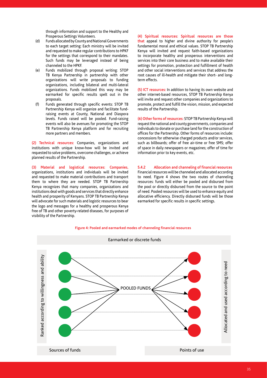through information and support to the Healthy and Prosperous Settings Volunteers.

- (d) Funds allocated by County and National Governments to each target setting: Each ministry will be invited and requested to make regular contributions to HPKF for the settings that correspond to their mandates. Such funds may be leveraged instead of being channeled to the HPKF.
- (e) Funds mobilized through proposal writing: STOP TB Kenya Partnership in partnership with other organizations will write proposals to funding organizations, including bilateral and multi-lateral organizations. Funds mobilized this way may be earmarked for specific results spelt out in the proposals.
- (f) Funds generated through specific events: STOP TB Partnership Kenya will organize and facilitate fundraising events at County, National and Diaspora levels. Funds raised will be pooled. Fund-raising events will also be avenues for promoting the STOP TB Partnership Kenya platform and for recruiting more partners and members.

**(2) Technical resources:** Companies, organizations and institutions with unique know-how will be invited and requested to solve problems, overcome challenges, or achieve planned results of the Partnership.

**(3) Material and logistical resources: Companies,** organizations, institutions and individuals will be invited and requested to make material contributions and transport them to where they are needed. STOP TB Partnership Kenya recognizes that many companies, organizations and institutions deal with goods and services that directly enhance health and prosperity of Kenyans. STOP TB Partnership Kenya will advocate for such materials and logistic resources to bear the logo and messages for a healthy and prosperous Kenya free of TB and other poverty-related diseases, for purposes of visibility of the Partnership.

**(4) Spiritual resources: Spiritual resources are those that** appeal to higher and divine authority for people's fundamental moral and ethical values. STOP TB Partnership Kenya will invited and request faith-based organizations to incorporate healthy and prosperous interventions and services into their core business and to make available their settings for promotion, protection and fulfillment of health and other social interventions and services that address the root causes of ill-health and mitigate their short- and longterm effects.

**(5) ICT resources:** In addition to having its own website and other internet-based resources, STOP TB Partnership Kenya will invite and request other companies and organizations to promote, protect and fulfill the vision, mission, and expected results of the Partnership.

**(6) Other forms of resources:** STOP TB Partnership Kenya will request the national and county governments, companies and individuals to donate or purchase land for the construction of offices for the Partnership. Other forms of resources include: concessions for otherwise charged products and/or services, such as billboards; offer of free air-time or free SMS; offer of space in daily newspapers or magazines; offer of time for information prior to key events, etc.

**5.4.2 Allocation and channeling of financial resources** Financial resources will be channeled and allocated according to need. Figure 4 shows the two routes of channeling resources: funds will either be pooled and disbursed from the pool or directly disbursed from the source to the point of need. Pooled resources will be used to enhance equity and allocative efficiency. Directly disbursed funds will be those earmarked for specific results in specific settings.



#### **Figure 4: Pooled and earmarked modes of channeling financial resources**

35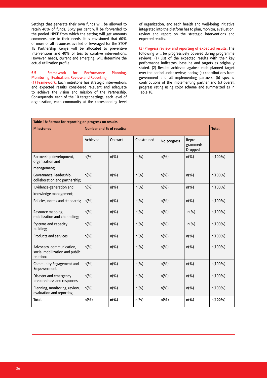Settings that generate their own funds will be allowed to retain 40% of funds. Sixty per cent will be forwarded to the pooled HPKF from which the setting will get amounts commensurate to their needs. It is envisioned that 60% or more of all resources availed or leveraged for the STOP TB Partnership Kenya will be allocated to preventive interventions and 40% or less to curative interventions. However, needs, current and emerging, will determine the actual utilization profile.

## **5.5 Framework for Performance Planning, Monitoring, Evaluation, Review and Reporting**

**(1) Framework:** Each milestone has strategic interventions and expected results considered relevant and adequate to achieve the vision and mission of the Partnership. Consequently, each of the 10 target settings, each level of organization, each community at the corresponding level of organization, and each health and well-being initiative integrated into the platform has to plan, monitor, evaluation, review and report on the strategic interventions and expected results.

**(2) Progress review and reporting of expected results:** The following will be progressively covered during programme reviews: (1) List of the expected results with their key performance indicators, baseline and targets as originally stated. (2) Results achieved against each planned target over the period under review, noting: (a) contributions from government and all implementing partners; (b) specific contributions of the implementing partner and (c) overall progress rating using color scheme and summarized as in Table 18.

| Table 18: Format for reporting on progress on results                   |                          |                |                |                |                               |              |  |  |  |
|-------------------------------------------------------------------------|--------------------------|----------------|----------------|----------------|-------------------------------|--------------|--|--|--|
| <b>Milestones</b>                                                       | Number and % of results: |                |                |                |                               | <b>Total</b> |  |  |  |
|                                                                         | Achieved                 | On track       | Constrained    | No progress    | Repro-<br>grammed/<br>Dropped |              |  |  |  |
| Partnership development,<br>organization and<br>management;             | $n\frac{9}{6}$           | $n\frac{9}{6}$ | $n(\%)$        | $n\frac{9}{6}$ | $n\frac{9}{6}$                | n(100%)      |  |  |  |
| Governance, leadership,<br>collaboration and partnership;               | $n\frac{9}{6}$           | $n(\%)$        | $n(\%)$        | $n(\%)$        | $n(\%)$                       | n(100%)      |  |  |  |
| Evidence-generation and<br>knowledge management;                        | $n\frac{9}{6}$           | $n\frac{9}{6}$ | $n(\%)$        | $n\frac{9}{6}$ | $n\frac{9}{6}$                | n(100%)      |  |  |  |
| Policies, norms and standards;                                          | $n\frac{9}{6}$           | $n\frac{9}{6}$ | $n(\%)$        | $n(\%)$        | $n(\% )$                      | n(100%)      |  |  |  |
| Resource mapping,<br>mobilization and channeling;                       | $n(\% )$                 | $n\frac{9}{6}$ | $n(\%)$        | $n(\% )$       | $n(\% )$                      | n(100%)      |  |  |  |
| Systems and capacity<br>building;                                       | $n\frac{9}{6}$           | $n\frac{9}{6}$ | $n\frac{9}{6}$ | $n\frac{9}{6}$ | $n\frac{9}{6}$                | n(100%)      |  |  |  |
| Products and services;                                                  | $n(\% )$                 | $n(\%)$        | $n\frac{9}{6}$ | $n(\%)$        | $n(\%)$                       | n(100%)      |  |  |  |
| Advocacy, communication,<br>social mobilization and public<br>relations | $n(\%)$                  | $n(\%)$        | $n(\%)$        | $n(\%)$        | $n(\%)$                       | n(100%)      |  |  |  |
| Community Engagement and<br>Empowerment                                 | $n(\%)$                  | $n(\%)$        | $n\frac{9}{6}$ | $n\frac{9}{6}$ | $n(\% )$                      | n(100%)      |  |  |  |
| Disaster and emergency<br>preparedness and responses                    | $n(\%)$                  | $n\frac{9}{6}$ | $n(\%)$        | $n(\%)$        | $n(\% )$                      | n(100%)      |  |  |  |
| Planning, monitoring, review,<br>evaluation and reporting               | $n\frac{9}{6}$           | $n\frac{9}{6}$ | $n\frac{9}{6}$ | $n\frac{9}{6}$ | $n(\% )$                      | n(100%)      |  |  |  |
| <b>Total</b>                                                            | $n$ (%)                  | $n$ (%)        | $n$ (%)        | $n$ (%)        | $n$ (%)                       | n(100%)      |  |  |  |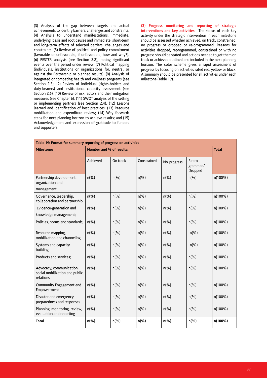(3) Analysis of the gap between targets and actual achievements to identify barriers, challenges and constraints. (4) Analysis to understand manifestations, immediate, underlying, basis and root causes and immediate, short-term and long-term effects of selected barriers, challenges and constraints. (5) Review of political and policy commitment (favorable or unfavorable, if unfavorable, how and why?). (6) PESTER analysis (see Section 2.2), noting significant events over the period under review. (7) Political mapping (individuals, institutions or organizations for, neutral or against the Partnership or planned results). (8) Analysis of integrated or competing health and wellness programs (see Section 2.3); (9) Review of individual (rights-holders and duty-bearers) and institutional capacity assessment (see Section 2.6). (10) Review of risk factors and their mitigation measures (see Chapter 6). (11) SWOT analysis of the setting or implementing partners (see Section 2.4). (12) Lessons learned and identification of best practices; (13) Resource mobilization and expenditure review; (14) Way forward/ steps for next planning horizon to achieve results; and (15) Acknowledgement and expression of gratitude to funders and supporters.

**(3) Progress monitoring and reporting of strategic interventions and key activities:** The status of each key activity under the strategic intervention in each milestone should be assessed whether achieved, on track, constrained, no progress or dropped or re-programmed. Reasons for activities dropped, reprogrammed, constrained or with no progress should be stated and actions needed to get them on track or achieved outlined and included in the next planning horizon. The color scheme gives a rapid assessment of progress by focusing on activities rated red, yellow or black. A summary should be presented for all activities under each milestone (Table 19).

| Table 19: Format for summary reporting of progress on activities        |                |                          |                |                |                               |         |  |  |
|-------------------------------------------------------------------------|----------------|--------------------------|----------------|----------------|-------------------------------|---------|--|--|
| <b>Milestones</b>                                                       |                | Number and % of results: |                |                |                               |         |  |  |
|                                                                         | Achieved       | On track                 | Constrained    | No progress    | Repro-<br>grammed/<br>Dropped |         |  |  |
| Partnership development,<br>organization and<br>management;             | $n\frac{9}{6}$ | $n(\% )$                 | $n\frac{9}{6}$ | $n\frac{9}{6}$ | $n(\%)$                       | n(100%) |  |  |
| Governance, leadership,<br>collaboration and partnership;               | $n\frac{9}{6}$ | $n\frac{9}{6}$           | $n(\% )$       | $n\frac{9}{6}$ | $n(\%)$                       | n(100%) |  |  |
| Evidence-generation and<br>knowledge management;                        | $n\frac{9}{6}$ | $n\frac{9}{6}$           | $n\frac{9}{6}$ | $n\frac{9}{6}$ | $n(\%)$                       | n(100%) |  |  |
| Policies, norms and standards;                                          | $n\frac{9}{6}$ | $n(\% )$                 | $n(\% )$       | $n\frac{9}{6}$ | $n(\%)$                       | n(100%) |  |  |
| Resource mapping,<br>mobilization and channeling;                       | $n\frac{9}{6}$ | $n(\% )$                 | $n(\% )$       | $n\frac{9}{6}$ | $n(\%)$                       | n(100%) |  |  |
| Systems and capacity<br>building;                                       | $n(\% )$       | $n(\%)$                  | $n(\%)$        | $n\frac{9}{6}$ | $n(\%)$                       | n(100%) |  |  |
| Products and services;                                                  | $n\frac{9}{6}$ | $n\frac{9}{6}$           | $n(\%)$        | $n(\%)$        | $n\frac{9}{6}$                | n(100%) |  |  |
| Advocacy, communication,<br>social mobilization and public<br>relations | $n(\%)$        | $n\frac{9}{6}$           | $n(\%)$        | $n\frac{9}{6}$ | $n\frac{9}{6}$                | n(100%) |  |  |
| Community Engagement and<br>Empowerment                                 | $n\frac{9}{6}$ | $n\frac{9}{6}$           | $n(\% )$       | $n(\% )$       | $n\frac{9}{6}$                | n(100%) |  |  |
| Disaster and emergency<br>preparedness and responses                    | $n(\% )$       | $n\frac{9}{6}$           | $n(\%)$        | $n(\%)$        | $n\frac{9}{6}$                | n(100%) |  |  |
| Planning, monitoring, review,<br>evaluation and reporting               | $n(\%)$        | $n\frac{9}{6}$           | $n(\% )$       | $n(\%)$        | $n\frac{9}{6}$                | n(100%) |  |  |
| <b>Total</b>                                                            | n(%)           | $n$ (%)                  | $n$ (%)        | $n$ (%)        | n(%)                          | n(100%) |  |  |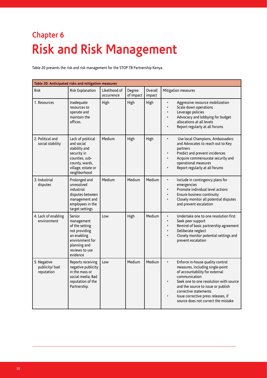## **Chapter 6 Risk and Risk Management**

Table 20 presents the risk and risk management for the STOP TB Partnership Kenya.

| Table 20: Anticipated risks and mitigation measures |                                                                                                                                           |                             |                     |                   |                                                                                                                                                                                                                                                                                                                             |  |  |  |
|-----------------------------------------------------|-------------------------------------------------------------------------------------------------------------------------------------------|-----------------------------|---------------------|-------------------|-----------------------------------------------------------------------------------------------------------------------------------------------------------------------------------------------------------------------------------------------------------------------------------------------------------------------------|--|--|--|
| <b>Risk</b>                                         | Risk Explanation                                                                                                                          | Likelihood of<br>occurrence | Degree<br>of Impact | Overall<br>impact | Mitigation measures                                                                                                                                                                                                                                                                                                         |  |  |  |
| 1. Resources                                        | Inadequate<br>resources to<br>operate and<br>maintain the<br>offices.                                                                     | High                        | High                | High              | Aggressive resource mobilization<br>$\bullet$<br>Scale down operations<br>Leverage policies<br>Advocacy and lobbying for budget<br>allocations at all levels<br>Report regularly at all forums<br>$\bullet$                                                                                                                 |  |  |  |
| 2. Political and<br>social stability                | Lack of political<br>and social<br>stability and<br>security in<br>counties, sub-<br>county, wards,<br>village, estate or<br>neighborhood | Medium                      | High                | High              | Use local Champions, Ambassadors<br>$\bullet$<br>and Advocates to reach out to Key<br>partners<br>Predict and prevent incidences<br>Acquire commensurate security and<br>operational measures<br>Report regularly at all forums                                                                                             |  |  |  |
| 3. Industrial<br>disputes                           | Prolonged and<br>unresolved<br>industrial<br>disputes between<br>management and<br>employees in the<br>target settings                    | Medium                      | Medium              | Medium            | Include in contingency plans for<br>$\bullet$<br>emergencies<br>Promote individual level actions<br>Ensure business continuity<br>Closely monitor all potential disputes<br>$\bullet$<br>and prevent escalation                                                                                                             |  |  |  |
| 4. Lack of enabling<br>environment                  | Senior<br>management<br>of the setting<br>not providing<br>an enabling<br>environment for<br>planning and<br>reviews to use<br>evidence   | Low                         | High                | Medium            | Undertake one to one resolution first<br>$\bullet$<br>Seek peer support<br>$\bullet$<br>Remind of basic partnership agreement<br>Deliberate neglect<br>Closely monitor potential settings and<br>prevent escalation                                                                                                         |  |  |  |
| 5. Negative<br>publicity/bad<br>reputation          | Reports receiving<br>negative publicity<br>in the mass or<br>social media; Bad<br>reputation of the<br>Partnership.                       | Low                         | Medium              | Medium            | $\bullet$<br>Enforce in-house quality control<br>measures, including single-point<br>of accountability for external<br>communication<br>Seek one to one resolution with source<br>and the source to issue or publish<br>corrective statements<br>Issue corrective press releases, if<br>source does not correct the mistake |  |  |  |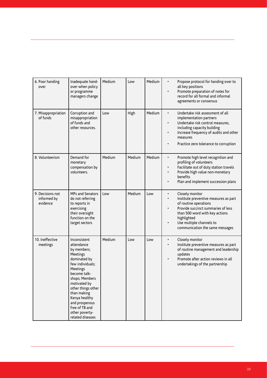| 6. Poor handing<br>over                     | Inadequate hand-<br>over when policy<br>or programme<br>managers change                                                                                                                                                                                                                 | Medium | Low    | Medium | Propose protocol for handing over to<br>$\bullet$<br>all key positions<br>Promote preparation of notes for<br>record for all formal and informal<br>agreements or consensus                                                                                       |
|---------------------------------------------|-----------------------------------------------------------------------------------------------------------------------------------------------------------------------------------------------------------------------------------------------------------------------------------------|--------|--------|--------|-------------------------------------------------------------------------------------------------------------------------------------------------------------------------------------------------------------------------------------------------------------------|
| 7. Misappropriation<br>of funds             | Corruption and<br>misappropriation<br>of funds and<br>other resources.                                                                                                                                                                                                                  | Low    | High   | Medium | Undertake risk assessment of all<br>$\bullet$<br>implementation partners<br>Undertake risk control measures,<br>including capacity building<br>Increase frequency of audits and other<br>$\bullet$<br>measures<br>Practice zero tolerance to corruption           |
| 8. Volunteerism                             | Demand for<br>monetary<br>compensation by<br>volunteers.                                                                                                                                                                                                                                | Medium | Medium | Medium | Promote high level recognition and<br>$\bullet$<br>profiling of volunteers<br>Facilitate out of duty station travels<br>$\bullet$<br>Provide high value non-monetary<br>benefits<br>Plan and implement succession plans                                           |
| 9. Decisions not<br>informed by<br>evidence | MPs and Senators<br>do not referring<br>to reports in<br>exercising<br>their oversight<br>function on the<br>target sectors                                                                                                                                                             | Low    | Medium | Low    | Closely monitor<br>$\bullet$<br>Institute preventive measures as part<br>of routine operations<br>Provide succinct summaries of less<br>$\bullet$<br>than 500 word with key actions<br>highlighted<br>Use multiple channels to<br>communication the same messages |
| 10. Ineffective<br>meetings                 | Inconsistent<br>attendance<br>by members;<br>Meetings<br>dominated by<br>few individuals;<br>Meetings<br>become talk-<br>shops; Members<br>motivated by<br>other things other<br>than making<br>Kenya healthy<br>and prosperous<br>free of TB and<br>other poverty-<br>related diseases | Medium | Low    | Low    | Closely monitor<br>$\bullet$<br>Institute preventive measures as part<br>of routine management and leadership<br>updates<br>Promote after action reviews in all<br>undertakings of the partnership                                                                |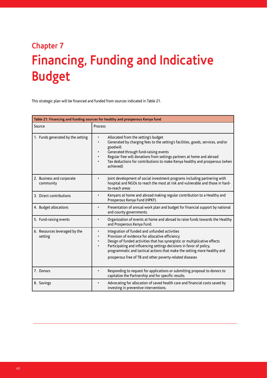## **Chapter 7 Financing, Funding and Indicative Budget**

This strategic plan will be financed and funded from sources indicated in Table 21.

| Table 21: Financing and funding sources for healthy and prosperous Kenya fund |                                                                                                                                                                                                                                                                                                                                                                                                |  |  |  |  |
|-------------------------------------------------------------------------------|------------------------------------------------------------------------------------------------------------------------------------------------------------------------------------------------------------------------------------------------------------------------------------------------------------------------------------------------------------------------------------------------|--|--|--|--|
| Source                                                                        | Process                                                                                                                                                                                                                                                                                                                                                                                        |  |  |  |  |
| 1. Funds generated by the setting                                             | Allocated from the setting's budget<br>Generated by charging fees to the setting's facilities, goods, services, and/or<br>goodwill<br>Generated through fund-raising events<br>Regular free will donations from settings partners at home and abroad<br>Tax deductions for contributions to make Kenya healthy and prosperous (when<br>$\bullet$<br>achieved)                                  |  |  |  |  |
| 2. Business and corporate<br>community                                        | Joint development of social investment programs including partnering with<br>hospital and NGOs to reach the most at risk and vulnerable and those in hard-<br>to-reach areas                                                                                                                                                                                                                   |  |  |  |  |
| 3. Direct contributions                                                       | Kenyans at home and abroad making regular contribution to a Healthy and<br>Prosperous Kenya Fund (HPKF).                                                                                                                                                                                                                                                                                       |  |  |  |  |
| 4. Budget allocations                                                         | Presentation of annual work plan and budget for financial support by national<br>and county governments.                                                                                                                                                                                                                                                                                       |  |  |  |  |
| 5. Fund-raising events                                                        | Organization of events at home and abroad to raise funds towards the Healthy<br>and Prosperous Kenya Fund.                                                                                                                                                                                                                                                                                     |  |  |  |  |
| 6. Resources leveraged by the<br>setting                                      | Integration of funded and unfunded activities<br>Provision of evidence for allocative efficiency<br>Design of funded activities that has synergistic or multiplicative effects<br>Participating and influencing settings decisions in favor of policy,<br>programmatic and tactical actions that make the setting more healthy and<br>prosperous free of TB and other poverty-related diseases |  |  |  |  |
| 7. Donors                                                                     | Responding to request for applications or submitting proposal to donors to<br>capitalize the Partnership and for specific results.                                                                                                                                                                                                                                                             |  |  |  |  |
| 8. Savings                                                                    | Advocating for allocation of saved health care and financial costs saved by<br>investing in preventive interventions.                                                                                                                                                                                                                                                                          |  |  |  |  |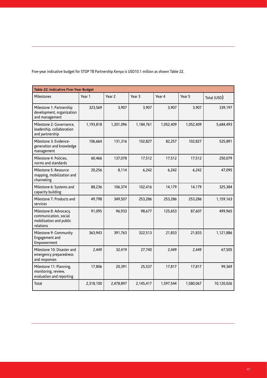Five-year indicative budget for STOP TB Partnership Kenya is USD10.1 million as shown Table 22.

| Table 22: Indicative Five-Year Budget                                                   |           |                   |                   |           |           |             |  |  |
|-----------------------------------------------------------------------------------------|-----------|-------------------|-------------------|-----------|-----------|-------------|--|--|
| Milestones                                                                              | Year 1    | Year <sub>2</sub> | Year <sub>3</sub> | Year 4    | Year 5    | Total (USD) |  |  |
| Milestone 1: Partnership<br>development, organization<br>and management                 | 323,569   | 3,907             | 3,907             | 3,907     | 3,907     | 339,197     |  |  |
| Milestone 2: Governance,<br>leadership, collaboration<br>and partnership                | 1,193,818 | 1,201,096         | 1,184,761         | 1,052,409 | 1,052,409 | 5,684,493   |  |  |
| Milestone 3: Evidence-<br>generation and knowledge<br>management                        | 106,664   | 131,316           | 102,827           | 82,257    | 102,827   | 525,891     |  |  |
| Milestone 4: Policies,<br>norms and standards                                           | 60.466    | 137,078           | 17,512            | 17,512    | 17,512    | 250,079     |  |  |
| Milestone 5: Resource<br>mapping, mobilization and<br>channeling                        | 20,256    | 8,114             | 6,242             | 6,242     | 6,242     | 47,095      |  |  |
| Milestone 6: Systems and<br>capacity building                                           | 88,236    | 106,374           | 102,416           | 14,179    | 14,179    | 325,384     |  |  |
| Milestone 7: Products and<br>services                                                   | 49,798    | 349,507           | 253,286           | 253,286   | 253,286   | 1,159,163   |  |  |
| Milestone 8: Advocacy,<br>communication, social<br>mobilization and public<br>relations | 91,095    | 96,933            | 98,677            | 125,653   | 87,607    | 499,965     |  |  |
| Milestone 9: Community<br>Engagement and<br>Empowerment                                 | 363,943   | 391,763           | 322,513           | 21,833    | 21,833    | 1,121,886   |  |  |
| Milestone 10: Disaster and<br>emergency preparedness<br>and responses                   | 2,449     | 32,419            | 27,740            | 2,449     | 2,449     | 67,505      |  |  |
| Milestone 11: Planning,<br>monitoring, review,<br>evaluation and reporting              | 17,806    | 20,391            | 25,537            | 17,817    | 17,817    | 99,369      |  |  |
| Total                                                                                   | 2,318,100 | 2,478,897         | 2,145,417         | 1,597,544 | 1,580,067 | 10,120,026  |  |  |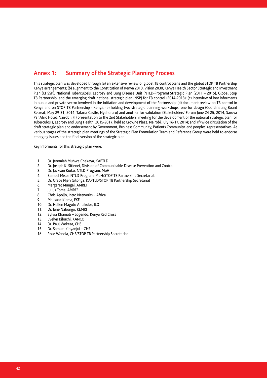## **Annex 1: Summary of the Strategic Planning Process**

This strategic plan was developed through (a) an extensive review of global TB control plans and the global STOP TB Partnership Kenya arrangements; (b) alignment to the Constitution of Kenya 2010, Vision 2030, Kenya Health Sector Strategic and Investment Plan (KHSSP), National Tuberculosis, Leprosy and Lung Disease Unit (NTLD-Program) Strategic Plan (2011 – 2015), Global Stop TB Partnership, and the emerging draft national strategic plan (NSP) for TB control (2014-2018); (c) interview of key informants in public and private sector involved in the initiation and development of the Partnership; (d) document review on TB control in Kenya and on STOP TB Partnership - Kenya; (e) holding two strategic planning workshops: one for design (Coordinating Board Retreat, May 29-31, 2014, Tafaria Castle, Nyahururu) and another for validation (Stakeholders' Forum June 24-25, 2014, Sarova PanAfric Hotel, Nairobi); (f) presentation to the 2nd Stakeholders' meeting for the development of the national strategic plan for Tuberculosis, Leprosy and Lung Health, 2015-2017, held at Crowne Plaza, Nairobi, July 16-17, 2014; and (f) wide circulation of the draft strategic plan and endorsement by Government, Business Community, Patients Community, and peoples' representatives. At various stages of the strategic plan meetings of the Strategic Plan Formulation Team and Reference Group were held to endorse emerging issues and the final version of the strategic plan.

Key Informants for this strategic plan were:

- 1. Dr. Jeremiah Muhwa Chakaya, KAPTLD
- 2. Dr. Joseph K. Sitienei, Division of Communicable Disease Prevention and Control
- 3. Dr. Jackson Kioko, NTLD-Program, MoH
- 4. Samuel Misoi, NTLD-Program, MoH/STOP TB Partnership Secretariat
- 5. Dr. Grace Njeri Gitonga, KAPTLD/STOP TB Partnership Secretariat
- 6. Margaret Mungai, AMREF
- 7. Julius Tome, AMREF
- 8. Chris Apollo, Intro Networks Africa
- 9. Mr. Isaac Kiema, FKE<br>10. Dr. Hellen Magutu Ar
- 10. Dr. Hellen Magutu Amakobe, ILO
- 11. Dr. Jane Nabongo, KEMRI
- 12. Sylvia Khamati Logendo, Kenya Red Cross
- 13. Evelyn Kibuchi, KANCO
- 14. Dr. Paul Wekesa, CHS
- 15. Dr. Samuel Kinyanjui CHS
- 16. Rose Wandia, CHS/STOP TB Partnership Secretariat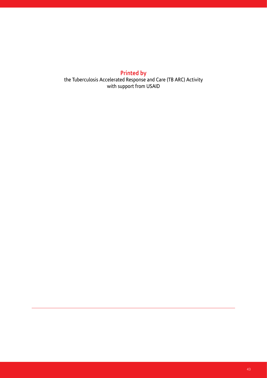## **Printed by**

the Tuberculosis Accelerated Response and Care (TB ARC) Activity with support from USAID